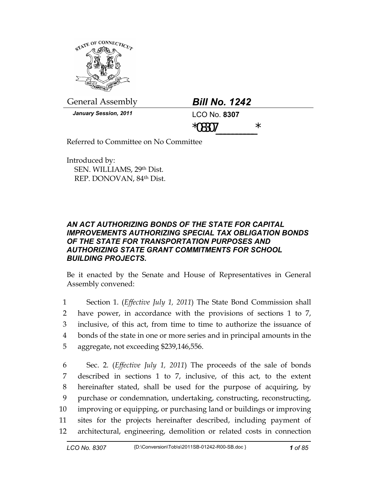

General Assembly *Bill No. 1242* 

*January Session, 2011* **LCO No. 8307** 

 $*08307$  \*

Referred to Committee on No Committee

Introduced by: SEN. WILLIAMS, 29th Dist. REP. DONOVAN, 84th Dist.

## *AN ACT AUTHORIZING BONDS OF THE STATE FOR CAPITAL IMPROVEMENTS AUTHORIZING SPECIAL TAX OBLIGATION BONDS OF THE STATE FOR TRANSPORTATION PURPOSES AND AUTHORIZING STATE GRANT COMMITMENTS FOR SCHOOL BUILDING PROJECTS.*

Be it enacted by the Senate and House of Representatives in General Assembly convened:

1 Section 1. (*Effective July 1, 2011*) The State Bond Commission shall 2 have power, in accordance with the provisions of sections 1 to 7, 3 inclusive, of this act, from time to time to authorize the issuance of 4 bonds of the state in one or more series and in principal amounts in the 5 aggregate, not exceeding \$239,146,556.

6 Sec. 2. (*Effective July 1, 2011*) The proceeds of the sale of bonds 7 described in sections 1 to 7, inclusive, of this act, to the extent 8 hereinafter stated, shall be used for the purpose of acquiring, by 9 purchase or condemnation, undertaking, constructing, reconstructing, 10 improving or equipping, or purchasing land or buildings or improving 11 sites for the projects hereinafter described, including payment of 12 architectural, engineering, demolition or related costs in connection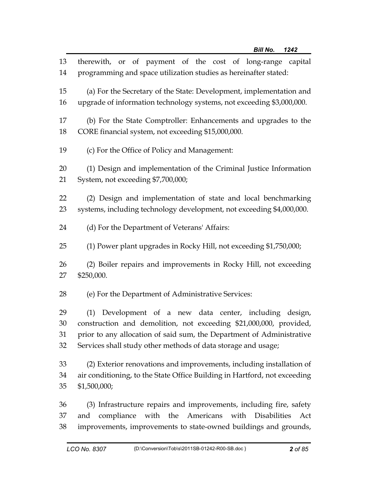| 13             | therewith, or of payment of the cost of long-range capital                                                                                                                                                               |
|----------------|--------------------------------------------------------------------------------------------------------------------------------------------------------------------------------------------------------------------------|
| 14             | programming and space utilization studies as hereinafter stated:                                                                                                                                                         |
| 15             | (a) For the Secretary of the State: Development, implementation and                                                                                                                                                      |
| 16             | upgrade of information technology systems, not exceeding \$3,000,000.                                                                                                                                                    |
| 17             | (b) For the State Comptroller: Enhancements and upgrades to the                                                                                                                                                          |
| 18             | CORE financial system, not exceeding \$15,000,000.                                                                                                                                                                       |
| 19             | (c) For the Office of Policy and Management:                                                                                                                                                                             |
| 20             | (1) Design and implementation of the Criminal Justice Information                                                                                                                                                        |
| 21             | System, not exceeding \$7,700,000;                                                                                                                                                                                       |
| 22             | (2) Design and implementation of state and local benchmarking                                                                                                                                                            |
| 23             | systems, including technology development, not exceeding \$4,000,000.                                                                                                                                                    |
| 24             | (d) For the Department of Veterans' Affairs:                                                                                                                                                                             |
| 25             | (1) Power plant upgrades in Rocky Hill, not exceeding \$1,750,000;                                                                                                                                                       |
| 26             | (2) Boiler repairs and improvements in Rocky Hill, not exceeding                                                                                                                                                         |
| 27             | \$250,000.                                                                                                                                                                                                               |
| 28             | (e) For the Department of Administrative Services:                                                                                                                                                                       |
| 29             | (1) Development of a new data center, including design,                                                                                                                                                                  |
| 30             | construction and demolition, not exceeding \$21,000,000, provided,                                                                                                                                                       |
| 31             | prior to any allocation of said sum, the Department of Administrative                                                                                                                                                    |
| 32             | Services shall study other methods of data storage and usage;                                                                                                                                                            |
| 33             | (2) Exterior renovations and improvements, including installation of                                                                                                                                                     |
| 34             | air conditioning, to the State Office Building in Hartford, not exceeding                                                                                                                                                |
| 35             | \$1,500,000;                                                                                                                                                                                                             |
| 36<br>37<br>38 | (3) Infrastructure repairs and improvements, including fire, safety<br>with the Americans<br>compliance<br>with<br><b>Disabilities</b><br>Act<br>and<br>improvements, improvements to state-owned buildings and grounds, |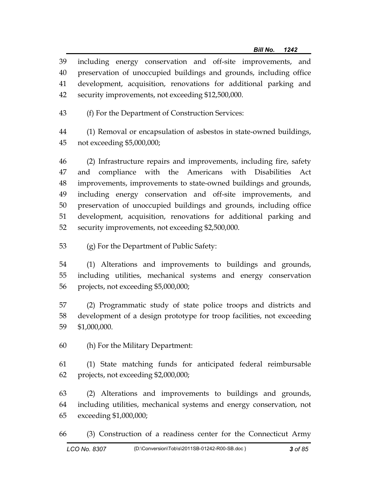39 including energy conservation and off-site improvements, and 40 preservation of unoccupied buildings and grounds, including office 41 development, acquisition, renovations for additional parking and 42 security improvements, not exceeding \$12,500,000.

43 (f) For the Department of Construction Services:

44 (1) Removal or encapsulation of asbestos in state-owned buildings, 45 not exceeding \$5,000,000;

46 (2) Infrastructure repairs and improvements, including fire, safety 47 and compliance with the Americans with Disabilities Act 48 improvements, improvements to state-owned buildings and grounds, 49 including energy conservation and off-site improvements, and 50 preservation of unoccupied buildings and grounds, including office 51 development, acquisition, renovations for additional parking and 52 security improvements, not exceeding \$2,500,000.

53 (g) For the Department of Public Safety:

54 (1) Alterations and improvements to buildings and grounds, 55 including utilities, mechanical systems and energy conservation 56 projects, not exceeding \$5,000,000;

57 (2) Programmatic study of state police troops and districts and 58 development of a design prototype for troop facilities, not exceeding 59 \$1,000,000.

60 (h) For the Military Department:

61 (1) State matching funds for anticipated federal reimbursable 62 projects, not exceeding \$2,000,000;

63 (2) Alterations and improvements to buildings and grounds, 64 including utilities, mechanical systems and energy conservation, not 65 exceeding \$1,000,000;

66 (3) Construction of a readiness center for the Connecticut Army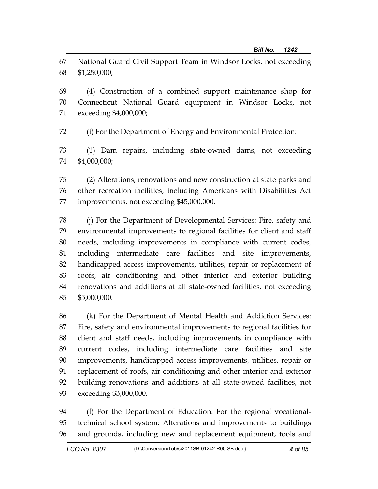67 National Guard Civil Support Team in Windsor Locks, not exceeding 68 \$1,250,000;

69 (4) Construction of a combined support maintenance shop for 70 Connecticut National Guard equipment in Windsor Locks, not 71 exceeding \$4,000,000;

72 (i) For the Department of Energy and Environmental Protection:

73 (1) Dam repairs, including state-owned dams, not exceeding 74 \$4,000,000;

75 (2) Alterations, renovations and new construction at state parks and 76 other recreation facilities, including Americans with Disabilities Act 77 improvements, not exceeding \$45,000,000.

78 (j) For the Department of Developmental Services: Fire, safety and 79 environmental improvements to regional facilities for client and staff 80 needs, including improvements in compliance with current codes, 81 including intermediate care facilities and site improvements, 82 handicapped access improvements, utilities, repair or replacement of 83 roofs, air conditioning and other interior and exterior building 84 renovations and additions at all state-owned facilities, not exceeding 85 \$5,000,000.

86 (k) For the Department of Mental Health and Addiction Services: 87 Fire, safety and environmental improvements to regional facilities for 88 client and staff needs, including improvements in compliance with 89 current codes, including intermediate care facilities and site 90 improvements, handicapped access improvements, utilities, repair or 91 replacement of roofs, air conditioning and other interior and exterior 92 building renovations and additions at all state-owned facilities, not 93 exceeding \$3,000,000.

94 (l) For the Department of Education: For the regional vocational-95 technical school system: Alterations and improvements to buildings 96 and grounds, including new and replacement equipment, tools and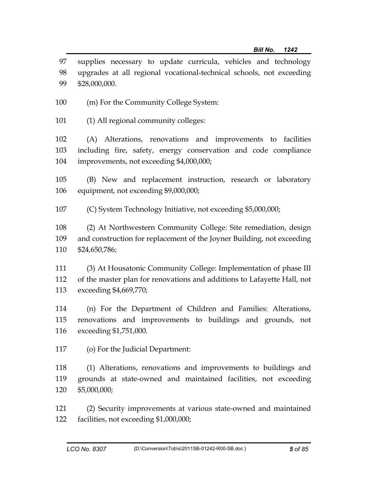| 97 supplies necessary to update curricula, vehicles and technology      |
|-------------------------------------------------------------------------|
| 98 upgrades at all regional vocational-technical schools, not exceeding |
| 99 \$28,000,000.                                                        |

- 100 (m) For the Community College System:
- 101 (1) All regional community colleges:

102 (A) Alterations, renovations and improvements to facilities 103 including fire, safety, energy conservation and code compliance 104 improvements, not exceeding \$4,000,000;

105 (B) New and replacement instruction, research or laboratory 106 equipment, not exceeding \$9,000,000;

107 (C) System Technology Initiative, not exceeding \$5,000,000;

108 (2) At Northwestern Community College: Site remediation, design 109 and construction for replacement of the Joyner Building, not exceeding 110 \$24,650,786;

111 (3) At Housatonic Community College: Implementation of phase III 112 of the master plan for renovations and additions to Lafayette Hall, not 113 exceeding \$4,669,770;

114 (n) For the Department of Children and Families: Alterations, 115 renovations and improvements to buildings and grounds, not 116 exceeding \$1,751,000.

117 (o) For the Judicial Department:

118 (1) Alterations, renovations and improvements to buildings and 119 grounds at state-owned and maintained facilities, not exceeding 120 \$5,000,000;

121 (2) Security improvements at various state-owned and maintained 122 facilities, not exceeding \$1,000,000;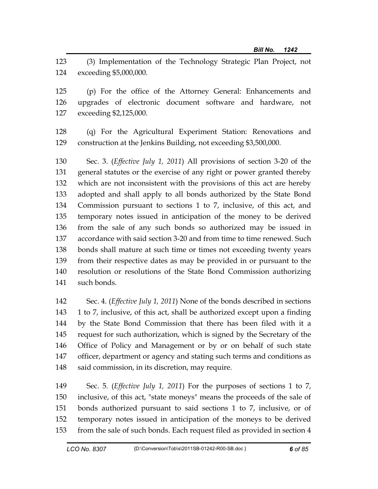123 (3) Implementation of the Technology Strategic Plan Project, not 124 exceeding \$5,000,000.

125 (p) For the office of the Attorney General: Enhancements and 126 upgrades of electronic document software and hardware, not 127 exceeding \$2,125,000.

128 (q) For the Agricultural Experiment Station: Renovations and 129 construction at the Jenkins Building, not exceeding \$3,500,000.

130 Sec. 3. (*Effective July 1, 2011*) All provisions of section 3-20 of the 131 general statutes or the exercise of any right or power granted thereby 132 which are not inconsistent with the provisions of this act are hereby 133 adopted and shall apply to all bonds authorized by the State Bond 134 Commission pursuant to sections 1 to 7, inclusive, of this act, and 135 temporary notes issued in anticipation of the money to be derived 136 from the sale of any such bonds so authorized may be issued in 137 accordance with said section 3-20 and from time to time renewed. Such 138 bonds shall mature at such time or times not exceeding twenty years 139 from their respective dates as may be provided in or pursuant to the 140 resolution or resolutions of the State Bond Commission authorizing 141 such bonds.

142 Sec. 4. (*Effective July 1, 2011*) None of the bonds described in sections 143 1 to 7, inclusive, of this act, shall be authorized except upon a finding 144 by the State Bond Commission that there has been filed with it a 145 request for such authorization, which is signed by the Secretary of the 146 Office of Policy and Management or by or on behalf of such state 147 officer, department or agency and stating such terms and conditions as 148 said commission, in its discretion, may require.

149 Sec. 5. (*Effective July 1, 2011*) For the purposes of sections 1 to 7, 150 inclusive, of this act, "state moneys" means the proceeds of the sale of 151 bonds authorized pursuant to said sections 1 to 7, inclusive, or of 152 temporary notes issued in anticipation of the moneys to be derived 153 from the sale of such bonds. Each request filed as provided in section 4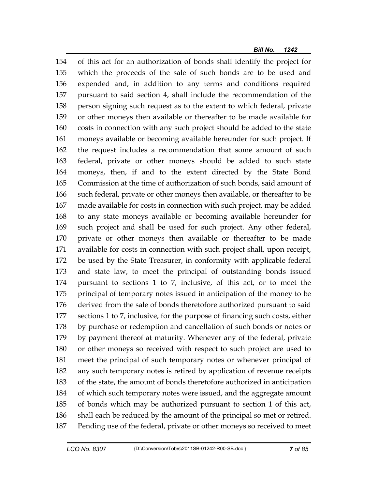154 of this act for an authorization of bonds shall identify the project for 155 which the proceeds of the sale of such bonds are to be used and 156 expended and, in addition to any terms and conditions required 157 pursuant to said section 4, shall include the recommendation of the 158 person signing such request as to the extent to which federal, private 159 or other moneys then available or thereafter to be made available for 160 costs in connection with any such project should be added to the state 161 moneys available or becoming available hereunder for such project. If 162 the request includes a recommendation that some amount of such 163 federal, private or other moneys should be added to such state 164 moneys, then, if and to the extent directed by the State Bond 165 Commission at the time of authorization of such bonds, said amount of 166 such federal, private or other moneys then available, or thereafter to be 167 made available for costs in connection with such project, may be added 168 to any state moneys available or becoming available hereunder for 169 such project and shall be used for such project. Any other federal, 170 private or other moneys then available or thereafter to be made 171 available for costs in connection with such project shall, upon receipt, 172 be used by the State Treasurer, in conformity with applicable federal 173 and state law, to meet the principal of outstanding bonds issued 174 pursuant to sections 1 to 7, inclusive, of this act, or to meet the 175 principal of temporary notes issued in anticipation of the money to be 176 derived from the sale of bonds theretofore authorized pursuant to said 177 sections 1 to 7, inclusive, for the purpose of financing such costs, either 178 by purchase or redemption and cancellation of such bonds or notes or 179 by payment thereof at maturity. Whenever any of the federal, private 180 or other moneys so received with respect to such project are used to 181 meet the principal of such temporary notes or whenever principal of 182 any such temporary notes is retired by application of revenue receipts 183 of the state, the amount of bonds theretofore authorized in anticipation 184 of which such temporary notes were issued, and the aggregate amount 185 of bonds which may be authorized pursuant to section 1 of this act, 186 shall each be reduced by the amount of the principal so met or retired. 187 Pending use of the federal, private or other moneys so received to meet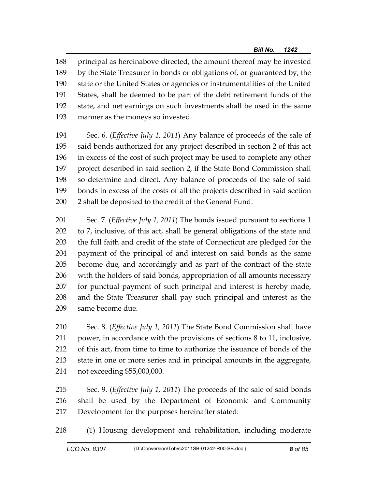188 principal as hereinabove directed, the amount thereof may be invested 189 by the State Treasurer in bonds or obligations of, or guaranteed by, the 190 state or the United States or agencies or instrumentalities of the United 191 States, shall be deemed to be part of the debt retirement funds of the 192 state, and net earnings on such investments shall be used in the same 193 manner as the moneys so invested.

194 Sec. 6. (*Effective July 1, 2011*) Any balance of proceeds of the sale of 195 said bonds authorized for any project described in section 2 of this act 196 in excess of the cost of such project may be used to complete any other 197 project described in said section 2, if the State Bond Commission shall 198 so determine and direct. Any balance of proceeds of the sale of said 199 bonds in excess of the costs of all the projects described in said section 200 2 shall be deposited to the credit of the General Fund.

201 Sec. 7. (*Effective July 1, 2011*) The bonds issued pursuant to sections 1 202 to 7, inclusive, of this act, shall be general obligations of the state and 203 the full faith and credit of the state of Connecticut are pledged for the 204 payment of the principal of and interest on said bonds as the same 205 become due, and accordingly and as part of the contract of the state 206 with the holders of said bonds, appropriation of all amounts necessary 207 for punctual payment of such principal and interest is hereby made, 208 and the State Treasurer shall pay such principal and interest as the 209 same become due.

210 Sec. 8. (*Effective July 1, 2011*) The State Bond Commission shall have 211 power, in accordance with the provisions of sections 8 to 11, inclusive, 212 of this act, from time to time to authorize the issuance of bonds of the 213 state in one or more series and in principal amounts in the aggregate, 214 not exceeding \$55,000,000.

215 Sec. 9. (*Effective July 1, 2011*) The proceeds of the sale of said bonds 216 shall be used by the Department of Economic and Community 217 Development for the purposes hereinafter stated:

218 (1) Housing development and rehabilitation, including moderate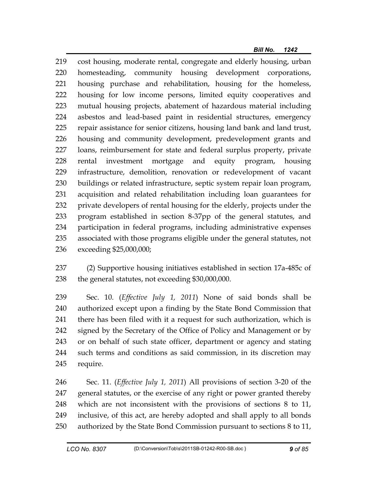219 cost housing, moderate rental, congregate and elderly housing, urban 220 homesteading, community housing development corporations, 221 housing purchase and rehabilitation, housing for the homeless, 222 housing for low income persons, limited equity cooperatives and 223 mutual housing projects, abatement of hazardous material including 224 asbestos and lead-based paint in residential structures, emergency 225 repair assistance for senior citizens, housing land bank and land trust, 226 housing and community development, predevelopment grants and 227 loans, reimbursement for state and federal surplus property, private 228 rental investment mortgage and equity program, housing 229 infrastructure, demolition, renovation or redevelopment of vacant 230 buildings or related infrastructure, septic system repair loan program, 231 acquisition and related rehabilitation including loan guarantees for 232 private developers of rental housing for the elderly, projects under the 233 program established in section 8-37pp of the general statutes, and 234 participation in federal programs, including administrative expenses 235 associated with those programs eligible under the general statutes, not 236 exceeding \$25,000,000;

237 (2) Supportive housing initiatives established in section 17a-485c of 238 the general statutes, not exceeding \$30,000,000.

239 Sec. 10. (*Effective July 1, 2011*) None of said bonds shall be 240 authorized except upon a finding by the State Bond Commission that 241 there has been filed with it a request for such authorization, which is 242 signed by the Secretary of the Office of Policy and Management or by 243 or on behalf of such state officer, department or agency and stating 244 such terms and conditions as said commission, in its discretion may 245 require.

246 Sec. 11. (*Effective July 1, 2011*) All provisions of section 3-20 of the 247 general statutes, or the exercise of any right or power granted thereby 248 which are not inconsistent with the provisions of sections 8 to 11, 249 inclusive, of this act, are hereby adopted and shall apply to all bonds 250 authorized by the State Bond Commission pursuant to sections 8 to 11,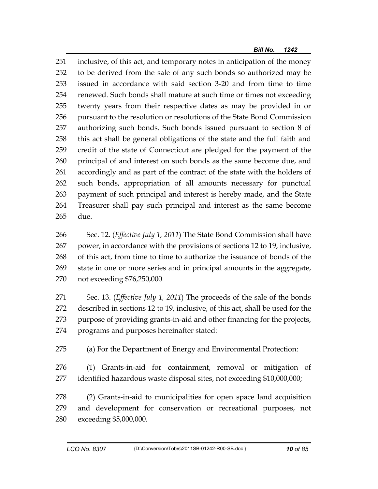251 inclusive, of this act, and temporary notes in anticipation of the money 252 to be derived from the sale of any such bonds so authorized may be 253 issued in accordance with said section 3-20 and from time to time 254 renewed. Such bonds shall mature at such time or times not exceeding 255 twenty years from their respective dates as may be provided in or 256 pursuant to the resolution or resolutions of the State Bond Commission 257 authorizing such bonds. Such bonds issued pursuant to section 8 of 258 this act shall be general obligations of the state and the full faith and 259 credit of the state of Connecticut are pledged for the payment of the 260 principal of and interest on such bonds as the same become due, and 261 accordingly and as part of the contract of the state with the holders of 262 such bonds, appropriation of all amounts necessary for punctual 263 payment of such principal and interest is hereby made, and the State 264 Treasurer shall pay such principal and interest as the same become 265 due.

266 Sec. 12. (*Effective July 1, 2011*) The State Bond Commission shall have 267 power, in accordance with the provisions of sections 12 to 19, inclusive, 268 of this act, from time to time to authorize the issuance of bonds of the 269 state in one or more series and in principal amounts in the aggregate, 270 not exceeding \$76,250,000.

271 Sec. 13. (*Effective July 1, 2011*) The proceeds of the sale of the bonds 272 described in sections 12 to 19, inclusive, of this act, shall be used for the 273 purpose of providing grants-in-aid and other financing for the projects, 274 programs and purposes hereinafter stated:

275 (a) For the Department of Energy and Environmental Protection:

276 (1) Grants-in-aid for containment, removal or mitigation of 277 identified hazardous waste disposal sites, not exceeding \$10,000,000;

278 (2) Grants-in-aid to municipalities for open space land acquisition 279 and development for conservation or recreational purposes, not 280 exceeding \$5,000,000.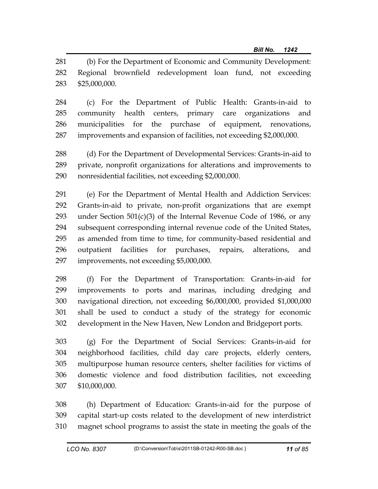281 (b) For the Department of Economic and Community Development: 282 Regional brownfield redevelopment loan fund, not exceeding 283 \$25,000,000.

284 (c) For the Department of Public Health: Grants-in-aid to 285 community health centers, primary care organizations and 286 municipalities for the purchase of equipment, renovations, 287 improvements and expansion of facilities, not exceeding \$2,000,000.

288 (d) For the Department of Developmental Services: Grants-in-aid to 289 private, nonprofit organizations for alterations and improvements to 290 nonresidential facilities, not exceeding \$2,000,000.

291 (e) For the Department of Mental Health and Addiction Services: 292 Grants-in-aid to private, non-profit organizations that are exempt 293 under Section  $501(c)(3)$  of the Internal Revenue Code of 1986, or any 294 subsequent corresponding internal revenue code of the United States, 295 as amended from time to time, for community-based residential and 296 outpatient facilities for purchases, repairs, alterations, and 297 improvements, not exceeding \$5,000,000.

298 (f) For the Department of Transportation: Grants-in-aid for 299 improvements to ports and marinas, including dredging and 300 navigational direction, not exceeding \$6,000,000, provided \$1,000,000 301 shall be used to conduct a study of the strategy for economic 302 development in the New Haven, New London and Bridgeport ports.

303 (g) For the Department of Social Services: Grants-in-aid for 304 neighborhood facilities, child day care projects, elderly centers, 305 multipurpose human resource centers, shelter facilities for victims of 306 domestic violence and food distribution facilities, not exceeding 307 \$10,000,000.

308 (h) Department of Education: Grants-in-aid for the purpose of 309 capital start-up costs related to the development of new interdistrict 310 magnet school programs to assist the state in meeting the goals of the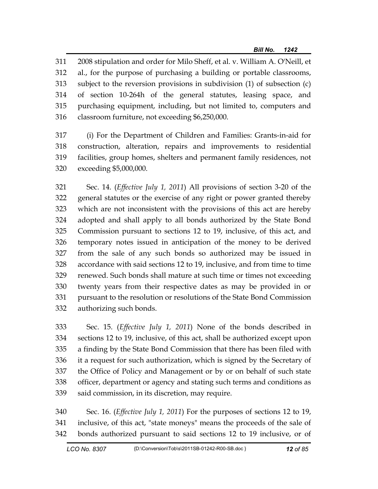311 2008 stipulation and order for Milo Sheff, et al. v. William A. O'Neill, et 312 al., for the purpose of purchasing a building or portable classrooms, 313 subject to the reversion provisions in subdivision (1) of subsection (c) 314 of section 10-264h of the general statutes, leasing space, and 315 purchasing equipment, including, but not limited to, computers and 316 classroom furniture, not exceeding \$6,250,000.

317 (i) For the Department of Children and Families: Grants-in-aid for 318 construction, alteration, repairs and improvements to residential 319 facilities, group homes, shelters and permanent family residences, not 320 exceeding \$5,000,000.

321 Sec. 14. (*Effective July 1, 2011*) All provisions of section 3-20 of the 322 general statutes or the exercise of any right or power granted thereby 323 which are not inconsistent with the provisions of this act are hereby 324 adopted and shall apply to all bonds authorized by the State Bond 325 Commission pursuant to sections 12 to 19, inclusive, of this act, and 326 temporary notes issued in anticipation of the money to be derived 327 from the sale of any such bonds so authorized may be issued in 328 accordance with said sections 12 to 19, inclusive, and from time to time 329 renewed. Such bonds shall mature at such time or times not exceeding 330 twenty years from their respective dates as may be provided in or 331 pursuant to the resolution or resolutions of the State Bond Commission 332 authorizing such bonds.

333 Sec. 15. (*Effective July 1, 2011*) None of the bonds described in 334 sections 12 to 19, inclusive, of this act, shall be authorized except upon 335 a finding by the State Bond Commission that there has been filed with 336 it a request for such authorization, which is signed by the Secretary of 337 the Office of Policy and Management or by or on behalf of such state 338 officer, department or agency and stating such terms and conditions as 339 said commission, in its discretion, may require.

340 Sec. 16. (*Effective July 1, 2011*) For the purposes of sections 12 to 19, 341 inclusive, of this act, "state moneys" means the proceeds of the sale of 342 bonds authorized pursuant to said sections 12 to 19 inclusive, or of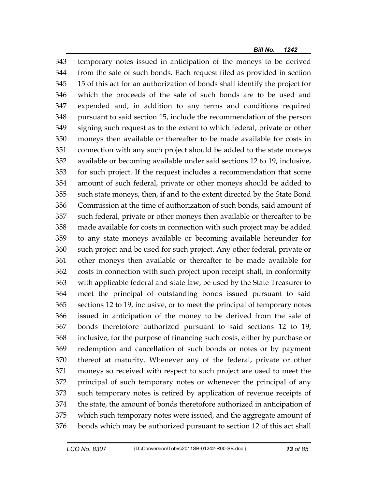343 temporary notes issued in anticipation of the moneys to be derived 344 from the sale of such bonds. Each request filed as provided in section 345 15 of this act for an authorization of bonds shall identify the project for 346 which the proceeds of the sale of such bonds are to be used and 347 expended and, in addition to any terms and conditions required 348 pursuant to said section 15, include the recommendation of the person 349 signing such request as to the extent to which federal, private or other 350 moneys then available or thereafter to be made available for costs in 351 connection with any such project should be added to the state moneys 352 available or becoming available under said sections 12 to 19, inclusive, 353 for such project. If the request includes a recommendation that some 354 amount of such federal, private or other moneys should be added to 355 such state moneys, then, if and to the extent directed by the State Bond 356 Commission at the time of authorization of such bonds, said amount of 357 such federal, private or other moneys then available or thereafter to be 358 made available for costs in connection with such project may be added 359 to any state moneys available or becoming available hereunder for 360 such project and be used for such project. Any other federal, private or 361 other moneys then available or thereafter to be made available for 362 costs in connection with such project upon receipt shall, in conformity 363 with applicable federal and state law, be used by the State Treasurer to 364 meet the principal of outstanding bonds issued pursuant to said 365 sections 12 to 19, inclusive, or to meet the principal of temporary notes 366 issued in anticipation of the money to be derived from the sale of 367 bonds theretofore authorized pursuant to said sections 12 to 19, 368 inclusive, for the purpose of financing such costs, either by purchase or 369 redemption and cancellation of such bonds or notes or by payment 370 thereof at maturity. Whenever any of the federal, private or other 371 moneys so received with respect to such project are used to meet the 372 principal of such temporary notes or whenever the principal of any 373 such temporary notes is retired by application of revenue receipts of 374 the state, the amount of bonds theretofore authorized in anticipation of 375 which such temporary notes were issued, and the aggregate amount of 376 bonds which may be authorized pursuant to section 12 of this act shall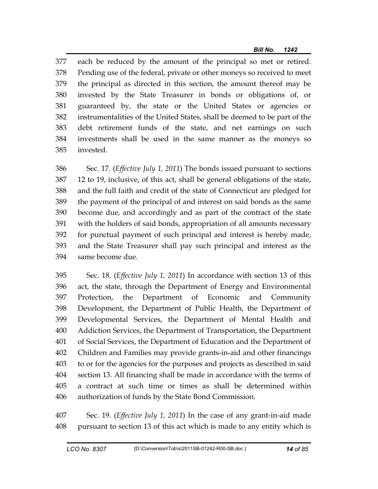377 each be reduced by the amount of the principal so met or retired. 378 Pending use of the federal, private or other moneys so received to meet 379 the principal as directed in this section, the amount thereof may be 380 invested by the State Treasurer in bonds or obligations of, or 381 guaranteed by, the state or the United States or agencies or 382 instrumentalities of the United States, shall be deemed to be part of the 383 debt retirement funds of the state, and net earnings on such 384 investments shall be used in the same manner as the moneys so 385 invested.

386 Sec. 17. (*Effective July 1, 2011*) The bonds issued pursuant to sections 387 12 to 19, inclusive, of this act, shall be general obligations of the state, 388 and the full faith and credit of the state of Connecticut are pledged for 389 the payment of the principal of and interest on said bonds as the same 390 become due, and accordingly and as part of the contract of the state 391 with the holders of said bonds, appropriation of all amounts necessary 392 for punctual payment of such principal and interest is hereby made, 393 and the State Treasurer shall pay such principal and interest as the 394 same become due.

395 Sec. 18. (*Effective July 1, 2011*) In accordance with section 13 of this 396 act, the state, through the Department of Energy and Environmental 397 Protection, the Department of Economic and Community 398 Development, the Department of Public Health, the Department of 399 Developmental Services, the Department of Mental Health and 400 Addiction Services, the Department of Transportation, the Department 401 of Social Services, the Department of Education and the Department of 402 Children and Families may provide grants-in-aid and other financings 403 to or for the agencies for the purposes and projects as described in said 404 section 13. All financing shall be made in accordance with the terms of 405 a contract at such time or times as shall be determined within 406 authorization of funds by the State Bond Commission.

407 Sec. 19. (*Effective July 1, 2011*) In the case of any grant-in-aid made 408 pursuant to section 13 of this act which is made to any entity which is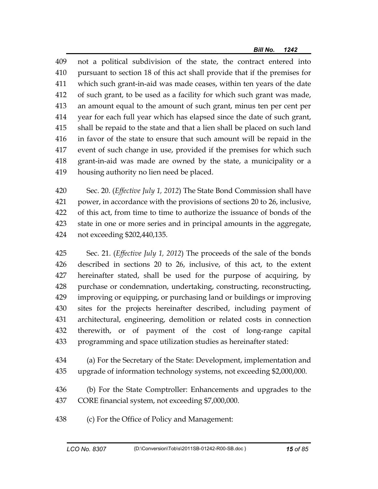409 not a political subdivision of the state, the contract entered into 410 pursuant to section 18 of this act shall provide that if the premises for 411 which such grant-in-aid was made ceases, within ten years of the date 412 of such grant, to be used as a facility for which such grant was made, 413 an amount equal to the amount of such grant, minus ten per cent per 414 year for each full year which has elapsed since the date of such grant, 415 shall be repaid to the state and that a lien shall be placed on such land 416 in favor of the state to ensure that such amount will be repaid in the 417 event of such change in use, provided if the premises for which such 418 grant-in-aid was made are owned by the state, a municipality or a 419 housing authority no lien need be placed.

420 Sec. 20. (*Effective July 1, 2012*) The State Bond Commission shall have 421 power, in accordance with the provisions of sections 20 to 26, inclusive, 422 of this act, from time to time to authorize the issuance of bonds of the 423 state in one or more series and in principal amounts in the aggregate, 424 not exceeding \$202,440,135.

425 Sec. 21. (*Effective July 1, 2012*) The proceeds of the sale of the bonds 426 described in sections 20 to 26, inclusive, of this act, to the extent 427 hereinafter stated, shall be used for the purpose of acquiring, by 428 purchase or condemnation, undertaking, constructing, reconstructing, 429 improving or equipping, or purchasing land or buildings or improving 430 sites for the projects hereinafter described, including payment of 431 architectural, engineering, demolition or related costs in connection 432 therewith, or of payment of the cost of long-range capital 433 programming and space utilization studies as hereinafter stated:

434 (a) For the Secretary of the State: Development, implementation and 435 upgrade of information technology systems, not exceeding \$2,000,000.

436 (b) For the State Comptroller: Enhancements and upgrades to the 437 CORE financial system, not exceeding \$7,000,000.

438 (c) For the Office of Policy and Management: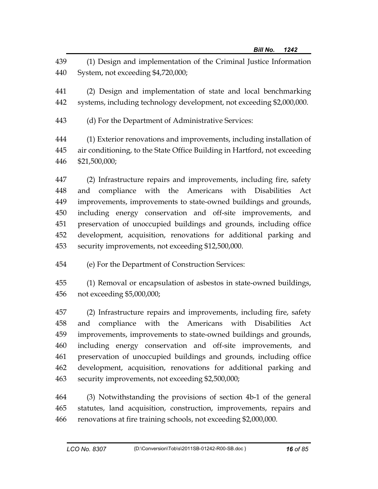439 (1) Design and implementation of the Criminal Justice Information 440 System, not exceeding \$4,720,000;

441 (2) Design and implementation of state and local benchmarking 442 systems, including technology development, not exceeding \$2,000,000.

443 (d) For the Department of Administrative Services:

444 (1) Exterior renovations and improvements, including installation of 445 air conditioning, to the State Office Building in Hartford, not exceeding 446 \$21,500,000;

447 (2) Infrastructure repairs and improvements, including fire, safety 448 and compliance with the Americans with Disabilities Act 449 improvements, improvements to state-owned buildings and grounds, 450 including energy conservation and off-site improvements, and 451 preservation of unoccupied buildings and grounds, including office 452 development, acquisition, renovations for additional parking and 453 security improvements, not exceeding \$12,500,000.

454 (e) For the Department of Construction Services:

455 (1) Removal or encapsulation of asbestos in state-owned buildings, 456 not exceeding \$5,000,000;

457 (2) Infrastructure repairs and improvements, including fire, safety 458 and compliance with the Americans with Disabilities Act 459 improvements, improvements to state-owned buildings and grounds, 460 including energy conservation and off-site improvements, and 461 preservation of unoccupied buildings and grounds, including office 462 development, acquisition, renovations for additional parking and 463 security improvements, not exceeding \$2,500,000;

464 (3) Notwithstanding the provisions of section 4b-1 of the general 465 statutes, land acquisition, construction, improvements, repairs and 466 renovations at fire training schools, not exceeding \$2,000,000.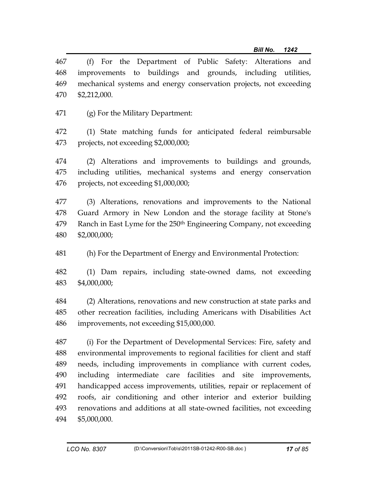467 (f) For the Department of Public Safety: Alterations and 468 improvements to buildings and grounds, including utilities, 469 mechanical systems and energy conservation projects, not exceeding 470 \$2,212,000.

471 (g) For the Military Department:

472 (1) State matching funds for anticipated federal reimbursable 473 projects, not exceeding \$2,000,000;

474 (2) Alterations and improvements to buildings and grounds, 475 including utilities, mechanical systems and energy conservation 476 projects, not exceeding \$1,000,000;

477 (3) Alterations, renovations and improvements to the National 478 Guard Armory in New London and the storage facility at Stone's 479 Ranch in East Lyme for the 250<sup>th</sup> Engineering Company, not exceeding 480 \$2,000,000;

481 (h) For the Department of Energy and Environmental Protection:

482 (1) Dam repairs, including state-owned dams, not exceeding 483 \$4,000,000;

484 (2) Alterations, renovations and new construction at state parks and 485 other recreation facilities, including Americans with Disabilities Act 486 improvements, not exceeding \$15,000,000.

487 (i) For the Department of Developmental Services: Fire, safety and 488 environmental improvements to regional facilities for client and staff 489 needs, including improvements in compliance with current codes, 490 including intermediate care facilities and site improvements, 491 handicapped access improvements, utilities, repair or replacement of 492 roofs, air conditioning and other interior and exterior building 493 renovations and additions at all state-owned facilities, not exceeding 494 \$5,000,000.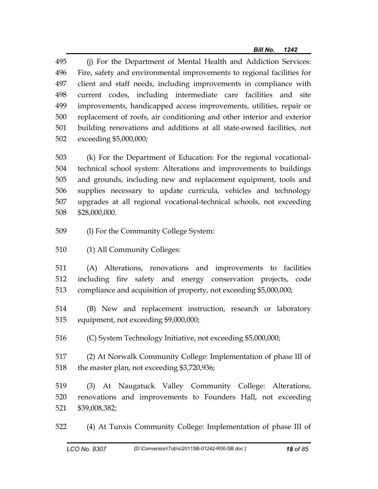495 (j) For the Department of Mental Health and Addiction Services: 496 Fire, safety and environmental improvements to regional facilities for 497 client and staff needs, including improvements in compliance with 498 current codes, including intermediate care facilities and site 499 improvements, handicapped access improvements, utilities, repair or 500 replacement of roofs, air conditioning and other interior and exterior 501 building renovations and additions at all state-owned facilities, not 502 exceeding \$5,000,000;

503 (k) For the Department of Education: For the regional vocational-504 technical school system: Alterations and improvements to buildings 505 and grounds, including new and replacement equipment, tools and 506 supplies necessary to update curricula, vehicles and technology 507 upgrades at all regional vocational-technical schools, not exceeding 508 \$28,000,000.

- 509 (l) For the Community College System:
- 510 (1) All Community Colleges:

511 (A) Alterations, renovations and improvements to facilities 512 including fire safety and energy conservation projects, code 513 compliance and acquisition of property, not exceeding \$5,000,000;

514 (B) New and replacement instruction, research or laboratory 515 equipment, not exceeding \$9,000,000;

516 (C) System Technology Initiative, not exceeding \$5,000,000;

517 (2) At Norwalk Community College: Implementation of phase III of 518 the master plan, not exceeding \$3,720,936;

519 (3) At Naugatuck Valley Community College: Alterations, 520 renovations and improvements to Founders Hall, not exceeding 521 \$39,008,382;

522 (4) At Tunxis Community College: Implementation of phase III of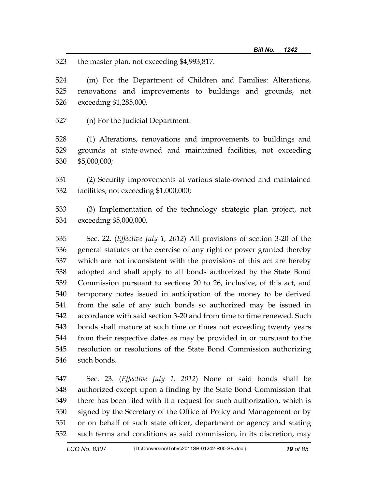523 the master plan, not exceeding \$4,993,817.

524 (m) For the Department of Children and Families: Alterations, 525 renovations and improvements to buildings and grounds, not 526 exceeding \$1,285,000.

527 (n) For the Judicial Department:

528 (1) Alterations, renovations and improvements to buildings and 529 grounds at state-owned and maintained facilities, not exceeding 530 \$5,000,000;

531 (2) Security improvements at various state-owned and maintained 532 facilities, not exceeding \$1,000,000;

533 (3) Implementation of the technology strategic plan project, not 534 exceeding \$5,000,000.

535 Sec. 22. (*Effective July 1, 2012*) All provisions of section 3-20 of the 536 general statutes or the exercise of any right or power granted thereby 537 which are not inconsistent with the provisions of this act are hereby 538 adopted and shall apply to all bonds authorized by the State Bond 539 Commission pursuant to sections 20 to 26, inclusive, of this act, and 540 temporary notes issued in anticipation of the money to be derived 541 from the sale of any such bonds so authorized may be issued in 542 accordance with said section 3-20 and from time to time renewed. Such 543 bonds shall mature at such time or times not exceeding twenty years 544 from their respective dates as may be provided in or pursuant to the 545 resolution or resolutions of the State Bond Commission authorizing 546 such bonds.

547 Sec. 23. (*Effective July 1, 2012*) None of said bonds shall be 548 authorized except upon a finding by the State Bond Commission that 549 there has been filed with it a request for such authorization, which is 550 signed by the Secretary of the Office of Policy and Management or by 551 or on behalf of such state officer, department or agency and stating 552 such terms and conditions as said commission, in its discretion, may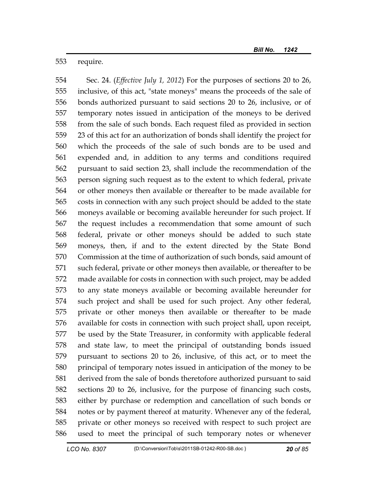553 require.

554 Sec. 24. (*Effective July 1, 2012*) For the purposes of sections 20 to 26, 555 inclusive, of this act, "state moneys" means the proceeds of the sale of 556 bonds authorized pursuant to said sections 20 to 26, inclusive, or of 557 temporary notes issued in anticipation of the moneys to be derived 558 from the sale of such bonds. Each request filed as provided in section 559 23 of this act for an authorization of bonds shall identify the project for 560 which the proceeds of the sale of such bonds are to be used and 561 expended and, in addition to any terms and conditions required 562 pursuant to said section 23, shall include the recommendation of the 563 person signing such request as to the extent to which federal, private 564 or other moneys then available or thereafter to be made available for 565 costs in connection with any such project should be added to the state 566 moneys available or becoming available hereunder for such project. If 567 the request includes a recommendation that some amount of such 568 federal, private or other moneys should be added to such state 569 moneys, then, if and to the extent directed by the State Bond 570 Commission at the time of authorization of such bonds, said amount of 571 such federal, private or other moneys then available, or thereafter to be 572 made available for costs in connection with such project, may be added 573 to any state moneys available or becoming available hereunder for 574 such project and shall be used for such project. Any other federal, 575 private or other moneys then available or thereafter to be made 576 available for costs in connection with such project shall, upon receipt, 577 be used by the State Treasurer, in conformity with applicable federal 578 and state law, to meet the principal of outstanding bonds issued 579 pursuant to sections 20 to 26, inclusive, of this act, or to meet the 580 principal of temporary notes issued in anticipation of the money to be 581 derived from the sale of bonds theretofore authorized pursuant to said 582 sections 20 to 26, inclusive, for the purpose of financing such costs, 583 either by purchase or redemption and cancellation of such bonds or 584 notes or by payment thereof at maturity. Whenever any of the federal, 585 private or other moneys so received with respect to such project are 586 used to meet the principal of such temporary notes or whenever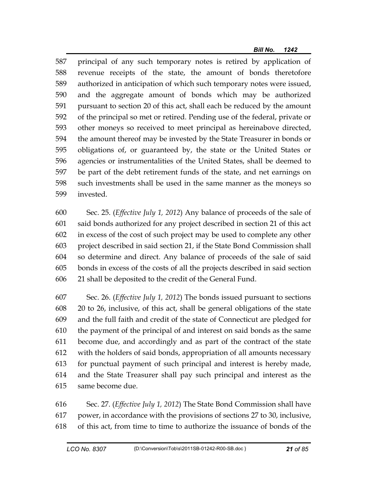587 principal of any such temporary notes is retired by application of 588 revenue receipts of the state, the amount of bonds theretofore 589 authorized in anticipation of which such temporary notes were issued, 590 and the aggregate amount of bonds which may be authorized 591 pursuant to section 20 of this act, shall each be reduced by the amount 592 of the principal so met or retired. Pending use of the federal, private or 593 other moneys so received to meet principal as hereinabove directed, 594 the amount thereof may be invested by the State Treasurer in bonds or 595 obligations of, or guaranteed by, the state or the United States or 596 agencies or instrumentalities of the United States, shall be deemed to 597 be part of the debt retirement funds of the state, and net earnings on 598 such investments shall be used in the same manner as the moneys so 599 invested.

600 Sec. 25. (*Effective July 1, 2012*) Any balance of proceeds of the sale of 601 said bonds authorized for any project described in section 21 of this act 602 in excess of the cost of such project may be used to complete any other 603 project described in said section 21, if the State Bond Commission shall 604 so determine and direct. Any balance of proceeds of the sale of said 605 bonds in excess of the costs of all the projects described in said section 606 21 shall be deposited to the credit of the General Fund.

607 Sec. 26. (*Effective July 1, 2012*) The bonds issued pursuant to sections 608 20 to 26, inclusive, of this act, shall be general obligations of the state 609 and the full faith and credit of the state of Connecticut are pledged for 610 the payment of the principal of and interest on said bonds as the same 611 become due, and accordingly and as part of the contract of the state 612 with the holders of said bonds, appropriation of all amounts necessary 613 for punctual payment of such principal and interest is hereby made, 614 and the State Treasurer shall pay such principal and interest as the 615 same become due.

616 Sec. 27. (*Effective July 1, 2012*) The State Bond Commission shall have 617 power, in accordance with the provisions of sections 27 to 30, inclusive, 618 of this act, from time to time to authorize the issuance of bonds of the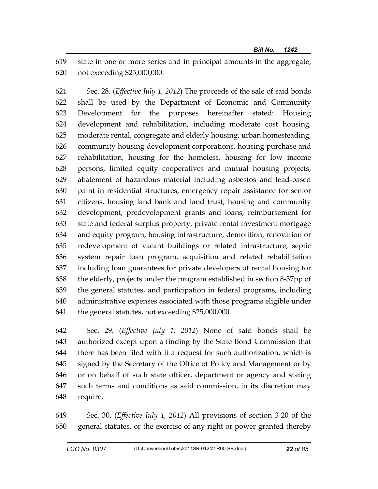619 state in one or more series and in principal amounts in the aggregate, 620 not exceeding \$25,000,000.

621 Sec. 28. (*Effective July 1, 2012*) The proceeds of the sale of said bonds 622 shall be used by the Department of Economic and Community 623 Development for the purposes hereinafter stated: Housing 624 development and rehabilitation, including moderate cost housing, 625 moderate rental, congregate and elderly housing, urban homesteading, 626 community housing development corporations, housing purchase and 627 rehabilitation, housing for the homeless, housing for low income 628 persons, limited equity cooperatives and mutual housing projects, 629 abatement of hazardous material including asbestos and lead-based 630 paint in residential structures, emergency repair assistance for senior 631 citizens, housing land bank and land trust, housing and community 632 development, predevelopment grants and loans, reimbursement for 633 state and federal surplus property, private rental investment mortgage 634 and equity program, housing infrastructure, demolition, renovation or 635 redevelopment of vacant buildings or related infrastructure, septic 636 system repair loan program, acquisition and related rehabilitation 637 including loan guarantees for private developers of rental housing for 638 the elderly, projects under the program established in section 8-37pp of 639 the general statutes, and participation in federal programs, including 640 administrative expenses associated with those programs eligible under 641 the general statutes, not exceeding \$25,000,000.

642 Sec. 29. (*Effective July 1, 2012*) None of said bonds shall be 643 authorized except upon a finding by the State Bond Commission that 644 there has been filed with it a request for such authorization, which is 645 signed by the Secretary of the Office of Policy and Management or by 646 or on behalf of such state officer, department or agency and stating 647 such terms and conditions as said commission, in its discretion may 648 require.

649 Sec. 30. (*Effective July 1, 2012*) All provisions of section 3-20 of the 650 general statutes, or the exercise of any right or power granted thereby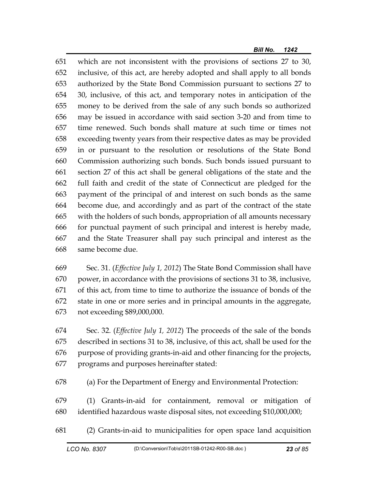651 which are not inconsistent with the provisions of sections 27 to 30, 652 inclusive, of this act, are hereby adopted and shall apply to all bonds 653 authorized by the State Bond Commission pursuant to sections 27 to 654 30, inclusive, of this act, and temporary notes in anticipation of the 655 money to be derived from the sale of any such bonds so authorized 656 may be issued in accordance with said section 3-20 and from time to 657 time renewed. Such bonds shall mature at such time or times not 658 exceeding twenty years from their respective dates as may be provided 659 in or pursuant to the resolution or resolutions of the State Bond 660 Commission authorizing such bonds. Such bonds issued pursuant to 661 section 27 of this act shall be general obligations of the state and the 662 full faith and credit of the state of Connecticut are pledged for the 663 payment of the principal of and interest on such bonds as the same 664 become due, and accordingly and as part of the contract of the state 665 with the holders of such bonds, appropriation of all amounts necessary 666 for punctual payment of such principal and interest is hereby made, 667 and the State Treasurer shall pay such principal and interest as the 668 same become due.

669 Sec. 31. (*Effective July 1, 2012*) The State Bond Commission shall have 670 power, in accordance with the provisions of sections 31 to 38, inclusive, 671 of this act, from time to time to authorize the issuance of bonds of the 672 state in one or more series and in principal amounts in the aggregate, 673 not exceeding \$89,000,000.

674 Sec. 32. (*Effective July 1, 2012*) The proceeds of the sale of the bonds 675 described in sections 31 to 38, inclusive, of this act, shall be used for the 676 purpose of providing grants-in-aid and other financing for the projects, 677 programs and purposes hereinafter stated:

678 (a) For the Department of Energy and Environmental Protection:

679 (1) Grants-in-aid for containment, removal or mitigation of 680 identified hazardous waste disposal sites, not exceeding \$10,000,000;

681 (2) Grants-in-aid to municipalities for open space land acquisition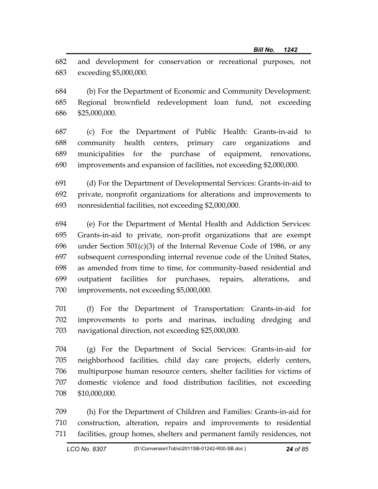682 and development for conservation or recreational purposes, not 683 exceeding \$5,000,000.

684 (b) For the Department of Economic and Community Development: 685 Regional brownfield redevelopment loan fund, not exceeding 686 \$25,000,000.

687 (c) For the Department of Public Health: Grants-in-aid to 688 community health centers, primary care organizations and 689 municipalities for the purchase of equipment, renovations, 690 improvements and expansion of facilities, not exceeding \$2,000,000.

691 (d) For the Department of Developmental Services: Grants-in-aid to 692 private, nonprofit organizations for alterations and improvements to 693 nonresidential facilities, not exceeding \$2,000,000.

694 (e) For the Department of Mental Health and Addiction Services: 695 Grants-in-aid to private, non-profit organizations that are exempt 696 under Section  $501(c)(3)$  of the Internal Revenue Code of 1986, or any 697 subsequent corresponding internal revenue code of the United States, 698 as amended from time to time, for community-based residential and 699 outpatient facilities for purchases, repairs, alterations, and 700 improvements, not exceeding \$5,000,000.

701 (f) For the Department of Transportation: Grants-in-aid for 702 improvements to ports and marinas, including dredging and 703 navigational direction, not exceeding \$25,000,000.

704 (g) For the Department of Social Services: Grants-in-aid for 705 neighborhood facilities, child day care projects, elderly centers, 706 multipurpose human resource centers, shelter facilities for victims of 707 domestic violence and food distribution facilities, not exceeding 708 \$10,000,000.

709 (h) For the Department of Children and Families: Grants-in-aid for 710 construction, alteration, repairs and improvements to residential 711 facilities, group homes, shelters and permanent family residences, not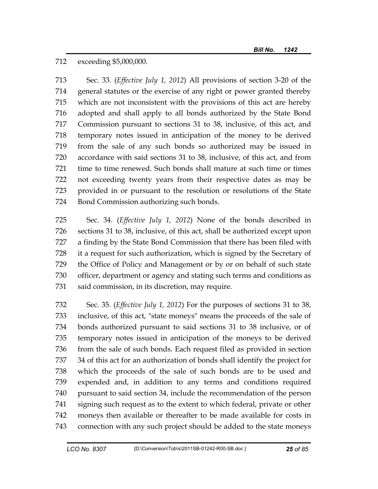712 exceeding \$5,000,000.

713 Sec. 33. (*Effective July 1, 2012*) All provisions of section 3-20 of the 714 general statutes or the exercise of any right or power granted thereby 715 which are not inconsistent with the provisions of this act are hereby 716 adopted and shall apply to all bonds authorized by the State Bond 717 Commission pursuant to sections 31 to 38, inclusive, of this act, and 718 temporary notes issued in anticipation of the money to be derived 719 from the sale of any such bonds so authorized may be issued in 720 accordance with said sections 31 to 38, inclusive, of this act, and from 721 time to time renewed. Such bonds shall mature at such time or times 722 not exceeding twenty years from their respective dates as may be 723 provided in or pursuant to the resolution or resolutions of the State 724 Bond Commission authorizing such bonds.

725 Sec. 34. (*Effective July 1, 2012*) None of the bonds described in 726 sections 31 to 38, inclusive, of this act, shall be authorized except upon 727 a finding by the State Bond Commission that there has been filed with 728 it a request for such authorization, which is signed by the Secretary of 729 the Office of Policy and Management or by or on behalf of such state 730 officer, department or agency and stating such terms and conditions as 731 said commission, in its discretion, may require.

732 Sec. 35. (*Effective July 1, 2012*) For the purposes of sections 31 to 38, 733 inclusive, of this act, "state moneys" means the proceeds of the sale of 734 bonds authorized pursuant to said sections 31 to 38 inclusive, or of 735 temporary notes issued in anticipation of the moneys to be derived 736 from the sale of such bonds. Each request filed as provided in section 737 34 of this act for an authorization of bonds shall identify the project for 738 which the proceeds of the sale of such bonds are to be used and 739 expended and, in addition to any terms and conditions required 740 pursuant to said section 34, include the recommendation of the person 741 signing such request as to the extent to which federal, private or other 742 moneys then available or thereafter to be made available for costs in 743 connection with any such project should be added to the state moneys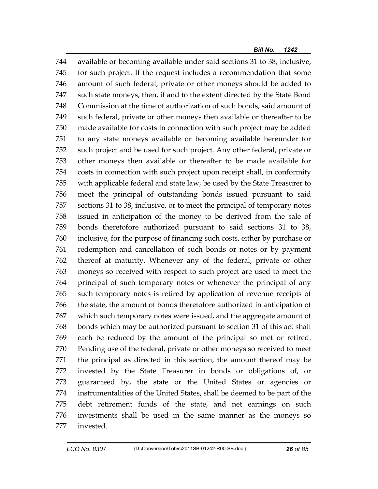744 available or becoming available under said sections 31 to 38, inclusive, 745 for such project. If the request includes a recommendation that some 746 amount of such federal, private or other moneys should be added to 747 such state moneys, then, if and to the extent directed by the State Bond 748 Commission at the time of authorization of such bonds, said amount of 749 such federal, private or other moneys then available or thereafter to be 750 made available for costs in connection with such project may be added 751 to any state moneys available or becoming available hereunder for 752 such project and be used for such project. Any other federal, private or 753 other moneys then available or thereafter to be made available for 754 costs in connection with such project upon receipt shall, in conformity 755 with applicable federal and state law, be used by the State Treasurer to 756 meet the principal of outstanding bonds issued pursuant to said 757 sections 31 to 38, inclusive, or to meet the principal of temporary notes 758 issued in anticipation of the money to be derived from the sale of 759 bonds theretofore authorized pursuant to said sections 31 to 38, 760 inclusive, for the purpose of financing such costs, either by purchase or 761 redemption and cancellation of such bonds or notes or by payment 762 thereof at maturity. Whenever any of the federal, private or other 763 moneys so received with respect to such project are used to meet the 764 principal of such temporary notes or whenever the principal of any 765 such temporary notes is retired by application of revenue receipts of 766 the state, the amount of bonds theretofore authorized in anticipation of 767 which such temporary notes were issued, and the aggregate amount of 768 bonds which may be authorized pursuant to section 31 of this act shall 769 each be reduced by the amount of the principal so met or retired. 770 Pending use of the federal, private or other moneys so received to meet 771 the principal as directed in this section, the amount thereof may be 772 invested by the State Treasurer in bonds or obligations of, or 773 guaranteed by, the state or the United States or agencies or 774 instrumentalities of the United States, shall be deemed to be part of the 775 debt retirement funds of the state, and net earnings on such 776 investments shall be used in the same manner as the moneys so 777 invested.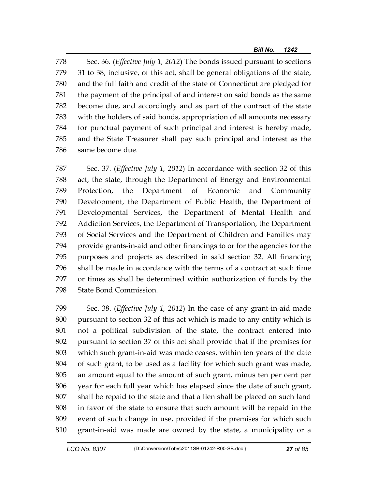778 Sec. 36. (*Effective July 1, 2012*) The bonds issued pursuant to sections 779 31 to 38, inclusive, of this act, shall be general obligations of the state, 780 and the full faith and credit of the state of Connecticut are pledged for 781 the payment of the principal of and interest on said bonds as the same 782 become due, and accordingly and as part of the contract of the state 783 with the holders of said bonds, appropriation of all amounts necessary 784 for punctual payment of such principal and interest is hereby made, 785 and the State Treasurer shall pay such principal and interest as the 786 same become due.

787 Sec. 37. (*Effective July 1, 2012*) In accordance with section 32 of this 788 act, the state, through the Department of Energy and Environmental 789 Protection, the Department of Economic and Community 790 Development, the Department of Public Health, the Department of 791 Developmental Services, the Department of Mental Health and 792 Addiction Services, the Department of Transportation, the Department 793 of Social Services and the Department of Children and Families may 794 provide grants-in-aid and other financings to or for the agencies for the 795 purposes and projects as described in said section 32. All financing 796 shall be made in accordance with the terms of a contract at such time 797 or times as shall be determined within authorization of funds by the 798 State Bond Commission.

799 Sec. 38. (*Effective July 1, 2012*) In the case of any grant-in-aid made 800 pursuant to section 32 of this act which is made to any entity which is 801 not a political subdivision of the state, the contract entered into 802 pursuant to section 37 of this act shall provide that if the premises for 803 which such grant-in-aid was made ceases, within ten years of the date 804 of such grant, to be used as a facility for which such grant was made, 805 an amount equal to the amount of such grant, minus ten per cent per 806 year for each full year which has elapsed since the date of such grant, 807 shall be repaid to the state and that a lien shall be placed on such land 808 in favor of the state to ensure that such amount will be repaid in the 809 event of such change in use, provided if the premises for which such 810 grant-in-aid was made are owned by the state, a municipality or a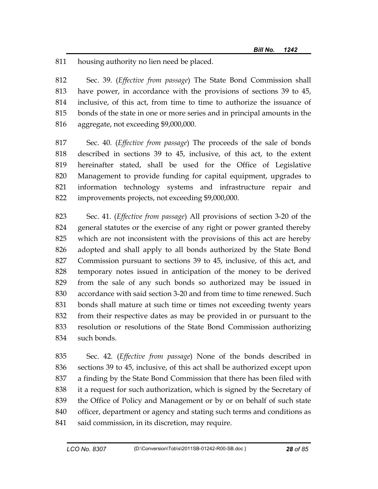811 housing authority no lien need be placed.

812 Sec. 39. (*Effective from passage*) The State Bond Commission shall 813 have power, in accordance with the provisions of sections 39 to 45, 814 inclusive, of this act, from time to time to authorize the issuance of 815 bonds of the state in one or more series and in principal amounts in the 816 aggregate, not exceeding \$9,000,000.

817 Sec. 40. (*Effective from passage*) The proceeds of the sale of bonds 818 described in sections 39 to 45, inclusive, of this act, to the extent 819 hereinafter stated, shall be used for the Office of Legislative 820 Management to provide funding for capital equipment, upgrades to 821 information technology systems and infrastructure repair and 822 improvements projects, not exceeding \$9,000,000.

823 Sec. 41. (*Effective from passage*) All provisions of section 3-20 of the 824 general statutes or the exercise of any right or power granted thereby 825 which are not inconsistent with the provisions of this act are hereby 826 adopted and shall apply to all bonds authorized by the State Bond 827 Commission pursuant to sections 39 to 45, inclusive, of this act, and 828 temporary notes issued in anticipation of the money to be derived 829 from the sale of any such bonds so authorized may be issued in 830 accordance with said section 3-20 and from time to time renewed. Such 831 bonds shall mature at such time or times not exceeding twenty years 832 from their respective dates as may be provided in or pursuant to the 833 resolution or resolutions of the State Bond Commission authorizing 834 such bonds.

835 Sec. 42. (*Effective from passage*) None of the bonds described in 836 sections 39 to 45, inclusive, of this act shall be authorized except upon 837 a finding by the State Bond Commission that there has been filed with 838 it a request for such authorization, which is signed by the Secretary of 839 the Office of Policy and Management or by or on behalf of such state 840 officer, department or agency and stating such terms and conditions as 841 said commission, in its discretion, may require.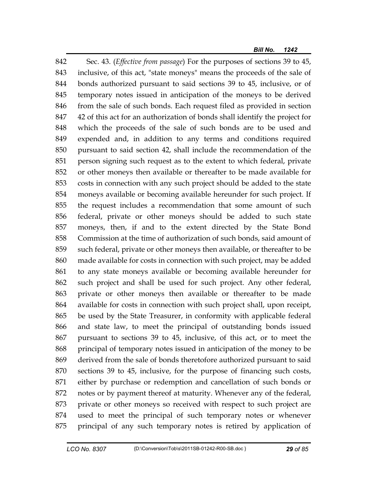842 Sec. 43. (*Effective from passage*) For the purposes of sections 39 to 45, 843 inclusive, of this act, "state moneys" means the proceeds of the sale of 844 bonds authorized pursuant to said sections 39 to 45, inclusive, or of 845 temporary notes issued in anticipation of the moneys to be derived 846 from the sale of such bonds. Each request filed as provided in section 847 42 of this act for an authorization of bonds shall identify the project for 848 which the proceeds of the sale of such bonds are to be used and 849 expended and, in addition to any terms and conditions required 850 pursuant to said section 42, shall include the recommendation of the 851 person signing such request as to the extent to which federal, private 852 or other moneys then available or thereafter to be made available for 853 costs in connection with any such project should be added to the state 854 moneys available or becoming available hereunder for such project. If 855 the request includes a recommendation that some amount of such 856 federal, private or other moneys should be added to such state 857 moneys, then, if and to the extent directed by the State Bond 858 Commission at the time of authorization of such bonds, said amount of 859 such federal, private or other moneys then available, or thereafter to be 860 made available for costs in connection with such project, may be added 861 to any state moneys available or becoming available hereunder for 862 such project and shall be used for such project. Any other federal, 863 private or other moneys then available or thereafter to be made 864 available for costs in connection with such project shall, upon receipt, 865 be used by the State Treasurer, in conformity with applicable federal 866 and state law, to meet the principal of outstanding bonds issued 867 pursuant to sections 39 to 45, inclusive, of this act, or to meet the 868 principal of temporary notes issued in anticipation of the money to be 869 derived from the sale of bonds theretofore authorized pursuant to said 870 sections 39 to 45, inclusive, for the purpose of financing such costs, 871 either by purchase or redemption and cancellation of such bonds or 872 notes or by payment thereof at maturity. Whenever any of the federal, 873 private or other moneys so received with respect to such project are 874 used to meet the principal of such temporary notes or whenever 875 principal of any such temporary notes is retired by application of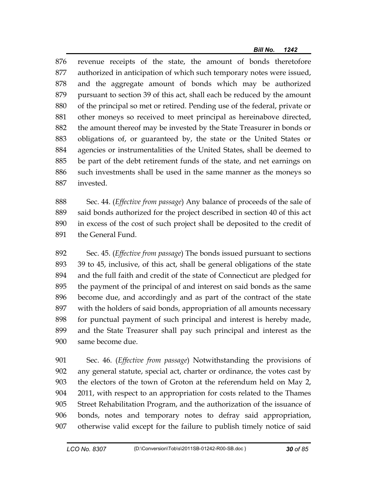876 revenue receipts of the state, the amount of bonds theretofore 877 authorized in anticipation of which such temporary notes were issued, 878 and the aggregate amount of bonds which may be authorized 879 pursuant to section 39 of this act, shall each be reduced by the amount 880 of the principal so met or retired. Pending use of the federal, private or 881 other moneys so received to meet principal as hereinabove directed, 882 the amount thereof may be invested by the State Treasurer in bonds or 883 obligations of, or guaranteed by, the state or the United States or 884 agencies or instrumentalities of the United States, shall be deemed to 885 be part of the debt retirement funds of the state, and net earnings on 886 such investments shall be used in the same manner as the moneys so 887 invested.

888 Sec. 44. (*Effective from passage*) Any balance of proceeds of the sale of 889 said bonds authorized for the project described in section 40 of this act 890 in excess of the cost of such project shall be deposited to the credit of 891 the General Fund.

892 Sec. 45. (*Effective from passage*) The bonds issued pursuant to sections 893 39 to 45, inclusive, of this act, shall be general obligations of the state 894 and the full faith and credit of the state of Connecticut are pledged for 895 the payment of the principal of and interest on said bonds as the same 896 become due, and accordingly and as part of the contract of the state 897 with the holders of said bonds, appropriation of all amounts necessary 898 for punctual payment of such principal and interest is hereby made, 899 and the State Treasurer shall pay such principal and interest as the 900 same become due.

901 Sec. 46. (*Effective from passage*) Notwithstanding the provisions of 902 any general statute, special act, charter or ordinance, the votes cast by 903 the electors of the town of Groton at the referendum held on May 2, 904 2011, with respect to an appropriation for costs related to the Thames 905 Street Rehabilitation Program, and the authorization of the issuance of 906 bonds, notes and temporary notes to defray said appropriation, 907 otherwise valid except for the failure to publish timely notice of said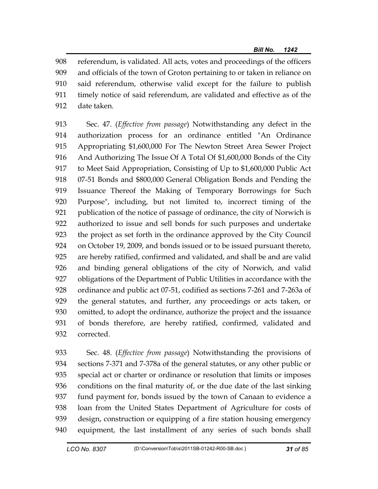908 referendum, is validated. All acts, votes and proceedings of the officers 909 and officials of the town of Groton pertaining to or taken in reliance on 910 said referendum, otherwise valid except for the failure to publish 911 timely notice of said referendum, are validated and effective as of the 912 date taken.

913 Sec. 47. (*Effective from passage*) Notwithstanding any defect in the 914 authorization process for an ordinance entitled "An Ordinance 915 Appropriating \$1,600,000 For The Newton Street Area Sewer Project 916 And Authorizing The Issue Of A Total Of \$1,600,000 Bonds of the City 917 to Meet Said Appropriation, Consisting of Up to \$1,600,000 Public Act 918 07-51 Bonds and \$800,000 General Obligation Bonds and Pending the 919 Issuance Thereof the Making of Temporary Borrowings for Such 920 Purpose", including, but not limited to, incorrect timing of the 921 publication of the notice of passage of ordinance, the city of Norwich is 922 authorized to issue and sell bonds for such purposes and undertake 923 the project as set forth in the ordinance approved by the City Council 924 on October 19, 2009, and bonds issued or to be issued pursuant thereto, 925 are hereby ratified, confirmed and validated, and shall be and are valid 926 and binding general obligations of the city of Norwich, and valid 927 obligations of the Department of Public Utilities in accordance with the 928 ordinance and public act 07-51, codified as sections 7-261 and 7-263a of 929 the general statutes, and further, any proceedings or acts taken, or 930 omitted, to adopt the ordinance, authorize the project and the issuance 931 of bonds therefore, are hereby ratified, confirmed, validated and 932 corrected.

933 Sec. 48. (*Effective from passage*) Notwithstanding the provisions of 934 sections 7-371 and 7-378a of the general statutes, or any other public or 935 special act or charter or ordinance or resolution that limits or imposes 936 conditions on the final maturity of, or the due date of the last sinking 937 fund payment for, bonds issued by the town of Canaan to evidence a 938 loan from the United States Department of Agriculture for costs of 939 design, construction or equipping of a fire station housing emergency 940 equipment, the last installment of any series of such bonds shall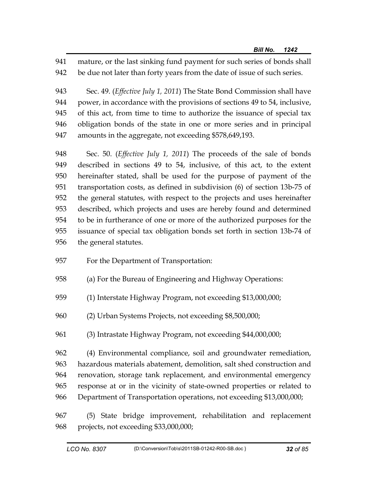941 mature, or the last sinking fund payment for such series of bonds shall 942 be due not later than forty years from the date of issue of such series.

943 Sec. 49. (*Effective July 1, 2011*) The State Bond Commission shall have 944 power, in accordance with the provisions of sections 49 to 54, inclusive, 945 of this act, from time to time to authorize the issuance of special tax 946 obligation bonds of the state in one or more series and in principal 947 amounts in the aggregate, not exceeding \$578,649,193.

948 Sec. 50. (*Effective July 1, 2011*) The proceeds of the sale of bonds 949 described in sections 49 to 54, inclusive, of this act, to the extent 950 hereinafter stated, shall be used for the purpose of payment of the 951 transportation costs, as defined in subdivision (6) of section 13b-75 of 952 the general statutes, with respect to the projects and uses hereinafter 953 described, which projects and uses are hereby found and determined 954 to be in furtherance of one or more of the authorized purposes for the 955 issuance of special tax obligation bonds set forth in section 13b-74 of 956 the general statutes.

- 957 For the Department of Transportation:
- 958 (a) For the Bureau of Engineering and Highway Operations:
- 959 (1) Interstate Highway Program, not exceeding \$13,000,000;
- 960 (2) Urban Systems Projects, not exceeding \$8,500,000;
- 961 (3) Intrastate Highway Program, not exceeding \$44,000,000;

962 (4) Environmental compliance, soil and groundwater remediation, 963 hazardous materials abatement, demolition, salt shed construction and 964 renovation, storage tank replacement, and environmental emergency 965 response at or in the vicinity of state-owned properties or related to 966 Department of Transportation operations, not exceeding \$13,000,000;

967 (5) State bridge improvement, rehabilitation and replacement 968 projects, not exceeding \$33,000,000;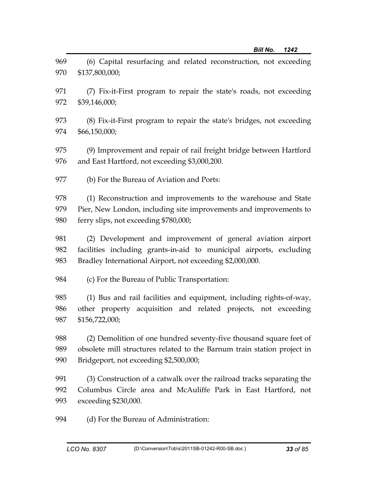| 969 | (6) Capital resurfacing and related reconstruction, not exceeding       |
|-----|-------------------------------------------------------------------------|
| 970 | \$137,800,000;                                                          |
| 971 | (7) Fix-it-First program to repair the state's roads, not exceeding     |
| 972 | \$39,146,000;                                                           |
| 973 | (8) Fix-it-First program to repair the state's bridges, not exceeding   |
| 974 | \$66,150,000;                                                           |
| 975 | (9) Improvement and repair of rail freight bridge between Hartford      |
| 976 | and East Hartford, not exceeding \$3,000,200.                           |
| 977 | (b) For the Bureau of Aviation and Ports:                               |
| 978 | (1) Reconstruction and improvements to the warehouse and State          |
| 979 | Pier, New London, including site improvements and improvements to       |
| 980 | ferry slips, not exceeding \$780,000;                                   |
| 981 | (2) Development and improvement of general aviation airport             |
| 982 | facilities including grants-in-aid to municipal airports, excluding     |
| 983 | Bradley International Airport, not exceeding \$2,000,000.               |
| 984 | (c) For the Bureau of Public Transportation:                            |
| 985 | (1) Bus and rail facilities and equipment, including rights-of-way,     |
| 986 | other property acquisition and related projects, not exceeding          |
| 987 | \$156,722,000;                                                          |
| 988 | (2) Demolition of one hundred seventy-five thousand square feet of      |
| 989 | obsolete mill structures related to the Barnum train station project in |
| 990 | Bridgeport, not exceeding \$2,500,000;                                  |
| 991 | (3) Construction of a catwalk over the railroad tracks separating the   |
| 992 | Columbus Circle area and McAuliffe Park in East Hartford, not           |
| 993 | exceeding \$230,000.                                                    |
| 994 | (d) For the Bureau of Administration:                                   |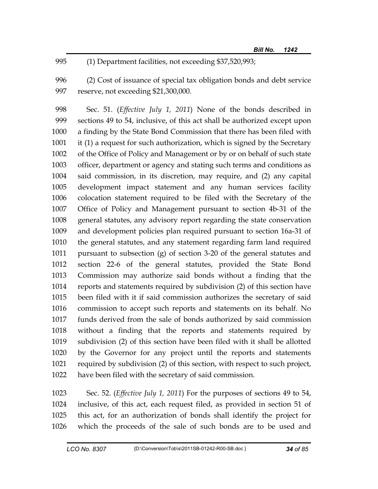995 (1) Department facilities, not exceeding \$37,520,993;

996 (2) Cost of issuance of special tax obligation bonds and debt service 997 reserve, not exceeding \$21,300,000.

998 Sec. 51. (*Effective July 1, 2011*) None of the bonds described in 999 sections 49 to 54, inclusive, of this act shall be authorized except upon 1000 a finding by the State Bond Commission that there has been filed with 1001 it (1) a request for such authorization, which is signed by the Secretary 1002 of the Office of Policy and Management or by or on behalf of such state 1003 officer, department or agency and stating such terms and conditions as 1004 said commission, in its discretion, may require, and (2) any capital 1005 development impact statement and any human services facility 1006 colocation statement required to be filed with the Secretary of the 1007 Office of Policy and Management pursuant to section 4b-31 of the 1008 general statutes, any advisory report regarding the state conservation 1009 and development policies plan required pursuant to section 16a-31 of 1010 the general statutes, and any statement regarding farm land required 1011 pursuant to subsection (g) of section 3-20 of the general statutes and 1012 section 22-6 of the general statutes, provided the State Bond 1013 Commission may authorize said bonds without a finding that the 1014 reports and statements required by subdivision (2) of this section have 1015 been filed with it if said commission authorizes the secretary of said 1016 commission to accept such reports and statements on its behalf. No 1017 funds derived from the sale of bonds authorized by said commission 1018 without a finding that the reports and statements required by 1019 subdivision (2) of this section have been filed with it shall be allotted 1020 by the Governor for any project until the reports and statements 1021 required by subdivision (2) of this section, with respect to such project, 1022 have been filed with the secretary of said commission.

1023 Sec. 52. (*Effective July 1, 2011*) For the purposes of sections 49 to 54, 1024 inclusive, of this act, each request filed, as provided in section 51 of 1025 this act, for an authorization of bonds shall identify the project for 1026 which the proceeds of the sale of such bonds are to be used and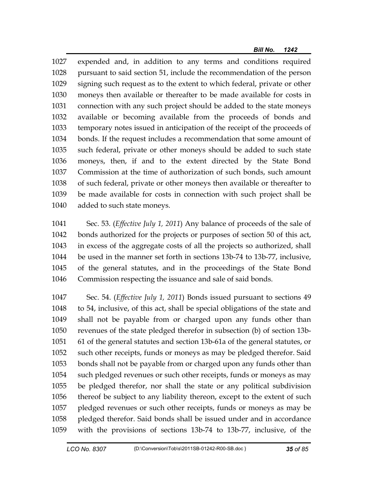1027 expended and, in addition to any terms and conditions required 1028 pursuant to said section 51, include the recommendation of the person 1029 signing such request as to the extent to which federal, private or other 1030 moneys then available or thereafter to be made available for costs in 1031 connection with any such project should be added to the state moneys 1032 available or becoming available from the proceeds of bonds and 1033 temporary notes issued in anticipation of the receipt of the proceeds of 1034 bonds. If the request includes a recommendation that some amount of 1035 such federal, private or other moneys should be added to such state 1036 moneys, then, if and to the extent directed by the State Bond 1037 Commission at the time of authorization of such bonds, such amount 1038 of such federal, private or other moneys then available or thereafter to 1039 be made available for costs in connection with such project shall be 1040 added to such state moneys.

1041 Sec. 53. (*Effective July 1, 2011*) Any balance of proceeds of the sale of 1042 bonds authorized for the projects or purposes of section 50 of this act, 1043 in excess of the aggregate costs of all the projects so authorized, shall 1044 be used in the manner set forth in sections 13b-74 to 13b-77, inclusive, 1045 of the general statutes, and in the proceedings of the State Bond 1046 Commission respecting the issuance and sale of said bonds.

1047 Sec. 54. (*Effective July 1, 2011*) Bonds issued pursuant to sections 49 1048 to 54, inclusive, of this act, shall be special obligations of the state and 1049 shall not be payable from or charged upon any funds other than 1050 revenues of the state pledged therefor in subsection (b) of section 13b-1051 61 of the general statutes and section 13b-61a of the general statutes, or 1052 such other receipts, funds or moneys as may be pledged therefor. Said 1053 bonds shall not be payable from or charged upon any funds other than 1054 such pledged revenues or such other receipts, funds or moneys as may 1055 be pledged therefor, nor shall the state or any political subdivision 1056 thereof be subject to any liability thereon, except to the extent of such 1057 pledged revenues or such other receipts, funds or moneys as may be 1058 pledged therefor. Said bonds shall be issued under and in accordance 1059 with the provisions of sections 13b-74 to 13b-77, inclusive, of the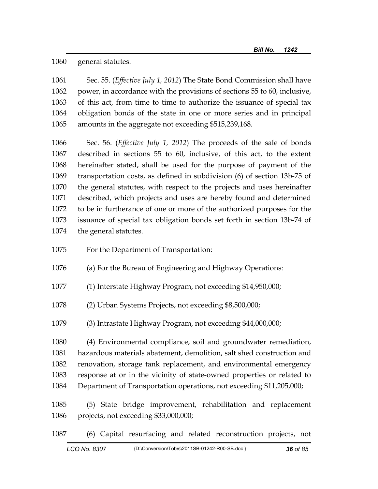1060 general statutes.

1061 Sec. 55. (*Effective July 1, 2012*) The State Bond Commission shall have 1062 power, in accordance with the provisions of sections 55 to 60, inclusive, 1063 of this act, from time to time to authorize the issuance of special tax 1064 obligation bonds of the state in one or more series and in principal 1065 amounts in the aggregate not exceeding \$515,239,168.

1066 Sec. 56. (*Effective July 1, 2012*) The proceeds of the sale of bonds 1067 described in sections 55 to 60, inclusive, of this act, to the extent 1068 hereinafter stated, shall be used for the purpose of payment of the 1069 transportation costs, as defined in subdivision (6) of section 13b-75 of 1070 the general statutes, with respect to the projects and uses hereinafter 1071 described, which projects and uses are hereby found and determined 1072 to be in furtherance of one or more of the authorized purposes for the 1073 issuance of special tax obligation bonds set forth in section 13b-74 of 1074 the general statutes.

- 1075 For the Department of Transportation:
- 1076 (a) For the Bureau of Engineering and Highway Operations:
- 1077 (1) Interstate Highway Program, not exceeding \$14,950,000;
- 1078 (2) Urban Systems Projects, not exceeding \$8,500,000;
- 1079 (3) Intrastate Highway Program, not exceeding \$44,000,000;

1080 (4) Environmental compliance, soil and groundwater remediation, 1081 hazardous materials abatement, demolition, salt shed construction and 1082 renovation, storage tank replacement, and environmental emergency 1083 response at or in the vicinity of state-owned properties or related to 1084 Department of Transportation operations, not exceeding \$11,205,000;

- 1085 (5) State bridge improvement, rehabilitation and replacement 1086 projects, not exceeding \$33,000,000;
- 1087 (6) Capital resurfacing and related reconstruction projects, not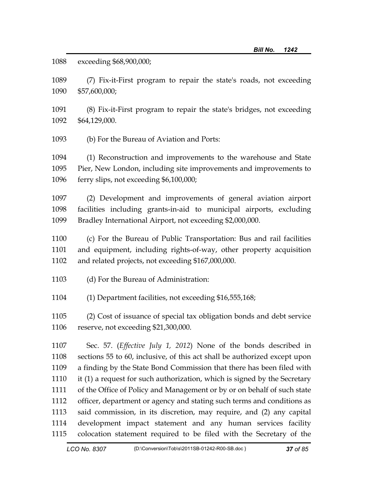1088 exceeding \$68,900,000;

1089 (7) Fix-it-First program to repair the state's roads, not exceeding 1090 \$57,600,000;

1091 (8) Fix-it-First program to repair the state's bridges, not exceeding 1092 \$64,129,000.

1093 (b) For the Bureau of Aviation and Ports:

1094 (1) Reconstruction and improvements to the warehouse and State 1095 Pier, New London, including site improvements and improvements to 1096 ferry slips, not exceeding \$6,100,000;

1097 (2) Development and improvements of general aviation airport 1098 facilities including grants-in-aid to municipal airports, excluding 1099 Bradley International Airport, not exceeding \$2,000,000.

1100 (c) For the Bureau of Public Transportation: Bus and rail facilities 1101 and equipment, including rights-of-way, other property acquisition 1102 and related projects, not exceeding \$167,000,000.

1103 (d) For the Bureau of Administration:

1104 (1) Department facilities, not exceeding \$16,555,168;

1105 (2) Cost of issuance of special tax obligation bonds and debt service 1106 reserve, not exceeding \$21,300,000.

1107 Sec. 57. (*Effective July 1, 2012*) None of the bonds described in 1108 sections 55 to 60, inclusive, of this act shall be authorized except upon 1109 a finding by the State Bond Commission that there has been filed with 1110 it (1) a request for such authorization, which is signed by the Secretary 1111 of the Office of Policy and Management or by or on behalf of such state 1112 officer, department or agency and stating such terms and conditions as 1113 said commission, in its discretion, may require, and (2) any capital 1114 development impact statement and any human services facility 1115 colocation statement required to be filed with the Secretary of the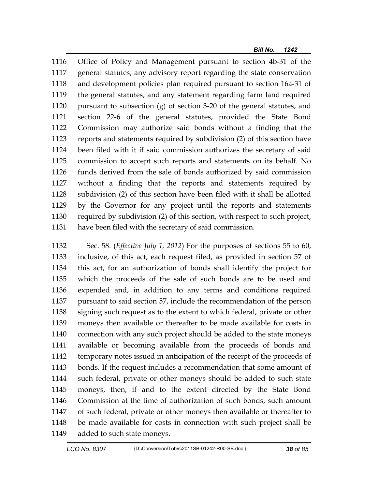1116 Office of Policy and Management pursuant to section 4b-31 of the 1117 general statutes, any advisory report regarding the state conservation 1118 and development policies plan required pursuant to section 16a-31 of 1119 the general statutes, and any statement regarding farm land required 1120 pursuant to subsection (g) of section 3-20 of the general statutes, and 1121 section 22-6 of the general statutes, provided the State Bond 1122 Commission may authorize said bonds without a finding that the 1123 reports and statements required by subdivision (2) of this section have 1124 been filed with it if said commission authorizes the secretary of said 1125 commission to accept such reports and statements on its behalf. No 1126 funds derived from the sale of bonds authorized by said commission 1127 without a finding that the reports and statements required by 1128 subdivision (2) of this section have been filed with it shall be allotted 1129 by the Governor for any project until the reports and statements 1130 required by subdivision (2) of this section, with respect to such project, 1131 have been filed with the secretary of said commission.

1132 Sec. 58. (*Effective July 1, 2012*) For the purposes of sections 55 to 60, 1133 inclusive, of this act, each request filed, as provided in section 57 of 1134 this act, for an authorization of bonds shall identify the project for 1135 which the proceeds of the sale of such bonds are to be used and 1136 expended and, in addition to any terms and conditions required 1137 pursuant to said section 57, include the recommendation of the person 1138 signing such request as to the extent to which federal, private or other 1139 moneys then available or thereafter to be made available for costs in 1140 connection with any such project should be added to the state moneys 1141 available or becoming available from the proceeds of bonds and 1142 temporary notes issued in anticipation of the receipt of the proceeds of 1143 bonds. If the request includes a recommendation that some amount of 1144 such federal, private or other moneys should be added to such state 1145 moneys, then, if and to the extent directed by the State Bond 1146 Commission at the time of authorization of such bonds, such amount 1147 of such federal, private or other moneys then available or thereafter to 1148 be made available for costs in connection with such project shall be 1149 added to such state moneys.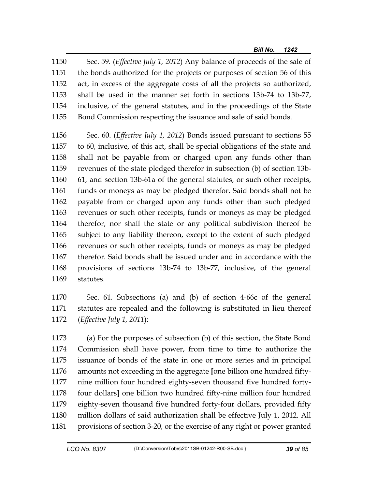1150 Sec. 59. (*Effective July 1, 2012*) Any balance of proceeds of the sale of 1151 the bonds authorized for the projects or purposes of section 56 of this 1152 act, in excess of the aggregate costs of all the projects so authorized, 1153 shall be used in the manner set forth in sections 13b-74 to 13b-77, 1154 inclusive, of the general statutes, and in the proceedings of the State 1155 Bond Commission respecting the issuance and sale of said bonds.

1156 Sec. 60. (*Effective July 1, 2012*) Bonds issued pursuant to sections 55 1157 to 60, inclusive, of this act, shall be special obligations of the state and 1158 shall not be payable from or charged upon any funds other than 1159 revenues of the state pledged therefor in subsection (b) of section 13b-1160 61, and section 13b-61a of the general statutes, or such other receipts, 1161 funds or moneys as may be pledged therefor. Said bonds shall not be 1162 payable from or charged upon any funds other than such pledged 1163 revenues or such other receipts, funds or moneys as may be pledged 1164 therefor, nor shall the state or any political subdivision thereof be 1165 subject to any liability thereon, except to the extent of such pledged 1166 revenues or such other receipts, funds or moneys as may be pledged 1167 therefor. Said bonds shall be issued under and in accordance with the 1168 provisions of sections 13b-74 to 13b-77, inclusive, of the general 1169 statutes.

1170 Sec. 61. Subsections (a) and (b) of section 4-66c of the general 1171 statutes are repealed and the following is substituted in lieu thereof 1172 (*Effective July 1, 2011*):

1173 (a) For the purposes of subsection (b) of this section, the State Bond 1174 Commission shall have power, from time to time to authorize the 1175 issuance of bonds of the state in one or more series and in principal 1176 amounts not exceeding in the aggregate **[**one billion one hundred fifty-1177 nine million four hundred eighty-seven thousand five hundred forty-1178 four dollars**]** one billion two hundred fifty-nine million four hundred 1179 eighty-seven thousand five hundred forty-four dollars, provided fifty 1180 million dollars of said authorization shall be effective July 1, 2012. All 1181 provisions of section 3-20, or the exercise of any right or power granted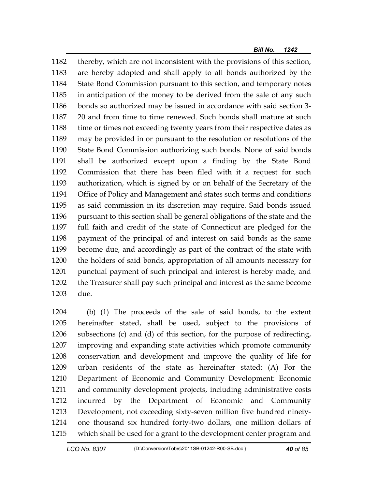1182 thereby, which are not inconsistent with the provisions of this section, 1183 are hereby adopted and shall apply to all bonds authorized by the 1184 State Bond Commission pursuant to this section, and temporary notes 1185 in anticipation of the money to be derived from the sale of any such 1186 bonds so authorized may be issued in accordance with said section 3- 1187 20 and from time to time renewed. Such bonds shall mature at such 1188 time or times not exceeding twenty years from their respective dates as 1189 may be provided in or pursuant to the resolution or resolutions of the 1190 State Bond Commission authorizing such bonds. None of said bonds 1191 shall be authorized except upon a finding by the State Bond 1192 Commission that there has been filed with it a request for such 1193 authorization, which is signed by or on behalf of the Secretary of the 1194 Office of Policy and Management and states such terms and conditions 1195 as said commission in its discretion may require. Said bonds issued 1196 pursuant to this section shall be general obligations of the state and the 1197 full faith and credit of the state of Connecticut are pledged for the 1198 payment of the principal of and interest on said bonds as the same 1199 become due, and accordingly as part of the contract of the state with 1200 the holders of said bonds, appropriation of all amounts necessary for 1201 punctual payment of such principal and interest is hereby made, and 1202 the Treasurer shall pay such principal and interest as the same become 1203 due.

1204 (b) (1) The proceeds of the sale of said bonds, to the extent 1205 hereinafter stated, shall be used, subject to the provisions of 1206 subsections (c) and (d) of this section, for the purpose of redirecting, 1207 improving and expanding state activities which promote community 1208 conservation and development and improve the quality of life for 1209 urban residents of the state as hereinafter stated: (A) For the 1210 Department of Economic and Community Development: Economic 1211 and community development projects, including administrative costs 1212 incurred by the Department of Economic and Community 1213 Development, not exceeding sixty-seven million five hundred ninety-1214 one thousand six hundred forty-two dollars, one million dollars of 1215 which shall be used for a grant to the development center program and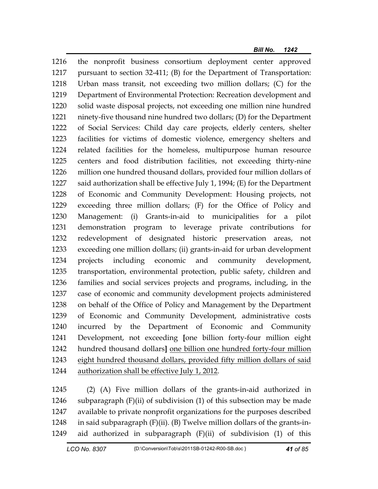1216 the nonprofit business consortium deployment center approved 1217 pursuant to section 32-411; (B) for the Department of Transportation: 1218 Urban mass transit, not exceeding two million dollars; (C) for the 1219 Department of Environmental Protection: Recreation development and 1220 solid waste disposal projects, not exceeding one million nine hundred 1221 ninety-five thousand nine hundred two dollars; (D) for the Department 1222 of Social Services: Child day care projects, elderly centers, shelter 1223 facilities for victims of domestic violence, emergency shelters and 1224 related facilities for the homeless, multipurpose human resource 1225 centers and food distribution facilities, not exceeding thirty-nine 1226 million one hundred thousand dollars, provided four million dollars of 1227 said authorization shall be effective July 1, 1994; (E) for the Department 1228 of Economic and Community Development: Housing projects, not 1229 exceeding three million dollars; (F) for the Office of Policy and 1230 Management: (i) Grants-in-aid to municipalities for a pilot 1231 demonstration program to leverage private contributions for 1232 redevelopment of designated historic preservation areas, not 1233 exceeding one million dollars; (ii) grants-in-aid for urban development 1234 projects including economic and community development, 1235 transportation, environmental protection, public safety, children and 1236 families and social services projects and programs, including, in the 1237 case of economic and community development projects administered 1238 on behalf of the Office of Policy and Management by the Department 1239 of Economic and Community Development, administrative costs 1240 incurred by the Department of Economic and Community 1241 Development, not exceeding **[**one billion forty-four million eight 1242 hundred thousand dollars**]** one billion one hundred forty-four million 1243 eight hundred thousand dollars, provided fifty million dollars of said 1244 authorization shall be effective July 1, 2012.

1245 (2) (A) Five million dollars of the grants-in-aid authorized in 1246 subparagraph  $(F)(ii)$  of subdivision (1) of this subsection may be made 1247 available to private nonprofit organizations for the purposes described 1248 in said subparagraph  $(F)(ii)$ .  $(B)$  Twelve million dollars of the grants-in-1249 aid authorized in subparagraph (F)(ii) of subdivision (1) of this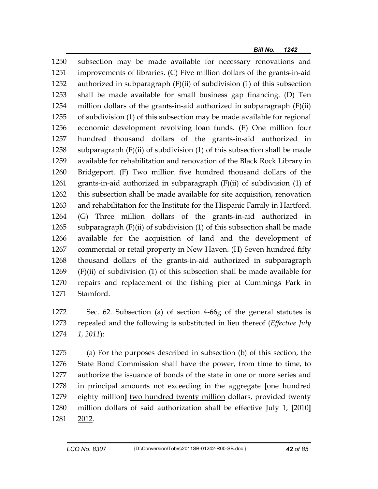1250 subsection may be made available for necessary renovations and 1251 improvements of libraries. (C) Five million dollars of the grants-in-aid 1252 authorized in subparagraph (F)(ii) of subdivision (1) of this subsection 1253 shall be made available for small business gap financing. (D) Ten 1254 million dollars of the grants-in-aid authorized in subparagraph (F)(ii) 1255 of subdivision (1) of this subsection may be made available for regional 1256 economic development revolving loan funds. (E) One million four 1257 hundred thousand dollars of the grants-in-aid authorized in 1258 subparagraph (F)(ii) of subdivision (1) of this subsection shall be made 1259 available for rehabilitation and renovation of the Black Rock Library in 1260 Bridgeport. (F) Two million five hundred thousand dollars of the 1261 grants-in-aid authorized in subparagraph (F)(ii) of subdivision (1) of 1262 this subsection shall be made available for site acquisition, renovation 1263 and rehabilitation for the Institute for the Hispanic Family in Hartford. 1264 (G) Three million dollars of the grants-in-aid authorized in 1265 subparagraph (F)(ii) of subdivision (1) of this subsection shall be made 1266 available for the acquisition of land and the development of 1267 commercial or retail property in New Haven. (H) Seven hundred fifty 1268 thousand dollars of the grants-in-aid authorized in subparagraph 1269 (F)(ii) of subdivision (1) of this subsection shall be made available for 1270 repairs and replacement of the fishing pier at Cummings Park in 1271 Stamford.

1272 Sec. 62. Subsection (a) of section 4-66g of the general statutes is 1273 repealed and the following is substituted in lieu thereof (*Effective July*  1274 *1, 2011*):

1275 (a) For the purposes described in subsection (b) of this section, the 1276 State Bond Commission shall have the power, from time to time, to 1277 authorize the issuance of bonds of the state in one or more series and 1278 in principal amounts not exceeding in the aggregate **[**one hundred 1279 eighty million**]** two hundred twenty million dollars, provided twenty 1280 million dollars of said authorization shall be effective July 1, **[**2010**]** 1281 2012.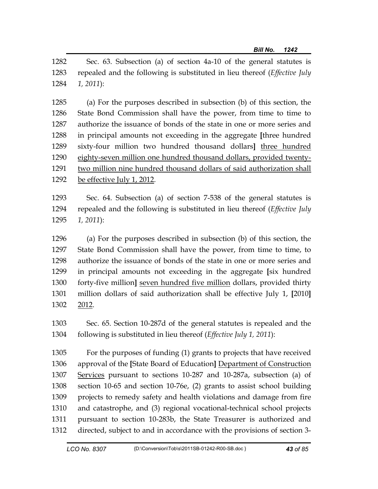1282 Sec. 63. Subsection (a) of section 4a-10 of the general statutes is 1283 repealed and the following is substituted in lieu thereof (*Effective July*  1284 *1, 2011*):

1285 (a) For the purposes described in subsection (b) of this section, the 1286 State Bond Commission shall have the power, from time to time to 1287 authorize the issuance of bonds of the state in one or more series and 1288 in principal amounts not exceeding in the aggregate **[**three hundred 1289 sixty-four million two hundred thousand dollars**]** three hundred 1290 eighty-seven million one hundred thousand dollars, provided twenty-1291 two million nine hundred thousand dollars of said authorization shall 1292 be effective July 1, 2012.

1293 Sec. 64. Subsection (a) of section 7-538 of the general statutes is 1294 repealed and the following is substituted in lieu thereof (*Effective July*  1295 *1, 2011*):

1296 (a) For the purposes described in subsection (b) of this section, the 1297 State Bond Commission shall have the power, from time to time, to 1298 authorize the issuance of bonds of the state in one or more series and 1299 in principal amounts not exceeding in the aggregate **[**six hundred 1300 forty-five million**]** seven hundred five million dollars, provided thirty 1301 million dollars of said authorization shall be effective July 1, **[**2010**]** 1302 2012.

1303 Sec. 65. Section 10-287d of the general statutes is repealed and the 1304 following is substituted in lieu thereof (*Effective July 1, 2011*):

1305 For the purposes of funding (1) grants to projects that have received 1306 approval of the **[**State Board of Education**]** Department of Construction 1307 Services pursuant to sections 10-287 and 10-287a, subsection (a) of 1308 section 10-65 and section 10-76e, (2) grants to assist school building 1309 projects to remedy safety and health violations and damage from fire 1310 and catastrophe, and (3) regional vocational-technical school projects 1311 pursuant to section 10-283b, the State Treasurer is authorized and 1312 directed, subject to and in accordance with the provisions of section 3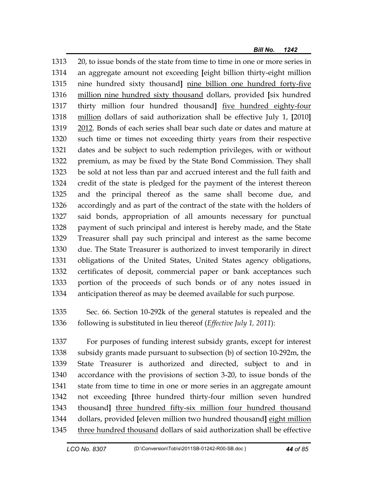1313 20, to issue bonds of the state from time to time in one or more series in 1314 an aggregate amount not exceeding **[**eight billion thirty-eight million 1315 nine hundred sixty thousand**]** nine billion one hundred forty-five 1316 million nine hundred sixty thousand dollars, provided **[**six hundred 1317 thirty million four hundred thousand**]** five hundred eighty-four 1318 million dollars of said authorization shall be effective July 1, **[**2010**]** 1319 2012. Bonds of each series shall bear such date or dates and mature at 1320 such time or times not exceeding thirty years from their respective 1321 dates and be subject to such redemption privileges, with or without 1322 premium, as may be fixed by the State Bond Commission. They shall 1323 be sold at not less than par and accrued interest and the full faith and 1324 credit of the state is pledged for the payment of the interest thereon 1325 and the principal thereof as the same shall become due, and 1326 accordingly and as part of the contract of the state with the holders of 1327 said bonds, appropriation of all amounts necessary for punctual 1328 payment of such principal and interest is hereby made, and the State 1329 Treasurer shall pay such principal and interest as the same become 1330 due. The State Treasurer is authorized to invest temporarily in direct 1331 obligations of the United States, United States agency obligations, 1332 certificates of deposit, commercial paper or bank acceptances such 1333 portion of the proceeds of such bonds or of any notes issued in 1334 anticipation thereof as may be deemed available for such purpose.

1335 Sec. 66. Section 10-292k of the general statutes is repealed and the 1336 following is substituted in lieu thereof (*Effective July 1, 2011*):

1337 For purposes of funding interest subsidy grants, except for interest 1338 subsidy grants made pursuant to subsection (b) of section 10-292m, the 1339 State Treasurer is authorized and directed, subject to and in 1340 accordance with the provisions of section 3-20, to issue bonds of the 1341 state from time to time in one or more series in an aggregate amount 1342 not exceeding **[**three hundred thirty-four million seven hundred 1343 thousand**]** three hundred fifty-six million four hundred thousand 1344 dollars, provided **[**eleven million two hundred thousand**]** eight million 1345 three hundred thousand dollars of said authorization shall be effective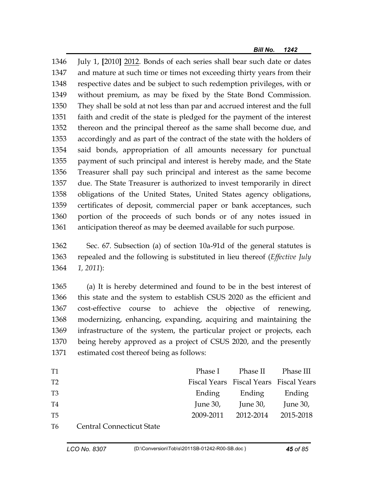1346 July 1, **[**2010**]** 2012. Bonds of each series shall bear such date or dates 1347 and mature at such time or times not exceeding thirty years from their 1348 respective dates and be subject to such redemption privileges, with or 1349 without premium, as may be fixed by the State Bond Commission. 1350 They shall be sold at not less than par and accrued interest and the full 1351 faith and credit of the state is pledged for the payment of the interest 1352 thereon and the principal thereof as the same shall become due, and 1353 accordingly and as part of the contract of the state with the holders of 1354 said bonds, appropriation of all amounts necessary for punctual 1355 payment of such principal and interest is hereby made, and the State 1356 Treasurer shall pay such principal and interest as the same become 1357 due. The State Treasurer is authorized to invest temporarily in direct 1358 obligations of the United States, United States agency obligations, 1359 certificates of deposit, commercial paper or bank acceptances, such 1360 portion of the proceeds of such bonds or of any notes issued in 1361 anticipation thereof as may be deemed available for such purpose.

1362 Sec. 67. Subsection (a) of section 10a-91d of the general statutes is 1363 repealed and the following is substituted in lieu thereof (*Effective July*  1364 *1, 2011*):

1365 (a) It is hereby determined and found to be in the best interest of 1366 this state and the system to establish CSUS 2020 as the efficient and 1367 cost-effective course to achieve the objective of renewing, 1368 modernizing, enhancing, expanding, acquiring and maintaining the 1369 infrastructure of the system, the particular project or projects, each 1370 being hereby approved as a project of CSUS 2020, and the presently 1371 estimated cost thereof being as follows:

| T <sub>1</sub> |                                  |          | Phase I Phase II Phase III             |          |
|----------------|----------------------------------|----------|----------------------------------------|----------|
| T <sub>2</sub> |                                  |          | Fiscal Years Fiscal Years Fiscal Years |          |
| T <sub>3</sub> |                                  |          | Ending Ending Ending                   |          |
| T4             |                                  | June 30, | June 30,                               | June 30, |
| T5             |                                  |          | 2009-2011 2012-2014 2015-2018          |          |
| T6             | <b>Central Connecticut State</b> |          |                                        |          |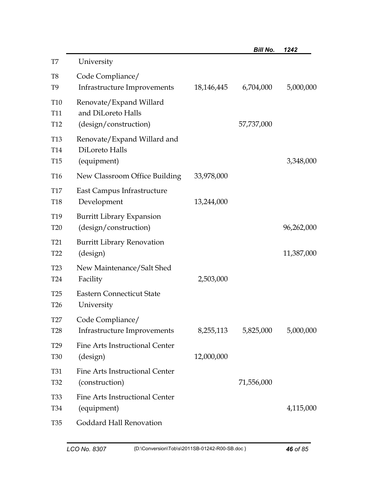|                                                       |                                                                        |            | <b>Bill No.</b> | 1242       |
|-------------------------------------------------------|------------------------------------------------------------------------|------------|-----------------|------------|
| T7                                                    | University                                                             |            |                 |            |
| T <sub>8</sub><br>T9                                  | Code Compliance/<br>Infrastructure Improvements                        | 18,146,445 | 6,704,000       | 5,000,000  |
| T <sub>10</sub><br>T11<br>T <sub>12</sub>             | Renovate/Expand Willard<br>and DiLoreto Halls<br>(design/construction) |            | 57,737,000      |            |
| T <sub>13</sub><br>T <sub>14</sub><br>T <sub>15</sub> | Renovate/Expand Willard and<br>DiLoreto Halls<br>(equipment)           |            |                 | 3,348,000  |
| T16                                                   | New Classroom Office Building                                          | 33,978,000 |                 |            |
| <b>T17</b><br>T <sub>18</sub>                         | East Campus Infrastructure<br>Development                              | 13,244,000 |                 |            |
| T <sub>19</sub><br><b>T20</b>                         | <b>Burritt Library Expansion</b><br>(design/construction)              |            |                 | 96,262,000 |
| <b>T21</b><br>T <sub>22</sub>                         | <b>Burritt Library Renovation</b><br>(design)                          |            |                 | 11,387,000 |
| <b>T23</b><br>T <sub>24</sub>                         | New Maintenance/Salt Shed<br>Facility                                  | 2,503,000  |                 |            |
| T <sub>25</sub><br>T <sub>26</sub>                    | <b>Eastern Connecticut State</b><br>University                         |            |                 |            |
| T27<br><b>T28</b>                                     | Code Compliance/<br>Infrastructure Improvements                        | 8,255,113  | 5,825,000       | 5,000,000  |
| T <sub>29</sub><br><b>T30</b>                         | Fine Arts Instructional Center<br>(design)                             | 12,000,000 |                 |            |
| T31<br>T <sub>32</sub>                                | Fine Arts Instructional Center<br>(construction)                       |            | 71,556,000      |            |
| <b>T33</b><br><b>T34</b>                              | Fine Arts Instructional Center<br>(equipment)                          |            |                 | 4,115,000  |
| T <sub>35</sub>                                       | Goddard Hall Renovation                                                |            |                 |            |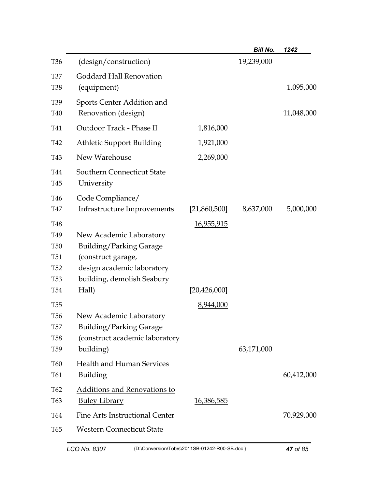|                                                                                       |                                                                                                                                             |                   | <b>Bill No.</b> | 1242       |
|---------------------------------------------------------------------------------------|---------------------------------------------------------------------------------------------------------------------------------------------|-------------------|-----------------|------------|
| <b>T36</b>                                                                            | (design/construction)                                                                                                                       |                   | 19,239,000      |            |
| <b>T37</b><br><b>T38</b>                                                              | Goddard Hall Renovation<br>(equipment)                                                                                                      |                   |                 | 1,095,000  |
| T <sub>39</sub><br>T40                                                                | Sports Center Addition and<br>Renovation (design)                                                                                           |                   |                 | 11,048,000 |
| T41                                                                                   | Outdoor Track - Phase II                                                                                                                    | 1,816,000         |                 |            |
| T42                                                                                   | <b>Athletic Support Building</b>                                                                                                            | 1,921,000         |                 |            |
| T43                                                                                   | New Warehouse                                                                                                                               | 2,269,000         |                 |            |
| T44<br>T45                                                                            | <b>Southern Connecticut State</b><br>University                                                                                             |                   |                 |            |
| T46<br>T47                                                                            | Code Compliance/<br>Infrastructure Improvements                                                                                             | [21,860,500]      | 8,637,000       | 5,000,000  |
| <b>T48</b><br>T <sub>49</sub><br><b>T50</b><br><b>T51</b><br><b>T52</b><br><b>T53</b> | New Academic Laboratory<br><b>Building/Parking Garage</b><br>(construct garage,<br>design academic laboratory<br>building, demolish Seabury | <u>16,955,915</u> |                 |            |
| <b>T54</b>                                                                            | Hall)                                                                                                                                       | [20, 426, 000]    |                 |            |
| <b>T55</b><br><b>T56</b><br><b>T57</b><br><b>T58</b><br>T <sub>59</sub>               | New Academic Laboratory<br><b>Building/Parking Garage</b><br>(construct academic laboratory<br>building)                                    | 8,944,000         | 63,171,000      |            |
| T60<br>T61                                                                            | <b>Health and Human Services</b><br>Building                                                                                                |                   |                 | 60,412,000 |
| T <sub>62</sub><br>T <sub>63</sub>                                                    | Additions and Renovations to<br><u>Buley Library</u>                                                                                        | <u>16,386,585</u> |                 |            |
| T64<br>T65                                                                            | <b>Fine Arts Instructional Center</b><br><b>Western Connecticut State</b>                                                                   |                   |                 | 70,929,000 |
|                                                                                       |                                                                                                                                             |                   |                 |            |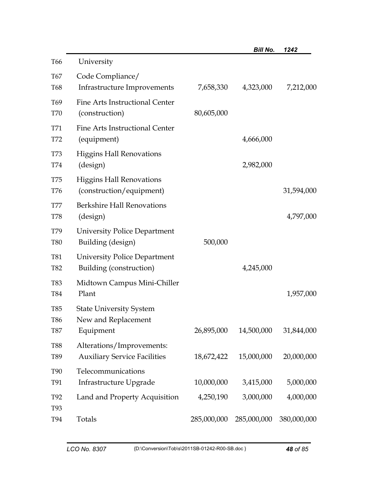|                               |                                                                  |             | <b>Bill No.</b> | 1242        |
|-------------------------------|------------------------------------------------------------------|-------------|-----------------|-------------|
| T66                           | University                                                       |             |                 |             |
| T67<br>T68                    | Code Compliance/<br>Infrastructure Improvements                  | 7,658,330   | 4,323,000       | 7,212,000   |
| T <sub>69</sub><br><b>T70</b> | Fine Arts Instructional Center<br>(construction)                 | 80,605,000  |                 |             |
| <b>T71</b><br>T72             | Fine Arts Instructional Center<br>(equipment)                    |             | 4,666,000       |             |
| <b>T73</b><br>T74             | <b>Higgins Hall Renovations</b><br>(design)                      |             | 2,982,000       |             |
| <b>T75</b><br>T76             | <b>Higgins Hall Renovations</b><br>(construction/equipment)      |             |                 | 31,594,000  |
| <b>T77</b><br>T78             | <b>Berkshire Hall Renovations</b><br>(design)                    |             |                 | 4,797,000   |
| T79<br><b>T80</b>             | <b>University Police Department</b><br>Building (design)         | 500,000     |                 |             |
| <b>T81</b><br>T82             | <b>University Police Department</b><br>Building (construction)   |             | 4,245,000       |             |
| <b>T83</b><br>T84             | Midtown Campus Mini-Chiller<br>Plant                             |             |                 | 1,957,000   |
| T85<br>T86                    | <b>State University System</b><br>New and Replacement            |             |                 |             |
| <b>T87</b>                    | Equipment                                                        | 26,895,000  | 14,500,000      | 31,844,000  |
| <b>T88</b><br>T89             | Alterations/Improvements:<br><b>Auxiliary Service Facilities</b> | 18,672,422  | 15,000,000      | 20,000,000  |
| <b>T90</b><br>T91             | Telecommunications<br>Infrastructure Upgrade                     | 10,000,000  | 3,415,000       | 5,000,000   |
| T92<br>T93                    | Land and Property Acquisition                                    | 4,250,190   | 3,000,000       | 4,000,000   |
| T94                           | Totals                                                           | 285,000,000 | 285,000,000     | 380,000,000 |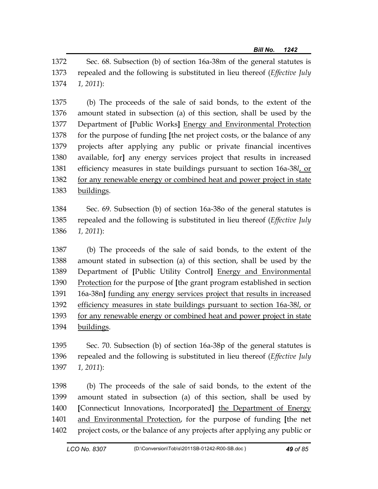1372 Sec. 68. Subsection (b) of section 16a-38m of the general statutes is 1373 repealed and the following is substituted in lieu thereof (*Effective July*  1374 *1, 2011*):

1375 (b) The proceeds of the sale of said bonds, to the extent of the 1376 amount stated in subsection (a) of this section, shall be used by the 1377 Department of **[**Public Works**]** Energy and Environmental Protection 1378 for the purpose of funding **[**the net project costs, or the balance of any 1379 projects after applying any public or private financial incentives 1380 available, for**]** any energy services project that results in increased 1381 efficiency measures in state buildings pursuant to section 16a-38*l*, or 1382 for any renewable energy or combined heat and power project in state 1383 buildings.

1384 Sec. 69. Subsection (b) of section 16a-38o of the general statutes is 1385 repealed and the following is substituted in lieu thereof (*Effective July*  1386 *1, 2011*):

1387 (b) The proceeds of the sale of said bonds, to the extent of the 1388 amount stated in subsection (a) of this section, shall be used by the 1389 Department of **[**Public Utility Control**]** Energy and Environmental 1390 Protection for the purpose of **[**the grant program established in section 1391 16a-38n**]** funding any energy services project that results in increased 1392 efficiency measures in state buildings pursuant to section 16a-38*l*, or 1393 for any renewable energy or combined heat and power project in state 1394 buildings.

1395 Sec. 70. Subsection (b) of section 16a-38p of the general statutes is 1396 repealed and the following is substituted in lieu thereof (*Effective July*  1397 *1, 2011*):

1398 (b) The proceeds of the sale of said bonds, to the extent of the 1399 amount stated in subsection (a) of this section, shall be used by 1400 **[**Connecticut Innovations, Incorporated**]** the Department of Energy 1401 and Environmental Protection, for the purpose of funding **[**the net 1402 project costs, or the balance of any projects after applying any public or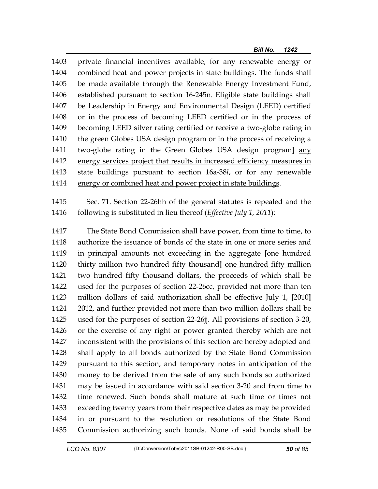1403 private financial incentives available, for any renewable energy or 1404 combined heat and power projects in state buildings. The funds shall 1405 be made available through the Renewable Energy Investment Fund, 1406 established pursuant to section 16-245n. Eligible state buildings shall 1407 be Leadership in Energy and Environmental Design (LEED) certified 1408 or in the process of becoming LEED certified or in the process of 1409 becoming LEED silver rating certified or receive a two-globe rating in 1410 the green Globes USA design program or in the process of receiving a 1411 two-globe rating in the Green Globes USA design program**]** any 1412 energy services project that results in increased efficiency measures in 1413 state buildings pursuant to section 16a-38*l*, or for any renewable 1414 energy or combined heat and power project in state buildings.

1415 Sec. 71. Section 22-26hh of the general statutes is repealed and the 1416 following is substituted in lieu thereof (*Effective July 1, 2011*):

1417 The State Bond Commission shall have power, from time to time, to 1418 authorize the issuance of bonds of the state in one or more series and 1419 in principal amounts not exceeding in the aggregate **[**one hundred 1420 thirty million two hundred fifty thousand**]** one hundred fifty million 1421 two hundred fifty thousand dollars, the proceeds of which shall be 1422 used for the purposes of section 22-26cc, provided not more than ten 1423 million dollars of said authorization shall be effective July 1, **[**2010**]** 1424 2012, and further provided not more than two million dollars shall be 1425 used for the purposes of section 22-26jj. All provisions of section 3-20, 1426 or the exercise of any right or power granted thereby which are not 1427 inconsistent with the provisions of this section are hereby adopted and 1428 shall apply to all bonds authorized by the State Bond Commission 1429 pursuant to this section, and temporary notes in anticipation of the 1430 money to be derived from the sale of any such bonds so authorized 1431 may be issued in accordance with said section 3-20 and from time to 1432 time renewed. Such bonds shall mature at such time or times not 1433 exceeding twenty years from their respective dates as may be provided 1434 in or pursuant to the resolution or resolutions of the State Bond 1435 Commission authorizing such bonds. None of said bonds shall be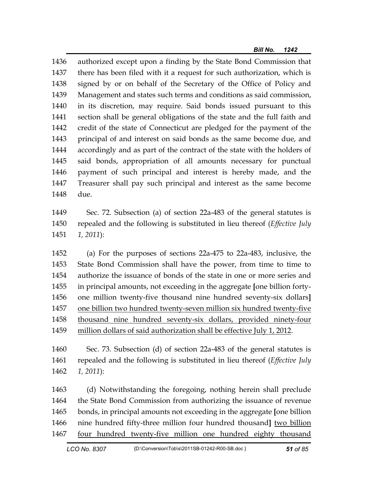1436 authorized except upon a finding by the State Bond Commission that 1437 there has been filed with it a request for such authorization, which is 1438 signed by or on behalf of the Secretary of the Office of Policy and 1439 Management and states such terms and conditions as said commission, 1440 in its discretion, may require. Said bonds issued pursuant to this 1441 section shall be general obligations of the state and the full faith and 1442 credit of the state of Connecticut are pledged for the payment of the 1443 principal of and interest on said bonds as the same become due, and 1444 accordingly and as part of the contract of the state with the holders of 1445 said bonds, appropriation of all amounts necessary for punctual 1446 payment of such principal and interest is hereby made, and the 1447 Treasurer shall pay such principal and interest as the same become 1448 due.

1449 Sec. 72. Subsection (a) of section 22a-483 of the general statutes is 1450 repealed and the following is substituted in lieu thereof (*Effective July*  1451 *1, 2011*):

1452 (a) For the purposes of sections 22a-475 to 22a-483, inclusive, the 1453 State Bond Commission shall have the power, from time to time to 1454 authorize the issuance of bonds of the state in one or more series and 1455 in principal amounts, not exceeding in the aggregate **[**one billion forty-1456 one million twenty-five thousand nine hundred seventy-six dollars**]** 1457 one billion two hundred twenty-seven million six hundred twenty-five 1458 thousand nine hundred seventy-six dollars, provided ninety-four 1459 million dollars of said authorization shall be effective July 1, 2012.

1460 Sec. 73. Subsection (d) of section 22a-483 of the general statutes is 1461 repealed and the following is substituted in lieu thereof (*Effective July*  1462 *1, 2011*):

1463 (d) Notwithstanding the foregoing, nothing herein shall preclude 1464 the State Bond Commission from authorizing the issuance of revenue 1465 bonds, in principal amounts not exceeding in the aggregate **[**one billion 1466 nine hundred fifty-three million four hundred thousand**]** two billion 1467 four hundred twenty-five million one hundred eighty thousand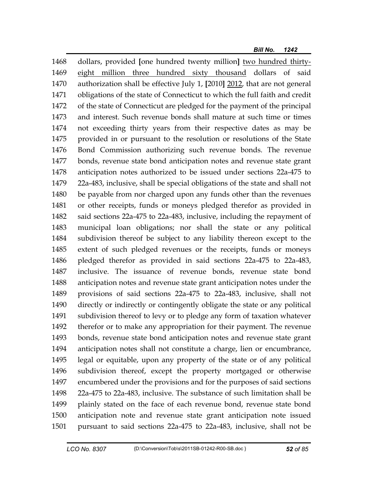1468 dollars, provided **[**one hundred twenty million**]** two hundred thirty-1469 eight million three hundred sixty thousand dollars of said 1470 authorization shall be effective July 1, **[**2010**]** 2012, that are not general 1471 obligations of the state of Connecticut to which the full faith and credit 1472 of the state of Connecticut are pledged for the payment of the principal 1473 and interest. Such revenue bonds shall mature at such time or times 1474 not exceeding thirty years from their respective dates as may be 1475 provided in or pursuant to the resolution or resolutions of the State 1476 Bond Commission authorizing such revenue bonds. The revenue 1477 bonds, revenue state bond anticipation notes and revenue state grant 1478 anticipation notes authorized to be issued under sections 22a-475 to 1479 22a-483, inclusive, shall be special obligations of the state and shall not 1480 be payable from nor charged upon any funds other than the revenues 1481 or other receipts, funds or moneys pledged therefor as provided in 1482 said sections 22a-475 to 22a-483, inclusive, including the repayment of 1483 municipal loan obligations; nor shall the state or any political 1484 subdivision thereof be subject to any liability thereon except to the 1485 extent of such pledged revenues or the receipts, funds or moneys 1486 pledged therefor as provided in said sections 22a-475 to 22a-483, 1487 inclusive. The issuance of revenue bonds, revenue state bond 1488 anticipation notes and revenue state grant anticipation notes under the 1489 provisions of said sections 22a-475 to 22a-483, inclusive, shall not 1490 directly or indirectly or contingently obligate the state or any political 1491 subdivision thereof to levy or to pledge any form of taxation whatever 1492 therefor or to make any appropriation for their payment. The revenue 1493 bonds, revenue state bond anticipation notes and revenue state grant 1494 anticipation notes shall not constitute a charge, lien or encumbrance, 1495 legal or equitable, upon any property of the state or of any political 1496 subdivision thereof, except the property mortgaged or otherwise 1497 encumbered under the provisions and for the purposes of said sections 1498 22a-475 to 22a-483, inclusive. The substance of such limitation shall be 1499 plainly stated on the face of each revenue bond, revenue state bond 1500 anticipation note and revenue state grant anticipation note issued 1501 pursuant to said sections 22a-475 to 22a-483, inclusive, shall not be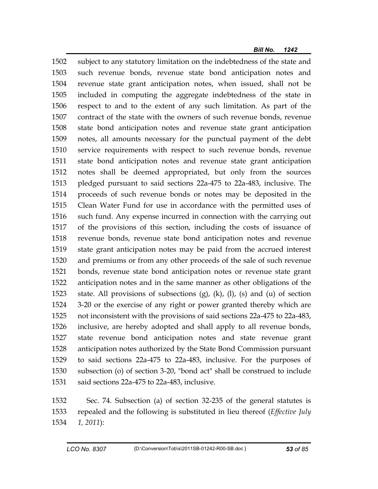1502 subject to any statutory limitation on the indebtedness of the state and 1503 such revenue bonds, revenue state bond anticipation notes and 1504 revenue state grant anticipation notes, when issued, shall not be 1505 included in computing the aggregate indebtedness of the state in 1506 respect to and to the extent of any such limitation. As part of the 1507 contract of the state with the owners of such revenue bonds, revenue 1508 state bond anticipation notes and revenue state grant anticipation 1509 notes, all amounts necessary for the punctual payment of the debt 1510 service requirements with respect to such revenue bonds, revenue 1511 state bond anticipation notes and revenue state grant anticipation 1512 notes shall be deemed appropriated, but only from the sources 1513 pledged pursuant to said sections 22a-475 to 22a-483, inclusive. The 1514 proceeds of such revenue bonds or notes may be deposited in the 1515 Clean Water Fund for use in accordance with the permitted uses of 1516 such fund. Any expense incurred in connection with the carrying out 1517 of the provisions of this section, including the costs of issuance of 1518 revenue bonds, revenue state bond anticipation notes and revenue 1519 state grant anticipation notes may be paid from the accrued interest 1520 and premiums or from any other proceeds of the sale of such revenue 1521 bonds, revenue state bond anticipation notes or revenue state grant 1522 anticipation notes and in the same manner as other obligations of the 1523 state. All provisions of subsections (g), (k), (l), (s) and (u) of section 1524 3-20 or the exercise of any right or power granted thereby which are 1525 not inconsistent with the provisions of said sections 22a-475 to 22a-483, 1526 inclusive, are hereby adopted and shall apply to all revenue bonds, 1527 state revenue bond anticipation notes and state revenue grant 1528 anticipation notes authorized by the State Bond Commission pursuant 1529 to said sections 22a-475 to 22a-483, inclusive. For the purposes of 1530 subsection (o) of section 3-20, "bond act" shall be construed to include 1531 said sections 22a-475 to 22a-483, inclusive.

1532 Sec. 74. Subsection (a) of section 32-235 of the general statutes is 1533 repealed and the following is substituted in lieu thereof (*Effective July*  1534 *1, 2011*):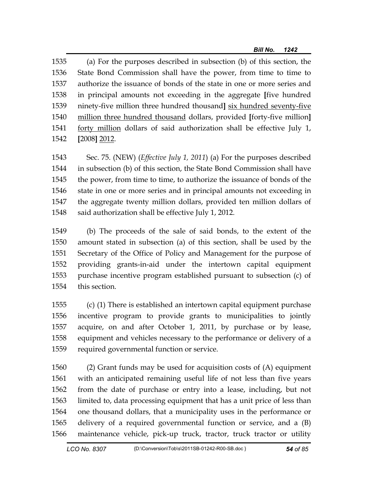1535 (a) For the purposes described in subsection (b) of this section, the 1536 State Bond Commission shall have the power, from time to time to 1537 authorize the issuance of bonds of the state in one or more series and 1538 in principal amounts not exceeding in the aggregate **[**five hundred 1539 ninety-five million three hundred thousand**]** six hundred seventy-five 1540 million three hundred thousand dollars, provided **[**forty-five million**]** 1541 forty million dollars of said authorization shall be effective July 1, 1542 **[**2008**]** 2012.

1543 Sec. 75. (NEW) (*Effective July 1, 2011*) (a) For the purposes described 1544 in subsection (b) of this section, the State Bond Commission shall have 1545 the power, from time to time, to authorize the issuance of bonds of the 1546 state in one or more series and in principal amounts not exceeding in 1547 the aggregate twenty million dollars, provided ten million dollars of 1548 said authorization shall be effective July 1, 2012.

1549 (b) The proceeds of the sale of said bonds, to the extent of the 1550 amount stated in subsection (a) of this section, shall be used by the 1551 Secretary of the Office of Policy and Management for the purpose of 1552 providing grants-in-aid under the intertown capital equipment 1553 purchase incentive program established pursuant to subsection (c) of 1554 this section.

1555 (c) (1) There is established an intertown capital equipment purchase 1556 incentive program to provide grants to municipalities to jointly 1557 acquire, on and after October 1, 2011, by purchase or by lease, 1558 equipment and vehicles necessary to the performance or delivery of a 1559 required governmental function or service.

1560 (2) Grant funds may be used for acquisition costs of (A) equipment 1561 with an anticipated remaining useful life of not less than five years 1562 from the date of purchase or entry into a lease, including, but not 1563 limited to, data processing equipment that has a unit price of less than 1564 one thousand dollars, that a municipality uses in the performance or 1565 delivery of a required governmental function or service, and a (B) 1566 maintenance vehicle, pick-up truck, tractor, truck tractor or utility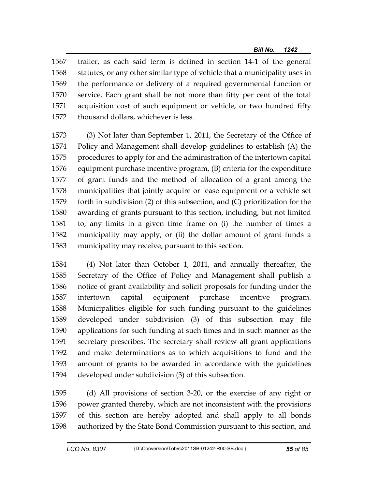1567 trailer, as each said term is defined in section 14-1 of the general 1568 statutes, or any other similar type of vehicle that a municipality uses in 1569 the performance or delivery of a required governmental function or 1570 service. Each grant shall be not more than fifty per cent of the total 1571 acquisition cost of such equipment or vehicle, or two hundred fifty 1572 thousand dollars, whichever is less.

1573 (3) Not later than September 1, 2011, the Secretary of the Office of 1574 Policy and Management shall develop guidelines to establish (A) the 1575 procedures to apply for and the administration of the intertown capital 1576 equipment purchase incentive program, (B) criteria for the expenditure 1577 of grant funds and the method of allocation of a grant among the 1578 municipalities that jointly acquire or lease equipment or a vehicle set 1579 forth in subdivision (2) of this subsection, and (C) prioritization for the 1580 awarding of grants pursuant to this section, including, but not limited 1581 to, any limits in a given time frame on (i) the number of times a 1582 municipality may apply, or (ii) the dollar amount of grant funds a 1583 municipality may receive, pursuant to this section.

1584 (4) Not later than October 1, 2011, and annually thereafter, the 1585 Secretary of the Office of Policy and Management shall publish a 1586 notice of grant availability and solicit proposals for funding under the 1587 intertown capital equipment purchase incentive program. 1588 Municipalities eligible for such funding pursuant to the guidelines 1589 developed under subdivision (3) of this subsection may file 1590 applications for such funding at such times and in such manner as the 1591 secretary prescribes. The secretary shall review all grant applications 1592 and make determinations as to which acquisitions to fund and the 1593 amount of grants to be awarded in accordance with the guidelines 1594 developed under subdivision (3) of this subsection.

1595 (d) All provisions of section 3-20, or the exercise of any right or 1596 power granted thereby, which are not inconsistent with the provisions 1597 of this section are hereby adopted and shall apply to all bonds 1598 authorized by the State Bond Commission pursuant to this section, and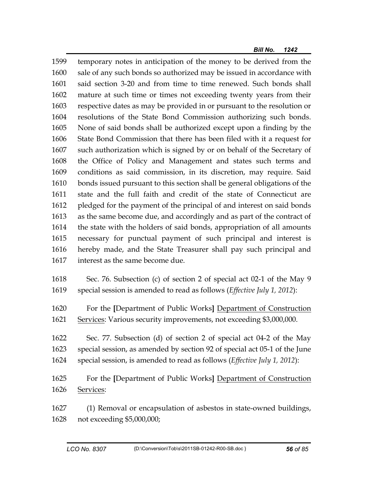1599 temporary notes in anticipation of the money to be derived from the 1600 sale of any such bonds so authorized may be issued in accordance with 1601 said section 3-20 and from time to time renewed. Such bonds shall 1602 mature at such time or times not exceeding twenty years from their 1603 respective dates as may be provided in or pursuant to the resolution or 1604 resolutions of the State Bond Commission authorizing such bonds. 1605 None of said bonds shall be authorized except upon a finding by the 1606 State Bond Commission that there has been filed with it a request for 1607 such authorization which is signed by or on behalf of the Secretary of 1608 the Office of Policy and Management and states such terms and 1609 conditions as said commission, in its discretion, may require. Said 1610 bonds issued pursuant to this section shall be general obligations of the 1611 state and the full faith and credit of the state of Connecticut are 1612 pledged for the payment of the principal of and interest on said bonds 1613 as the same become due, and accordingly and as part of the contract of 1614 the state with the holders of said bonds, appropriation of all amounts 1615 necessary for punctual payment of such principal and interest is 1616 hereby made, and the State Treasurer shall pay such principal and 1617 interest as the same become due.

- 1618 Sec. 76. Subsection (c) of section 2 of special act 02-1 of the May 9 1619 special session is amended to read as follows (*Effective July 1, 2012*):
- 1620 For the **[**Department of Public Works**]** Department of Construction 1621 Services: Various security improvements, not exceeding \$3,000,000.
- 1622 Sec. 77. Subsection (d) of section 2 of special act 04-2 of the May 1623 special session, as amended by section 92 of special act 05-1 of the June 1624 special session, is amended to read as follows (*Effective July 1, 2012*):
- 1625 For the **[**Department of Public Works**]** Department of Construction 1626 Services:
- 1627 (1) Removal or encapsulation of asbestos in state-owned buildings, 1628 not exceeding \$5,000,000;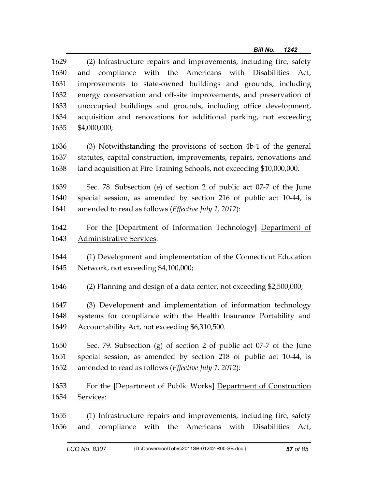| 1629<br>1630<br>1631<br>1632<br>1633<br>1634 | (2) Infrastructure repairs and improvements, including fire, safety<br>with the Americans with Disabilities Act,<br>and compliance<br>improvements to state-owned buildings and grounds, including<br>energy conservation and off-site improvements, and preservation of<br>unoccupied buildings and grounds, including office development,<br>acquisition and renovations for additional parking, not exceeding |
|----------------------------------------------|------------------------------------------------------------------------------------------------------------------------------------------------------------------------------------------------------------------------------------------------------------------------------------------------------------------------------------------------------------------------------------------------------------------|
| 1635                                         | \$4,000,000;                                                                                                                                                                                                                                                                                                                                                                                                     |
| 1636                                         | (3) Notwithstanding the provisions of section 4b-1 of the general                                                                                                                                                                                                                                                                                                                                                |
| 1637                                         | statutes, capital construction, improvements, repairs, renovations and                                                                                                                                                                                                                                                                                                                                           |
| 1638                                         | land acquisition at Fire Training Schools, not exceeding \$10,000,000.                                                                                                                                                                                                                                                                                                                                           |
| 1639                                         | Sec. 78. Subsection (e) of section 2 of public act 07-7 of the June                                                                                                                                                                                                                                                                                                                                              |
| 1640                                         | special session, as amended by section 216 of public act 10-44, is                                                                                                                                                                                                                                                                                                                                               |
| 1641                                         | amended to read as follows (Effective July 1, 2012):                                                                                                                                                                                                                                                                                                                                                             |
| 1642                                         | For the [Department of Information Technology] Department of                                                                                                                                                                                                                                                                                                                                                     |
| 1643                                         | <b>Administrative Services:</b>                                                                                                                                                                                                                                                                                                                                                                                  |
| 1644                                         | (1) Development and implementation of the Connecticut Education                                                                                                                                                                                                                                                                                                                                                  |
| 1645                                         | Network, not exceeding \$4,100,000;                                                                                                                                                                                                                                                                                                                                                                              |
| 1646                                         | (2) Planning and design of a data center, not exceeding \$2,500,000;                                                                                                                                                                                                                                                                                                                                             |
| 1647                                         | (3) Development and implementation of information technology                                                                                                                                                                                                                                                                                                                                                     |
| 1648                                         | systems for compliance with the Health Insurance Portability and                                                                                                                                                                                                                                                                                                                                                 |
| 1649                                         | Accountability Act, not exceeding \$6,310,500.                                                                                                                                                                                                                                                                                                                                                                   |
| 1650                                         | Sec. 79. Subsection (g) of section 2 of public act 07-7 of the June                                                                                                                                                                                                                                                                                                                                              |
| 1651                                         | special session, as amended by section 218 of public act 10-44, is                                                                                                                                                                                                                                                                                                                                               |
| 1652                                         | amended to read as follows (Effective July 1, 2012):                                                                                                                                                                                                                                                                                                                                                             |
| 1653                                         | For the [Department of Public Works] Department of Construction                                                                                                                                                                                                                                                                                                                                                  |
| 1654                                         | Services:                                                                                                                                                                                                                                                                                                                                                                                                        |
| 1655<br>1656                                 | (1) Infrastructure repairs and improvements, including fire, safety<br>compliance with the Americans with Disabilities<br>and<br>Act,                                                                                                                                                                                                                                                                            |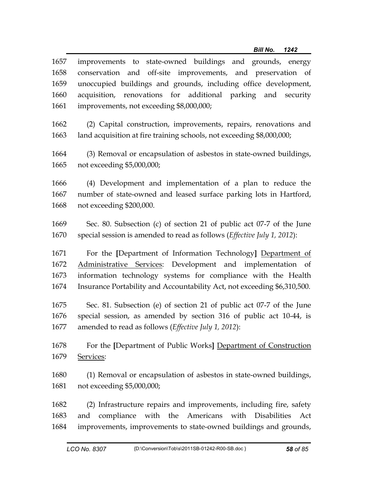| 1657         | improvements to state-owned buildings and grounds, energy                                                                                                  |
|--------------|------------------------------------------------------------------------------------------------------------------------------------------------------------|
| 1658         | conservation and off-site improvements, and preservation of                                                                                                |
| 1659         | unoccupied buildings and grounds, including office development,                                                                                            |
| 1660         | acquisition, renovations for additional parking and security                                                                                               |
| 1661         | improvements, not exceeding \$8,000,000;                                                                                                                   |
| 1662         | (2) Capital construction, improvements, repairs, renovations and                                                                                           |
| 1663         | land acquisition at fire training schools, not exceeding \$8,000,000;                                                                                      |
| 1664         | (3) Removal or encapsulation of asbestos in state-owned buildings,                                                                                         |
| 1665         | not exceeding \$5,000,000;                                                                                                                                 |
| 1666         | (4) Development and implementation of a plan to reduce the                                                                                                 |
| 1667         | number of state-owned and leased surface parking lots in Hartford,                                                                                         |
| 1668         | not exceeding \$200,000.                                                                                                                                   |
| 1669         | Sec. 80. Subsection (c) of section 21 of public act 07-7 of the June                                                                                       |
| 1670         | special session is amended to read as follows (Effective July 1, 2012):                                                                                    |
| 1671         | For the [Department of Information Technology] Department of                                                                                               |
| 1672         | Administrative Services: Development and implementation of                                                                                                 |
| 1673         | information technology systems for compliance with the Health                                                                                              |
| 1674         | Insurance Portability and Accountability Act, not exceeding \$6,310,500.                                                                                   |
| 1675         | Sec. 81. Subsection (e) of section 21 of public act 07-7 of the June                                                                                       |
| 1676         | special session, as amended by section 316 of public act 10-44, is                                                                                         |
| 1677         | amended to read as follows (Effective July 1, 2012):                                                                                                       |
| 1678         | For the [Department of Public Works] Department of Construction                                                                                            |
| 1679         | Services:                                                                                                                                                  |
| 1680         | (1) Removal or encapsulation of asbestos in state-owned buildings,                                                                                         |
| 1681         | not exceeding \$5,000,000;                                                                                                                                 |
| 1682<br>1683 | (2) Infrastructure repairs and improvements, including fire, safety<br>Americans<br>compliance<br>with<br>the<br>with<br><b>Disabilities</b><br>and<br>Act |

1684 improvements, improvements to state-owned buildings and grounds,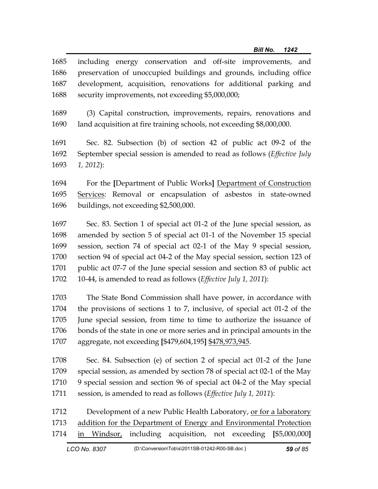| 1685 | including energy conservation and off-site improvements, and          |
|------|-----------------------------------------------------------------------|
| 1686 | preservation of unoccupied buildings and grounds, including office    |
| 1687 | development, acquisition, renovations for additional parking and      |
| 1688 | security improvements, not exceeding \$5,000,000;                     |
| 1689 | (3) Capital construction, improvements, repairs, renovations and      |
| 1690 | land acquisition at fire training schools, not exceeding \$8,000,000. |

1691 Sec. 82. Subsection (b) of section 42 of public act 09-2 of the 1692 September special session is amended to read as follows (*Effective July* 

1693 *1, 2012*):

1694 For the **[**Department of Public Works**]** Department of Construction 1695 Services: Removal or encapsulation of asbestos in state-owned 1696 buildings, not exceeding \$2,500,000.

1697 Sec. 83. Section 1 of special act 01-2 of the June special session, as 1698 amended by section 5 of special act 01-1 of the November 15 special 1699 session, section 74 of special act 02-1 of the May 9 special session, 1700 section 94 of special act 04-2 of the May special session, section 123 of 1701 public act 07-7 of the June special session and section 83 of public act 1702 10-44, is amended to read as follows (*Effective July 1, 2011*):

1703 The State Bond Commission shall have power, in accordance with 1704 the provisions of sections 1 to 7, inclusive, of special act 01-2 of the 1705 June special session, from time to time to authorize the issuance of 1706 bonds of the state in one or more series and in principal amounts in the 1707 aggregate, not exceeding **[**\$479,604,195**]** \$478,973,945.

1708 Sec. 84. Subsection (e) of section 2 of special act 01-2 of the June 1709 special session, as amended by section 78 of special act 02-1 of the May 1710 9 special session and section 96 of special act 04-2 of the May special 1711 session, is amended to read as follows (*Effective July 1, 2011*):

1712 Development of a new Public Health Laboratory, or for a laboratory 1713 addition for the Department of Energy and Environmental Protection 1714 in Windsor, including acquisition, not exceeding **[**\$5,000,000**]**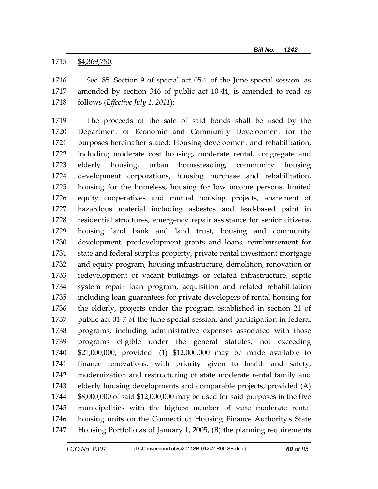1715 \$4,369,750.

1716 Sec. 85. Section 9 of special act 05-1 of the June special session, as 1717 amended by section 346 of public act 10-44, is amended to read as 1718 follows (*Effective July 1, 2011*):

1719 The proceeds of the sale of said bonds shall be used by the 1720 Department of Economic and Community Development for the 1721 purposes hereinafter stated: Housing development and rehabilitation, 1722 including moderate cost housing, moderate rental, congregate and 1723 elderly housing, urban homesteading, community housing 1724 development corporations, housing purchase and rehabilitation, 1725 housing for the homeless, housing for low income persons, limited 1726 equity cooperatives and mutual housing projects, abatement of 1727 hazardous material including asbestos and lead-based paint in 1728 residential structures, emergency repair assistance for senior citizens, 1729 housing land bank and land trust, housing and community 1730 development, predevelopment grants and loans, reimbursement for 1731 state and federal surplus property, private rental investment mortgage 1732 and equity program, housing infrastructure, demolition, renovation or 1733 redevelopment of vacant buildings or related infrastructure, septic 1734 system repair loan program, acquisition and related rehabilitation 1735 including loan guarantees for private developers of rental housing for 1736 the elderly, projects under the program established in section 21 of 1737 public act 01-7 of the June special session, and participation in federal 1738 programs, including administrative expenses associated with those 1739 programs eligible under the general statutes, not exceeding 1740 \$21,000,000, provided: (1) \$12,000,000 may be made available to 1741 finance renovations, with priority given to health and safety, 1742 modernization and restructuring of state moderate rental family and 1743 elderly housing developments and comparable projects, provided (A) 1744 \$8,000,000 of said \$12,000,000 may be used for said purposes in the five 1745 municipalities with the highest number of state moderate rental 1746 housing units on the Connecticut Housing Finance Authority's State 1747 Housing Portfolio as of January 1, 2005, (B) the planning requirements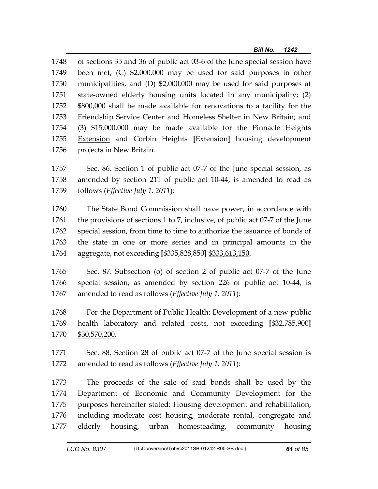1748 of sections 35 and 36 of public act 03-6 of the June special session have 1749 been met, (C) \$2,000,000 may be used for said purposes in other 1750 municipalities, and (D) \$2,000,000 may be used for said purposes at 1751 state-owned elderly housing units located in any municipality; (2) 1752 \$800,000 shall be made available for renovations to a facility for the 1753 Friendship Service Center and Homeless Shelter in New Britain; and 1754 (3) \$15,000,000 may be made available for the Pinnacle Heights 1755 Extension and Corbin Heights **[**Extension**]** housing development 1756 projects in New Britain.

1757 Sec. 86. Section 1 of public act 07-7 of the June special session, as 1758 amended by section 211 of public act 10-44, is amended to read as 1759 follows (*Effective July 1, 2011*):

- 1760 The State Bond Commission shall have power, in accordance with 1761 the provisions of sections 1 to 7, inclusive, of public act 07-7 of the June 1762 special session, from time to time to authorize the issuance of bonds of 1763 the state in one or more series and in principal amounts in the 1764 aggregate, not exceeding **[**\$335,828,850**]** \$333,613,150.
- 1765 Sec. 87. Subsection (o) of section 2 of public act 07-7 of the June 1766 special session, as amended by section 226 of public act 10-44, is 1767 amended to read as follows (*Effective July 1, 2011*):
- 1768 For the Department of Public Health: Development of a new public 1769 health laboratory and related costs, not exceeding **[**\$32,785,900**]** 1770 \$30,570,200.
- 1771 Sec. 88. Section 28 of public act 07-7 of the June special session is 1772 amended to read as follows (*Effective July 1, 2011*):

1773 The proceeds of the sale of said bonds shall be used by the 1774 Department of Economic and Community Development for the 1775 purposes hereinafter stated: Housing development and rehabilitation, 1776 including moderate cost housing, moderate rental, congregate and 1777 elderly housing, urban homesteading, community housing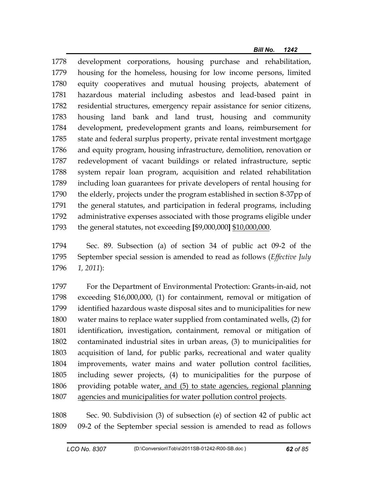1778 development corporations, housing purchase and rehabilitation, 1779 housing for the homeless, housing for low income persons, limited 1780 equity cooperatives and mutual housing projects, abatement of 1781 hazardous material including asbestos and lead-based paint in 1782 residential structures, emergency repair assistance for senior citizens, 1783 housing land bank and land trust, housing and community 1784 development, predevelopment grants and loans, reimbursement for 1785 state and federal surplus property, private rental investment mortgage 1786 and equity program, housing infrastructure, demolition, renovation or 1787 redevelopment of vacant buildings or related infrastructure, septic 1788 system repair loan program, acquisition and related rehabilitation 1789 including loan guarantees for private developers of rental housing for 1790 the elderly, projects under the program established in section 8-37pp of 1791 the general statutes, and participation in federal programs, including 1792 administrative expenses associated with those programs eligible under 1793 the general statutes, not exceeding **[**\$9,000,000**]** \$10,000,000.

1794 Sec. 89. Subsection (a) of section 34 of public act 09-2 of the 1795 September special session is amended to read as follows (*Effective July*  1796 *1, 2011*):

1797 For the Department of Environmental Protection: Grants-in-aid, not 1798 exceeding \$16,000,000, (1) for containment, removal or mitigation of 1799 identified hazardous waste disposal sites and to municipalities for new 1800 water mains to replace water supplied from contaminated wells, (2) for 1801 identification, investigation, containment, removal or mitigation of 1802 contaminated industrial sites in urban areas, (3) to municipalities for 1803 acquisition of land, for public parks, recreational and water quality 1804 improvements, water mains and water pollution control facilities, 1805 including sewer projects, (4) to municipalities for the purpose of 1806 providing potable water, and (5) to state agencies, regional planning 1807 agencies and municipalities for water pollution control projects.

1808 Sec. 90. Subdivision (3) of subsection (e) of section 42 of public act 1809 09-2 of the September special session is amended to read as follows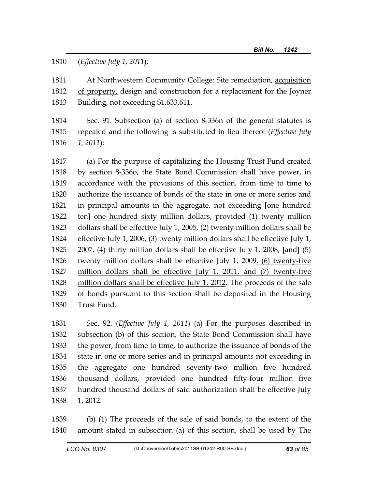1810 (*Effective July 1, 2011*):

1811 At Northwestern Community College: Site remediation, acquisition 1812 of property, design and construction for a replacement for the Joyner 1813 Building, not exceeding \$1,633,611.

1814 Sec. 91. Subsection (a) of section 8-336n of the general statutes is 1815 repealed and the following is substituted in lieu thereof (*Effective July*  1816 *1, 2011*):

1817 (a) For the purpose of capitalizing the Housing Trust Fund created 1818 by section 8-336o, the State Bond Commission shall have power, in 1819 accordance with the provisions of this section, from time to time to 1820 authorize the issuance of bonds of the state in one or more series and 1821 in principal amounts in the aggregate, not exceeding **[**one hundred 1822 ten**]** one hundred sixty million dollars, provided (1) twenty million 1823 dollars shall be effective July 1, 2005, (2) twenty million dollars shall be 1824 effective July 1, 2006, (3) twenty million dollars shall be effective July 1, 1825 2007, (4) thirty million dollars shall be effective July 1, 2008, **[**and**]** (5) 1826 twenty million dollars shall be effective July 1, 2009, (6) twenty-five 1827 million dollars shall be effective July 1, 2011, and (7) twenty-five 1828 million dollars shall be effective July 1, 2012. The proceeds of the sale 1829 of bonds pursuant to this section shall be deposited in the Housing 1830 Trust Fund.

1831 Sec. 92. (*Effective July 1, 2011*) (a) For the purposes described in 1832 subsection (b) of this section, the State Bond Commission shall have 1833 the power, from time to time, to authorize the issuance of bonds of the 1834 state in one or more series and in principal amounts not exceeding in 1835 the aggregate one hundred seventy-two million five hundred 1836 thousand dollars, provided one hundred fifty-four million five 1837 hundred thousand dollars of said authorization shall be effective July 1838 1, 2012.

1839 (b) (1) The proceeds of the sale of said bonds, to the extent of the 1840 amount stated in subsection (a) of this section, shall be used by The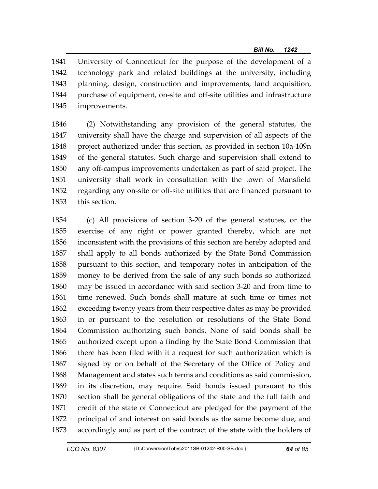1841 University of Connecticut for the purpose of the development of a 1842 technology park and related buildings at the university, including 1843 planning, design, construction and improvements, land acquisition, 1844 purchase of equipment, on-site and off-site utilities and infrastructure 1845 improvements.

1846 (2) Notwithstanding any provision of the general statutes, the 1847 university shall have the charge and supervision of all aspects of the 1848 project authorized under this section, as provided in section 10a-109n 1849 of the general statutes. Such charge and supervision shall extend to 1850 any off-campus improvements undertaken as part of said project. The 1851 university shall work in consultation with the town of Mansfield 1852 regarding any on-site or off-site utilities that are financed pursuant to 1853 this section.

1854 (c) All provisions of section 3-20 of the general statutes, or the 1855 exercise of any right or power granted thereby, which are not 1856 inconsistent with the provisions of this section are hereby adopted and 1857 shall apply to all bonds authorized by the State Bond Commission 1858 pursuant to this section, and temporary notes in anticipation of the 1859 money to be derived from the sale of any such bonds so authorized 1860 may be issued in accordance with said section 3-20 and from time to 1861 time renewed. Such bonds shall mature at such time or times not 1862 exceeding twenty years from their respective dates as may be provided 1863 in or pursuant to the resolution or resolutions of the State Bond 1864 Commission authorizing such bonds. None of said bonds shall be 1865 authorized except upon a finding by the State Bond Commission that 1866 there has been filed with it a request for such authorization which is 1867 signed by or on behalf of the Secretary of the Office of Policy and 1868 Management and states such terms and conditions as said commission, 1869 in its discretion, may require. Said bonds issued pursuant to this 1870 section shall be general obligations of the state and the full faith and 1871 credit of the state of Connecticut are pledged for the payment of the 1872 principal of and interest on said bonds as the same become due, and 1873 accordingly and as part of the contract of the state with the holders of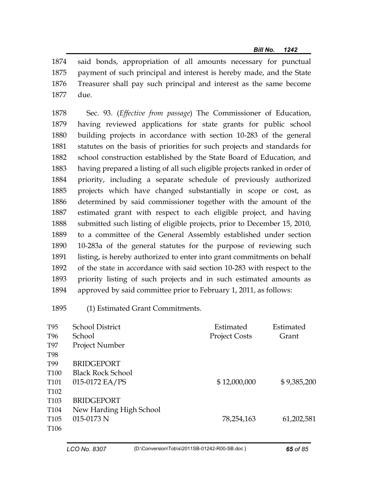1874 said bonds, appropriation of all amounts necessary for punctual 1875 payment of such principal and interest is hereby made, and the State 1876 Treasurer shall pay such principal and interest as the same become 1877 due.

1878 Sec. 93. (*Effective from passage*) The Commissioner of Education, 1879 having reviewed applications for state grants for public school 1880 building projects in accordance with section 10-283 of the general 1881 statutes on the basis of priorities for such projects and standards for 1882 school construction established by the State Board of Education, and 1883 having prepared a listing of all such eligible projects ranked in order of 1884 priority, including a separate schedule of previously authorized 1885 projects which have changed substantially in scope or cost, as 1886 determined by said commissioner together with the amount of the 1887 estimated grant with respect to each eligible project, and having 1888 submitted such listing of eligible projects, prior to December 15, 2010, 1889 to a committee of the General Assembly established under section 1890 10-283a of the general statutes for the purpose of reviewing such 1891 listing, is hereby authorized to enter into grant commitments on behalf 1892 of the state in accordance with said section 10-283 with respect to the 1893 priority listing of such projects and in such estimated amounts as 1894 approved by said committee prior to February 1, 2011, as follows:

1895 (1) Estimated Grant Commitments.

| T95              | <b>School District</b>   | Estimated            | Estimated   |
|------------------|--------------------------|----------------------|-------------|
| T96              | School                   | <b>Project Costs</b> | Grant       |
| <b>T97</b>       | <b>Project Number</b>    |                      |             |
| <b>T98</b>       |                          |                      |             |
| T99              | <b>BRIDGEPORT</b>        |                      |             |
| T100             | <b>Black Rock School</b> |                      |             |
| T101             | 015-0172 EA/PS           | \$12,000,000         | \$9,385,200 |
| T <sub>102</sub> |                          |                      |             |
| T <sub>103</sub> | <b>BRIDGEPORT</b>        |                      |             |
| T104             | New Harding High School  |                      |             |
| T <sub>105</sub> | 015-0173 N               | 78,254,163           | 61,202,581  |
| T <sub>106</sub> |                          |                      |             |
|                  |                          |                      |             |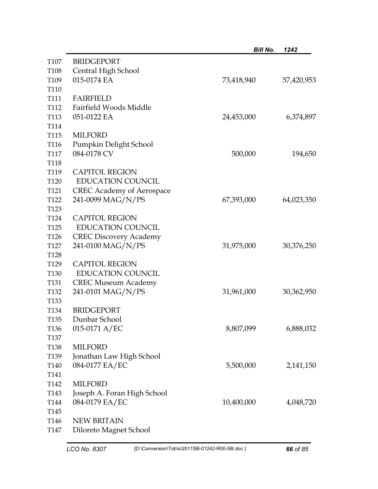|                  |                                  | <b>Bill No.</b> | 1242       |
|------------------|----------------------------------|-----------------|------------|
| T107             | <b>BRIDGEPORT</b>                |                 |            |
| T <sub>108</sub> | Central High School              |                 |            |
| T <sub>109</sub> | 015-0174 EA                      | 73,418,940      | 57,420,953 |
| T110             |                                  |                 |            |
| T111             | <b>FAIRFIELD</b>                 |                 |            |
| T112             | Fairfield Woods Middle           |                 |            |
| T113             | 051-0122 EA                      | 24,453,000      | 6,374,897  |
| T114             |                                  |                 |            |
| T <sub>115</sub> | <b>MILFORD</b>                   |                 |            |
| T116             | Pumpkin Delight School           |                 |            |
| T <sub>117</sub> | 084-0178 CV                      | 500,000         | 194,650    |
| T118             |                                  |                 |            |
| T119             | <b>CAPITOL REGION</b>            |                 |            |
| T120             | <b>EDUCATION COUNCIL</b>         |                 |            |
| T <sub>121</sub> | <b>CREC Academy of Aerospace</b> |                 |            |
| T <sub>122</sub> | 241-0099 MAG/N/PS                | 67,393,000      | 64,023,350 |
| T123             |                                  |                 |            |
| T124             | <b>CAPITOL REGION</b>            |                 |            |
| T <sub>125</sub> | <b>EDUCATION COUNCIL</b>         |                 |            |
| T <sub>126</sub> | <b>CREC Discovery Academy</b>    |                 |            |
| T <sub>127</sub> | 241-0100 MAG/N/PS                | 31,975,000      | 30,376,250 |
| T <sub>128</sub> |                                  |                 |            |
| T <sub>129</sub> | <b>CAPITOL REGION</b>            |                 |            |
| T <sub>130</sub> | <b>EDUCATION COUNCIL</b>         |                 |            |
| T <sub>131</sub> | <b>CREC Museum Academy</b>       |                 |            |
| T <sub>132</sub> | 241-0101 MAG/N/PS                | 31,961,000      | 30,362,950 |
| T133             |                                  |                 |            |
| T <sub>134</sub> | <b>BRIDGEPORT</b>                |                 |            |
| T <sub>135</sub> | Dunbar School                    |                 |            |
| T136             | $015-0171$ A/EC                  | 8,807,099       | 6,888,032  |
| T <sub>137</sub> |                                  |                 |            |
| T <sub>138</sub> | <b>MILFORD</b>                   |                 |            |
| T <sub>139</sub> | Jonathan Law High School         |                 |            |
| T140             | 084-0177 EA/EC                   | 5,500,000       | 2,141,150  |
| T141             |                                  |                 |            |
| T <sub>142</sub> | <b>MILFORD</b>                   |                 |            |
| T <sub>143</sub> | Joseph A. Foran High School      |                 |            |
| T144             | 084-0179 EA/EC                   | 10,400,000      | 4,048,720  |
| T <sub>145</sub> |                                  |                 |            |
| T <sub>146</sub> | <b>NEW BRITAIN</b>               |                 |            |
| T147             | Diloreto Magnet School           |                 |            |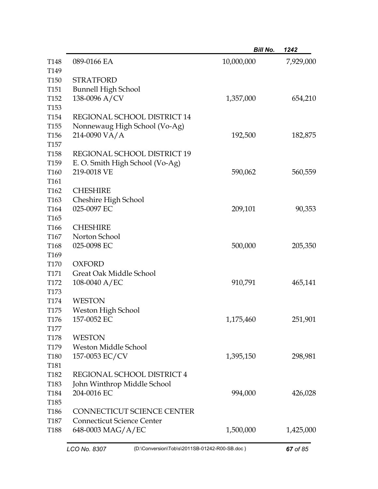|                          |                                   | <b>Bill No.</b> | 1242      |
|--------------------------|-----------------------------------|-----------------|-----------|
| T <sub>148</sub>         | 089-0166 EA                       | 10,000,000      | 7,929,000 |
| T149<br>T <sub>150</sub> | <b>STRATFORD</b>                  |                 |           |
| T <sub>151</sub>         | <b>Bunnell High School</b>        |                 |           |
| T <sub>152</sub>         | 138-0096 A/CV                     | 1,357,000       | 654,210   |
| T <sub>153</sub>         |                                   |                 |           |
| T <sub>154</sub>         | REGIONAL SCHOOL DISTRICT 14       |                 |           |
| T <sub>155</sub>         | Nonnewaug High School (Vo-Ag)     |                 |           |
| T <sub>156</sub>         | 214-0090 VA/A                     | 192,500         | 182,875   |
| T <sub>157</sub>         |                                   |                 |           |
| T <sub>158</sub>         | REGIONAL SCHOOL DISTRICT 19       |                 |           |
| T <sub>159</sub>         | E. O. Smith High School (Vo-Ag)   |                 |           |
| T160                     | 219-0018 VE                       | 590,062         | 560,559   |
| T <sub>161</sub>         |                                   |                 |           |
| T <sub>162</sub>         | <b>CHESHIRE</b>                   |                 |           |
| T <sub>163</sub>         | Cheshire High School              |                 |           |
| T164                     | 025-0097 EC                       | 209,101         | 90,353    |
| T <sub>165</sub>         |                                   |                 |           |
| T <sub>166</sub>         | <b>CHESHIRE</b>                   |                 |           |
| T <sub>167</sub>         | Norton School                     |                 |           |
| T <sub>168</sub>         | 025-0098 EC                       | 500,000         | 205,350   |
| T <sub>169</sub>         |                                   |                 |           |
| T170                     | <b>OXFORD</b>                     |                 |           |
| T <sub>171</sub>         | Great Oak Middle School           |                 |           |
| T172                     | 108-0040 $A/EC$                   | 910,791         | 465,141   |
| T <sub>173</sub>         |                                   |                 |           |
| T174                     | <b>WESTON</b>                     |                 |           |
| T <sub>175</sub>         | Weston High School                |                 |           |
| T <sub>176</sub>         | 157-0052 EC                       | 1,175,460       | 251,901   |
| T <sub>177</sub>         |                                   |                 |           |
| <b>T178</b>              | <b>WESTON</b>                     |                 |           |
| T <sub>179</sub>         | Weston Middle School              |                 |           |
| T <sub>180</sub>         | 157-0053 EC/CV                    | 1,395,150       | 298,981   |
| T <sub>181</sub>         |                                   |                 |           |
| T182                     | REGIONAL SCHOOL DISTRICT 4        |                 |           |
| T183                     | John Winthrop Middle School       |                 |           |
| T184                     | 204-0016 EC                       | 994,000         | 426,028   |
| T185                     |                                   |                 |           |
| T186                     | <b>CONNECTICUT SCIENCE CENTER</b> |                 |           |
| <b>T187</b>              | <b>Connecticut Science Center</b> |                 |           |
| T188                     | 648-0003 MAG/A/EC                 | 1,500,000       | 1,425,000 |
|                          |                                   |                 |           |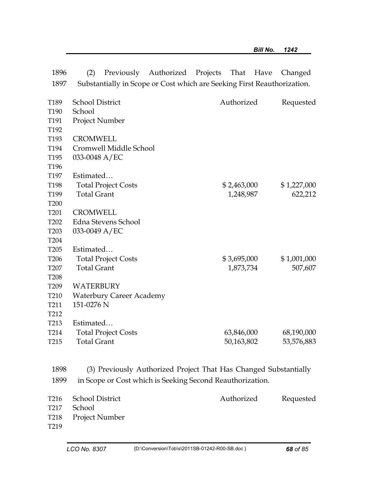|                          | (2)<br>Previously                | Authorized Projects                                                     | That<br>Have | Changed     |
|--------------------------|----------------------------------|-------------------------------------------------------------------------|--------------|-------------|
| 1897                     |                                  | Substantially in Scope or Cost which are Seeking First Reauthorization. |              |             |
|                          |                                  |                                                                         |              |             |
|                          |                                  |                                                                         |              |             |
|                          |                                  |                                                                         |              |             |
|                          |                                  |                                                                         |              |             |
|                          |                                  |                                                                         |              |             |
| T193                     | <b>CROMWELL</b>                  |                                                                         |              |             |
| T194                     | Cromwell Middle School           |                                                                         |              |             |
| T <sub>195</sub>         | 033-0048 A/EC                    |                                                                         |              |             |
| T <sub>196</sub>         |                                  |                                                                         |              |             |
| T <sub>197</sub>         | Estimated                        |                                                                         |              |             |
| T198                     | <b>Total Project Costs</b>       |                                                                         | \$2,463,000  | \$1,227,000 |
| T199                     | <b>Total Grant</b>               |                                                                         | 1,248,987    | 622,212     |
| T <sub>200</sub>         |                                  |                                                                         |              |             |
| T <sub>201</sub>         | <b>CROMWELL</b>                  |                                                                         |              |             |
| T202                     | Edna Stevens School              |                                                                         |              |             |
| T <sub>203</sub>         | 033-0049 A/EC                    |                                                                         |              |             |
| T <sub>204</sub>         |                                  |                                                                         |              |             |
| T <sub>205</sub>         | Estimated                        |                                                                         |              |             |
| T <sub>206</sub>         | <b>Total Project Costs</b>       |                                                                         | \$3,695,000  | \$1,001,000 |
| T <sub>207</sub>         | <b>Total Grant</b>               |                                                                         | 1,873,734    | 507,607     |
| T <sub>208</sub>         |                                  |                                                                         |              |             |
| T <sub>209</sub>         | WATERBURY                        |                                                                         |              |             |
| T210                     | <b>Waterbury Career Academy</b>  |                                                                         |              |             |
| T <sub>211</sub>         | 151-0276 N                       |                                                                         |              |             |
| T212                     |                                  |                                                                         |              |             |
| T <sub>213</sub>         | Estimated                        |                                                                         |              |             |
| T <sub>214</sub>         | <b>Total Project Costs</b>       |                                                                         | 63,846,000   | 68,190,000  |
| T <sub>215</sub>         | <b>Total Grant</b>               |                                                                         | 50,163,802   | 53,576,883  |
|                          |                                  |                                                                         |              |             |
|                          |                                  |                                                                         |              |             |
| 1898                     |                                  | (3) Previously Authorized Project That Has Changed Substantially        |              |             |
| 1899                     |                                  | in Scope or Cost which is Seeking Second Reauthorization.               |              |             |
| T216                     | <b>School District</b>           |                                                                         | Authorized   | Requested   |
| T217                     | School                           |                                                                         |              |             |
| T <sub>218</sub>         | Project Number                   |                                                                         |              |             |
| T219                     |                                  |                                                                         |              |             |
|                          |                                  |                                                                         |              |             |
|                          |                                  |                                                                         |              |             |
| T192                     |                                  |                                                                         |              |             |
| T <sub>191</sub>         | Project Number                   |                                                                         |              |             |
| T189<br>T <sub>190</sub> | <b>School District</b><br>School |                                                                         | Authorized   | Requested   |
|                          |                                  |                                                                         |              |             |
|                          |                                  |                                                                         |              |             |
| 1896                     |                                  |                                                                         |              |             |

1896 (2) Previously Authorized Projects That Have Changed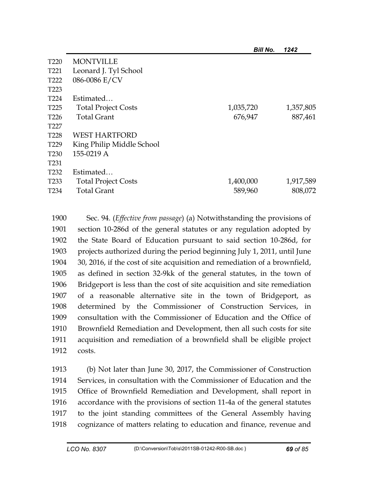| T <sub>220</sub> | <b>MONTVILLE</b>           |           |           |
|------------------|----------------------------|-----------|-----------|
| T <sub>221</sub> | Leonard J. Tyl School      |           |           |
| T <sub>222</sub> | 086-0086 E/CV              |           |           |
| T <sub>223</sub> |                            |           |           |
| T <sub>224</sub> | Estimated                  |           |           |
| T <sub>225</sub> | <b>Total Project Costs</b> | 1,035,720 | 1,357,805 |
| T <sub>226</sub> | <b>Total Grant</b>         | 676,947   | 887,461   |
| T <sub>227</sub> |                            |           |           |
| T <sub>228</sub> | <b>WEST HARTFORD</b>       |           |           |
| T <sub>229</sub> | King Philip Middle School  |           |           |
| T <sub>230</sub> | 155-0219 A                 |           |           |
| T <sub>231</sub> |                            |           |           |
| T <sub>232</sub> | Estimated                  |           |           |
| T <sub>233</sub> | <b>Total Project Costs</b> | 1,400,000 | 1,917,589 |
| T <sub>234</sub> | <b>Total Grant</b>         | 589,960   | 808,072   |
|                  |                            |           |           |

1900 Sec. 94. (*Effective from passage*) (a) Notwithstanding the provisions of 1901 section 10-286d of the general statutes or any regulation adopted by 1902 the State Board of Education pursuant to said section 10-286d, for 1903 projects authorized during the period beginning July 1, 2011, until June 1904 30, 2016, if the cost of site acquisition and remediation of a brownfield, 1905 as defined in section 32-9kk of the general statutes, in the town of 1906 Bridgeport is less than the cost of site acquisition and site remediation 1907 of a reasonable alternative site in the town of Bridgeport, as 1908 determined by the Commissioner of Construction Services, in 1909 consultation with the Commissioner of Education and the Office of 1910 Brownfield Remediation and Development, then all such costs for site 1911 acquisition and remediation of a brownfield shall be eligible project 1912 costs.

1913 (b) Not later than June 30, 2017, the Commissioner of Construction 1914 Services, in consultation with the Commissioner of Education and the 1915 Office of Brownfield Remediation and Development, shall report in 1916 accordance with the provisions of section 11-4a of the general statutes 1917 to the joint standing committees of the General Assembly having 1918 cognizance of matters relating to education and finance, revenue and

*Bill No. 1242*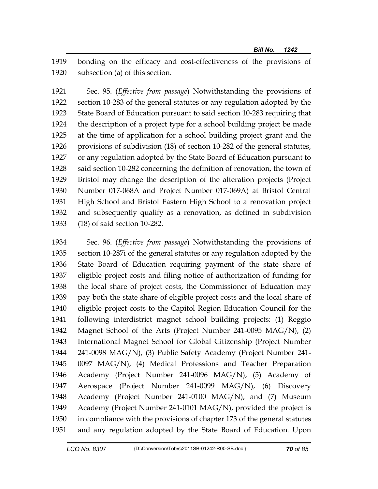1919 bonding on the efficacy and cost-effectiveness of the provisions of 1920 subsection (a) of this section.

1921 Sec. 95. (*Effective from passage*) Notwithstanding the provisions of 1922 section 10-283 of the general statutes or any regulation adopted by the 1923 State Board of Education pursuant to said section 10-283 requiring that 1924 the description of a project type for a school building project be made 1925 at the time of application for a school building project grant and the 1926 provisions of subdivision (18) of section 10-282 of the general statutes, 1927 or any regulation adopted by the State Board of Education pursuant to 1928 said section 10-282 concerning the definition of renovation, the town of 1929 Bristol may change the description of the alteration projects (Project 1930 Number 017-068A and Project Number 017-069A) at Bristol Central 1931 High School and Bristol Eastern High School to a renovation project 1932 and subsequently qualify as a renovation, as defined in subdivision 1933 (18) of said section 10-282.

1934 Sec. 96. (*Effective from passage*) Notwithstanding the provisions of 1935 section 10-287i of the general statutes or any regulation adopted by the 1936 State Board of Education requiring payment of the state share of 1937 eligible project costs and filing notice of authorization of funding for 1938 the local share of project costs, the Commissioner of Education may 1939 pay both the state share of eligible project costs and the local share of 1940 eligible project costs to the Capitol Region Education Council for the 1941 following interdistrict magnet school building projects: (1) Reggio 1942 Magnet School of the Arts (Project Number 241-0095 MAG/N), (2) 1943 International Magnet School for Global Citizenship (Project Number 1944 241-0098 MAG/N), (3) Public Safety Academy (Project Number 241- 1945 0097 MAG/N), (4) Medical Professions and Teacher Preparation 1946 Academy (Project Number 241-0096 MAG/N), (5) Academy of 1947 Aerospace (Project Number 241-0099 MAG/N), (6) Discovery 1948 Academy (Project Number 241-0100 MAG/N), and (7) Museum 1949 Academy (Project Number 241-0101 MAG/N), provided the project is 1950 in compliance with the provisions of chapter 173 of the general statutes 1951 and any regulation adopted by the State Board of Education. Upon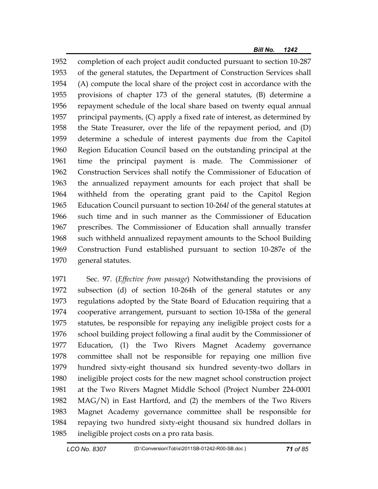1952 completion of each project audit conducted pursuant to section 10-287 1953 of the general statutes, the Department of Construction Services shall 1954 (A) compute the local share of the project cost in accordance with the 1955 provisions of chapter 173 of the general statutes, (B) determine a 1956 repayment schedule of the local share based on twenty equal annual 1957 principal payments, (C) apply a fixed rate of interest, as determined by 1958 the State Treasurer, over the life of the repayment period, and (D) 1959 determine a schedule of interest payments due from the Capitol 1960 Region Education Council based on the outstanding principal at the 1961 time the principal payment is made. The Commissioner of 1962 Construction Services shall notify the Commissioner of Education of 1963 the annualized repayment amounts for each project that shall be 1964 withheld from the operating grant paid to the Capitol Region 1965 Education Council pursuant to section 10-264*l* of the general statutes at 1966 such time and in such manner as the Commissioner of Education 1967 prescribes. The Commissioner of Education shall annually transfer 1968 such withheld annualized repayment amounts to the School Building 1969 Construction Fund established pursuant to section 10-287e of the 1970 general statutes.

1971 Sec. 97. (*Effective from passage*) Notwithstanding the provisions of 1972 subsection (d) of section 10-264h of the general statutes or any 1973 regulations adopted by the State Board of Education requiring that a 1974 cooperative arrangement, pursuant to section 10-158a of the general 1975 statutes, be responsible for repaying any ineligible project costs for a 1976 school building project following a final audit by the Commissioner of 1977 Education, (1) the Two Rivers Magnet Academy governance 1978 committee shall not be responsible for repaying one million five 1979 hundred sixty-eight thousand six hundred seventy-two dollars in 1980 ineligible project costs for the new magnet school construction project 1981 at the Two Rivers Magnet Middle School (Project Number 224-0001 1982 MAG/N) in East Hartford, and (2) the members of the Two Rivers 1983 Magnet Academy governance committee shall be responsible for 1984 repaying two hundred sixty-eight thousand six hundred dollars in 1985 ineligible project costs on a pro rata basis.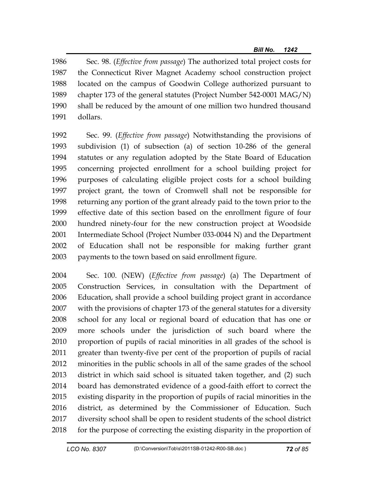1986 Sec. 98. (*Effective from passage*) The authorized total project costs for 1987 the Connecticut River Magnet Academy school construction project 1988 located on the campus of Goodwin College authorized pursuant to 1989 chapter 173 of the general statutes (Project Number 542-0001 MAG/N) 1990 shall be reduced by the amount of one million two hundred thousand 1991 dollars.

1992 Sec. 99. (*Effective from passage*) Notwithstanding the provisions of 1993 subdivision (1) of subsection (a) of section 10-286 of the general 1994 statutes or any regulation adopted by the State Board of Education 1995 concerning projected enrollment for a school building project for 1996 purposes of calculating eligible project costs for a school building 1997 project grant, the town of Cromwell shall not be responsible for 1998 returning any portion of the grant already paid to the town prior to the 1999 effective date of this section based on the enrollment figure of four 2000 hundred ninety-four for the new construction project at Woodside 2001 Intermediate School (Project Number 033-0044 N) and the Department 2002 of Education shall not be responsible for making further grant 2003 payments to the town based on said enrollment figure.

2004 Sec. 100. (NEW) (*Effective from passage*) (a) The Department of 2005 Construction Services, in consultation with the Department of 2006 Education, shall provide a school building project grant in accordance 2007 with the provisions of chapter 173 of the general statutes for a diversity 2008 school for any local or regional board of education that has one or 2009 more schools under the jurisdiction of such board where the 2010 proportion of pupils of racial minorities in all grades of the school is 2011 greater than twenty-five per cent of the proportion of pupils of racial 2012 minorities in the public schools in all of the same grades of the school 2013 district in which said school is situated taken together, and (2) such 2014 board has demonstrated evidence of a good-faith effort to correct the 2015 existing disparity in the proportion of pupils of racial minorities in the 2016 district, as determined by the Commissioner of Education. Such 2017 diversity school shall be open to resident students of the school district 2018 for the purpose of correcting the existing disparity in the proportion of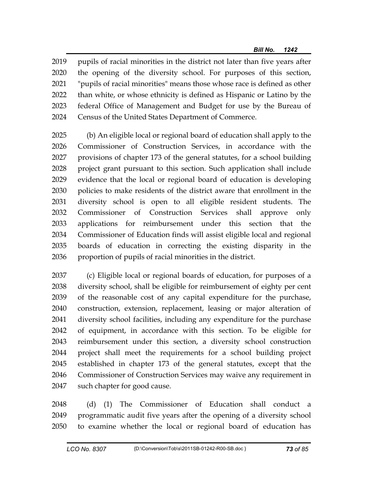2019 pupils of racial minorities in the district not later than five years after 2020 the opening of the diversity school. For purposes of this section, 2021 "pupils of racial minorities" means those whose race is defined as other 2022 than white, or whose ethnicity is defined as Hispanic or Latino by the 2023 federal Office of Management and Budget for use by the Bureau of 2024 Census of the United States Department of Commerce.

2025 (b) An eligible local or regional board of education shall apply to the 2026 Commissioner of Construction Services, in accordance with the 2027 provisions of chapter 173 of the general statutes, for a school building 2028 project grant pursuant to this section. Such application shall include 2029 evidence that the local or regional board of education is developing 2030 policies to make residents of the district aware that enrollment in the 2031 diversity school is open to all eligible resident students. The 2032 Commissioner of Construction Services shall approve only 2033 applications for reimbursement under this section that the 2034 Commissioner of Education finds will assist eligible local and regional 2035 boards of education in correcting the existing disparity in the 2036 proportion of pupils of racial minorities in the district.

2037 (c) Eligible local or regional boards of education, for purposes of a 2038 diversity school, shall be eligible for reimbursement of eighty per cent 2039 of the reasonable cost of any capital expenditure for the purchase, 2040 construction, extension, replacement, leasing or major alteration of 2041 diversity school facilities, including any expenditure for the purchase 2042 of equipment, in accordance with this section. To be eligible for 2043 reimbursement under this section, a diversity school construction 2044 project shall meet the requirements for a school building project 2045 established in chapter 173 of the general statutes, except that the 2046 Commissioner of Construction Services may waive any requirement in 2047 such chapter for good cause.

2048 (d) (1) The Commissioner of Education shall conduct a 2049 programmatic audit five years after the opening of a diversity school 2050 to examine whether the local or regional board of education has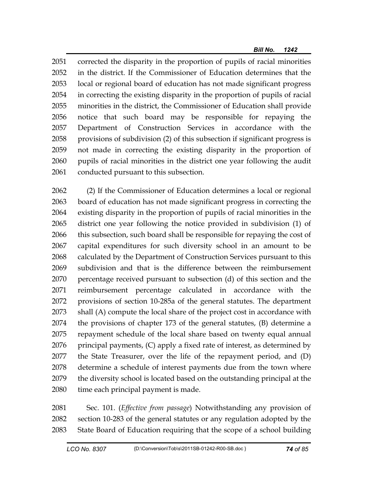2051 corrected the disparity in the proportion of pupils of racial minorities 2052 in the district. If the Commissioner of Education determines that the 2053 local or regional board of education has not made significant progress 2054 in correcting the existing disparity in the proportion of pupils of racial 2055 minorities in the district, the Commissioner of Education shall provide 2056 notice that such board may be responsible for repaying the 2057 Department of Construction Services in accordance with the 2058 provisions of subdivision (2) of this subsection if significant progress is 2059 not made in correcting the existing disparity in the proportion of 2060 pupils of racial minorities in the district one year following the audit 2061 conducted pursuant to this subsection.

2062 (2) If the Commissioner of Education determines a local or regional 2063 board of education has not made significant progress in correcting the 2064 existing disparity in the proportion of pupils of racial minorities in the 2065 district one year following the notice provided in subdivision (1) of 2066 this subsection, such board shall be responsible for repaying the cost of 2067 capital expenditures for such diversity school in an amount to be 2068 calculated by the Department of Construction Services pursuant to this 2069 subdivision and that is the difference between the reimbursement 2070 percentage received pursuant to subsection (d) of this section and the 2071 reimbursement percentage calculated in accordance with the 2072 provisions of section 10-285a of the general statutes. The department 2073 shall (A) compute the local share of the project cost in accordance with 2074 the provisions of chapter 173 of the general statutes, (B) determine a 2075 repayment schedule of the local share based on twenty equal annual  $2076$  principal payments,  $(C)$  apply a fixed rate of interest, as determined by 2077 the State Treasurer, over the life of the repayment period, and (D) 2078 determine a schedule of interest payments due from the town where 2079 the diversity school is located based on the outstanding principal at the 2080 time each principal payment is made.

2081 Sec. 101. (*Effective from passage*) Notwithstanding any provision of 2082 section 10-283 of the general statutes or any regulation adopted by the 2083 State Board of Education requiring that the scope of a school building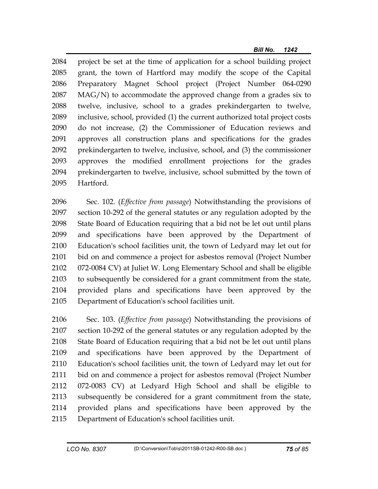2084 project be set at the time of application for a school building project 2085 grant, the town of Hartford may modify the scope of the Capital 2086 Preparatory Magnet School project (Project Number 064-0290 2087 MAG/N) to accommodate the approved change from a grades six to 2088 twelve, inclusive, school to a grades prekindergarten to twelve, 2089 inclusive, school, provided (1) the current authorized total project costs 2090 do not increase, (2) the Commissioner of Education reviews and 2091 approves all construction plans and specifications for the grades 2092 prekindergarten to twelve, inclusive, school, and (3) the commissioner 2093 approves the modified enrollment projections for the grades 2094 prekindergarten to twelve, inclusive, school submitted by the town of 2095 Hartford.

2096 Sec. 102. (*Effective from passage*) Notwithstanding the provisions of 2097 section 10-292 of the general statutes or any regulation adopted by the 2098 State Board of Education requiring that a bid not be let out until plans 2099 and specifications have been approved by the Department of 2100 Education's school facilities unit, the town of Ledyard may let out for 2101 bid on and commence a project for asbestos removal (Project Number 2102 072-0084 CV) at Juliet W. Long Elementary School and shall be eligible 2103 to subsequently be considered for a grant commitment from the state, 2104 provided plans and specifications have been approved by the 2105 Department of Education's school facilities unit.

2106 Sec. 103. (*Effective from passage*) Notwithstanding the provisions of 2107 section 10-292 of the general statutes or any regulation adopted by the 2108 State Board of Education requiring that a bid not be let out until plans 2109 and specifications have been approved by the Department of 2110 Education's school facilities unit, the town of Ledyard may let out for 2111 bid on and commence a project for asbestos removal (Project Number 2112 072-0083 CV) at Ledyard High School and shall be eligible to 2113 subsequently be considered for a grant commitment from the state, 2114 provided plans and specifications have been approved by the 2115 Department of Education's school facilities unit.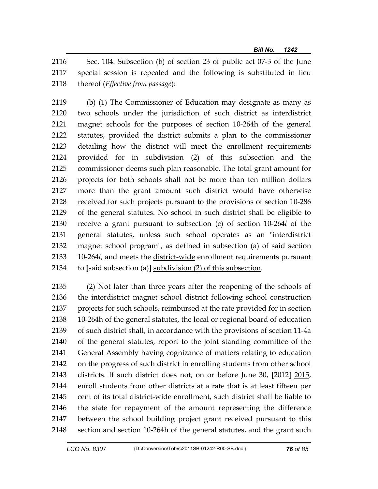2116 Sec. 104. Subsection (b) of section 23 of public act 07-3 of the June 2117 special session is repealed and the following is substituted in lieu 2118 thereof (*Effective from passage*):

2119 (b) (1) The Commissioner of Education may designate as many as 2120 two schools under the jurisdiction of such district as interdistrict 2121 magnet schools for the purposes of section 10-264h of the general 2122 statutes, provided the district submits a plan to the commissioner 2123 detailing how the district will meet the enrollment requirements 2124 provided for in subdivision (2) of this subsection and the 2125 commissioner deems such plan reasonable. The total grant amount for 2126 projects for both schools shall not be more than ten million dollars 2127 more than the grant amount such district would have otherwise 2128 received for such projects pursuant to the provisions of section 10-286 2129 of the general statutes. No school in such district shall be eligible to 2130 receive a grant pursuant to subsection (c) of section 10-264*l* of the 2131 general statutes, unless such school operates as an "interdistrict 2132 magnet school program", as defined in subsection (a) of said section 2133 10-264*l*, and meets the district-wide enrollment requirements pursuant 2134 to **[**said subsection (a)**]** subdivision (2) of this subsection.

2135 (2) Not later than three years after the reopening of the schools of 2136 the interdistrict magnet school district following school construction 2137 projects for such schools, reimbursed at the rate provided for in section 2138 10-264h of the general statutes, the local or regional board of education 2139 of such district shall, in accordance with the provisions of section 11-4a 2140 of the general statutes, report to the joint standing committee of the 2141 General Assembly having cognizance of matters relating to education 2142 on the progress of such district in enrolling students from other school 2143 districts. If such district does not, on or before June 30, **[**2012**]** 2015, 2144 enroll students from other districts at a rate that is at least fifteen per 2145 cent of its total district-wide enrollment, such district shall be liable to 2146 the state for repayment of the amount representing the difference 2147 between the school building project grant received pursuant to this 2148 section and section 10-264h of the general statutes, and the grant such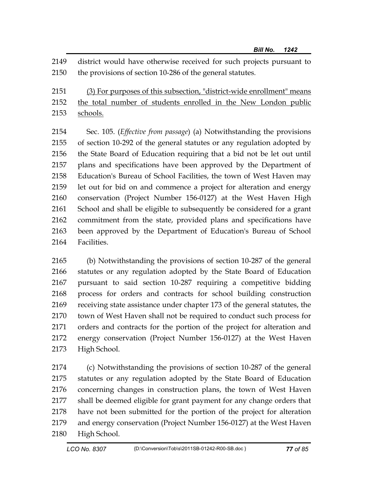2149 district would have otherwise received for such projects pursuant to 2150 the provisions of section 10-286 of the general statutes*.*

2151 (3) For purposes of this subsection, "district-wide enrollment" means 2152 the total number of students enrolled in the New London public 2153 schools.

2154 Sec. 105. (*Effective from passage*) (a) Notwithstanding the provisions 2155 of section 10-292 of the general statutes or any regulation adopted by 2156 the State Board of Education requiring that a bid not be let out until 2157 plans and specifications have been approved by the Department of 2158 Education's Bureau of School Facilities, the town of West Haven may 2159 let out for bid on and commence a project for alteration and energy 2160 conservation (Project Number 156-0127) at the West Haven High 2161 School and shall be eligible to subsequently be considered for a grant 2162 commitment from the state, provided plans and specifications have 2163 been approved by the Department of Education's Bureau of School 2164 Facilities.

2165 (b) Notwithstanding the provisions of section 10-287 of the general 2166 statutes or any regulation adopted by the State Board of Education 2167 pursuant to said section 10-287 requiring a competitive bidding 2168 process for orders and contracts for school building construction 2169 receiving state assistance under chapter 173 of the general statutes, the 2170 town of West Haven shall not be required to conduct such process for 2171 orders and contracts for the portion of the project for alteration and 2172 energy conservation (Project Number 156-0127) at the West Haven 2173 High School.

2174 (c) Notwithstanding the provisions of section 10-287 of the general 2175 statutes or any regulation adopted by the State Board of Education 2176 concerning changes in construction plans, the town of West Haven 2177 shall be deemed eligible for grant payment for any change orders that 2178 have not been submitted for the portion of the project for alteration 2179 and energy conservation (Project Number 156-0127) at the West Haven 2180 High School.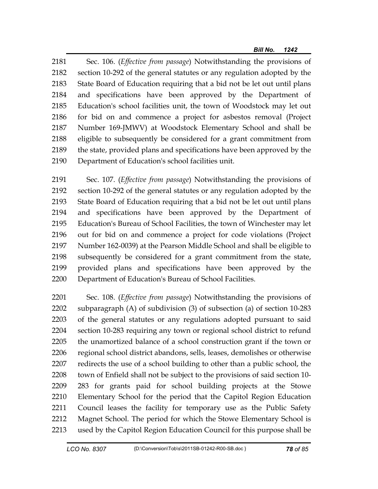2181 Sec. 106. (*Effective from passage*) Notwithstanding the provisions of 2182 section 10-292 of the general statutes or any regulation adopted by the 2183 State Board of Education requiring that a bid not be let out until plans 2184 and specifications have been approved by the Department of 2185 Education's school facilities unit, the town of Woodstock may let out 2186 for bid on and commence a project for asbestos removal (Project 2187 Number 169-JMWV) at Woodstock Elementary School and shall be 2188 eligible to subsequently be considered for a grant commitment from 2189 the state, provided plans and specifications have been approved by the 2190 Department of Education's school facilities unit.

2191 Sec. 107. (*Effective from passage*) Notwithstanding the provisions of 2192 section 10-292 of the general statutes or any regulation adopted by the 2193 State Board of Education requiring that a bid not be let out until plans 2194 and specifications have been approved by the Department of 2195 Education's Bureau of School Facilities, the town of Winchester may let 2196 out for bid on and commence a project for code violations (Project 2197 Number 162-0039) at the Pearson Middle School and shall be eligible to 2198 subsequently be considered for a grant commitment from the state, 2199 provided plans and specifications have been approved by the 2200 Department of Education's Bureau of School Facilities.

2201 Sec. 108. (*Effective from passage*) Notwithstanding the provisions of 2202 subparagraph (A) of subdivision (3) of subsection (a) of section 10-283 2203 of the general statutes or any regulations adopted pursuant to said 2204 section 10-283 requiring any town or regional school district to refund 2205 the unamortized balance of a school construction grant if the town or 2206 regional school district abandons, sells, leases, demolishes or otherwise 2207 redirects the use of a school building to other than a public school, the 2208 town of Enfield shall not be subject to the provisions of said section 10- 2209 283 for grants paid for school building projects at the Stowe 2210 Elementary School for the period that the Capitol Region Education 2211 Council leases the facility for temporary use as the Public Safety 2212 Magnet School. The period for which the Stowe Elementary School is 2213 used by the Capitol Region Education Council for this purpose shall be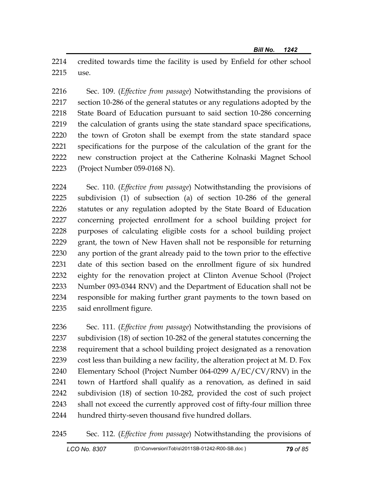2214 credited towards time the facility is used by Enfield for other school 2215 use.

2216 Sec. 109. (*Effective from passage*) Notwithstanding the provisions of 2217 section 10-286 of the general statutes or any regulations adopted by the 2218 State Board of Education pursuant to said section 10-286 concerning 2219 the calculation of grants using the state standard space specifications, 2220 the town of Groton shall be exempt from the state standard space 2221 specifications for the purpose of the calculation of the grant for the 2222 new construction project at the Catherine Kolnaski Magnet School 2223 (Project Number 059-0168 N).

2224 Sec. 110. (*Effective from passage*) Notwithstanding the provisions of 2225 subdivision (1) of subsection (a) of section 10-286 of the general 2226 statutes or any regulation adopted by the State Board of Education 2227 concerning projected enrollment for a school building project for 2228 purposes of calculating eligible costs for a school building project 2229 grant, the town of New Haven shall not be responsible for returning 2230 any portion of the grant already paid to the town prior to the effective 2231 date of this section based on the enrollment figure of six hundred 2232 eighty for the renovation project at Clinton Avenue School (Project 2233 Number 093-0344 RNV) and the Department of Education shall not be 2234 responsible for making further grant payments to the town based on 2235 said enrollment figure.

2236 Sec. 111. (*Effective from passage*) Notwithstanding the provisions of 2237 subdivision (18) of section 10-282 of the general statutes concerning the 2238 requirement that a school building project designated as a renovation 2239 cost less than building a new facility, the alteration project at M. D. Fox 2240 Elementary School (Project Number 064-0299 A/EC/CV/RNV) in the 2241 town of Hartford shall qualify as a renovation, as defined in said 2242 subdivision (18) of section 10-282, provided the cost of such project 2243 shall not exceed the currently approved cost of fifty-four million three 2244 hundred thirty-seven thousand five hundred dollars.

2245 Sec. 112. (*Effective from passage*) Notwithstanding the provisions of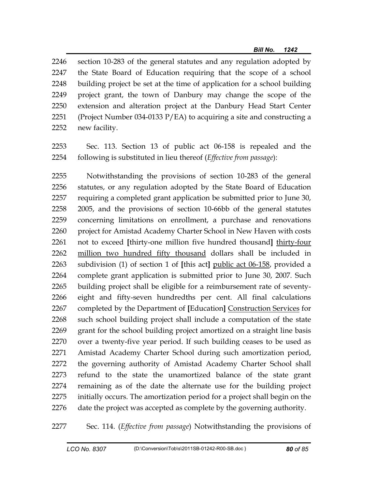2246 section 10-283 of the general statutes and any regulation adopted by 2247 the State Board of Education requiring that the scope of a school 2248 building project be set at the time of application for a school building 2249 project grant, the town of Danbury may change the scope of the 2250 extension and alteration project at the Danbury Head Start Center 2251 (Project Number 034-0133  $P/EA$ ) to acquiring a site and constructing a 2252 new facility.

2253 Sec. 113. Section 13 of public act 06-158 is repealed and the 2254 following is substituted in lieu thereof (*Effective from passage*):

2255 Notwithstanding the provisions of section 10-283 of the general 2256 statutes, or any regulation adopted by the State Board of Education 2257 requiring a completed grant application be submitted prior to June 30, 2258 2005, and the provisions of section 10-66bb of the general statutes 2259 concerning limitations on enrollment, a purchase and renovations 2260 project for Amistad Academy Charter School in New Haven with costs 2261 not to exceed **[**thirty-one million five hundred thousand**]** thirty-four 2262 million two hundred fifty thousand dollars shall be included in 2263 subdivision (1) of section 1 of **[**this act**]** public act 06-158, provided a 2264 complete grant application is submitted prior to June 30, 2007. Such 2265 building project shall be eligible for a reimbursement rate of seventy-2266 eight and fifty-seven hundredths per cent. All final calculations 2267 completed by the Department of **[**Education**]** Construction Services for 2268 such school building project shall include a computation of the state 2269 grant for the school building project amortized on a straight line basis 2270 over a twenty-five year period. If such building ceases to be used as 2271 Amistad Academy Charter School during such amortization period, 2272 the governing authority of Amistad Academy Charter School shall 2273 refund to the state the unamortized balance of the state grant 2274 remaining as of the date the alternate use for the building project 2275 initially occurs. The amortization period for a project shall begin on the 2276 date the project was accepted as complete by the governing authority.

2277 Sec. 114. (*Effective from passage*) Notwithstanding the provisions of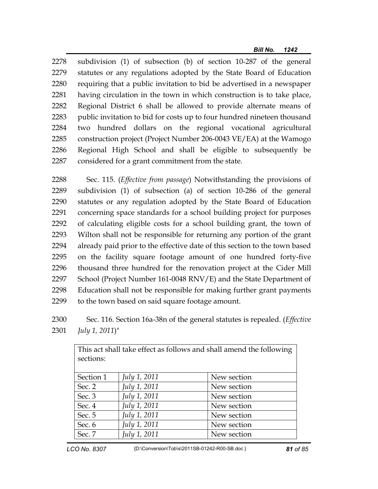2278 subdivision (1) of subsection (b) of section 10-287 of the general 2279 statutes or any regulations adopted by the State Board of Education 2280 requiring that a public invitation to bid be advertised in a newspaper 2281 having circulation in the town in which construction is to take place, 2282 Regional District 6 shall be allowed to provide alternate means of 2283 public invitation to bid for costs up to four hundred nineteen thousand 2284 two hundred dollars on the regional vocational agricultural 2285 construction project (Project Number 206-0043 VE/EA) at the Wamogo 2286 Regional High School and shall be eligible to subsequently be 2287 considered for a grant commitment from the state.

2288 Sec. 115. (*Effective from passage*) Notwithstanding the provisions of 2289 subdivision (1) of subsection (a) of section 10-286 of the general 2290 statutes or any regulation adopted by the State Board of Education 2291 concerning space standards for a school building project for purposes 2292 of calculating eligible costs for a school building grant, the town of 2293 Wilton shall not be responsible for returning any portion of the grant 2294 already paid prior to the effective date of this section to the town based 2295 on the facility square footage amount of one hundred forty-five 2296 thousand three hundred for the renovation project at the Cider Mill 2297 School (Project Number 161-0048 RNV/E) and the State Department of 2298 Education shall not be responsible for making further grant payments 2299 to the town based on said square footage amount.

2300 Sec. 116. Section 16a-38n of the general statutes is repealed. (*Effective*  2301 *July 1, 2011*)"

This act shall take effect as follows and shall amend the following

| sections: |                     | ັ           |
|-----------|---------------------|-------------|
| Section 1 | <i>July 1, 2011</i> | New section |
| Sec. 2    | July 1, 2011        | New section |
| Sec. 3    | July 1, 2011        | New section |
| Sec. 4    | July 1, 2011        | New section |
| Sec. 5    | July 1, 2011        | New section |
| Sec. 6    | July 1, 2011        | New section |
| Sec. 7    | July 1, 2011        | New section |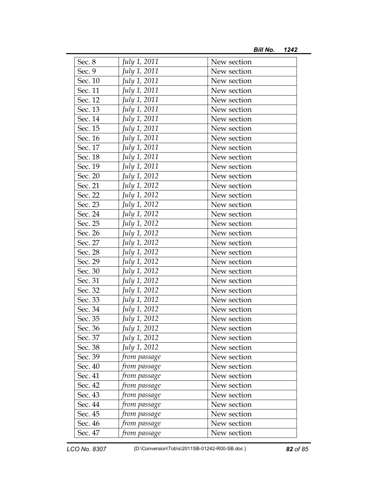| Sec. 8  | July 1, 2011 | New section |  |
|---------|--------------|-------------|--|
| Sec. 9  | July 1, 2011 | New section |  |
| Sec. 10 | July 1, 2011 | New section |  |
| Sec. 11 | July 1, 2011 | New section |  |
| Sec. 12 | July 1, 2011 | New section |  |
| Sec. 13 | July 1, 2011 | New section |  |
| Sec. 14 | July 1, 2011 | New section |  |
| Sec. 15 | July 1, 2011 | New section |  |
| Sec. 16 | July 1, 2011 | New section |  |
| Sec. 17 | July 1, 2011 | New section |  |
| Sec. 18 | July 1, 2011 | New section |  |
| Sec. 19 | July 1, 2011 | New section |  |
| Sec. 20 | July 1, 2012 | New section |  |
| Sec. 21 | July 1, 2012 | New section |  |
| Sec. 22 | July 1, 2012 | New section |  |
| Sec. 23 | July 1, 2012 | New section |  |
| Sec. 24 | July 1, 2012 | New section |  |
| Sec. 25 | July 1, 2012 | New section |  |
| Sec. 26 | July 1, 2012 | New section |  |
| Sec. 27 | July 1, 2012 | New section |  |
| Sec. 28 | July 1, 2012 | New section |  |
| Sec. 29 | July 1, 2012 | New section |  |
| Sec. 30 | July 1, 2012 | New section |  |
| Sec. 31 | July 1, 2012 | New section |  |
| Sec. 32 | July 1, 2012 | New section |  |
| Sec. 33 | July 1, 2012 | New section |  |
| Sec. 34 | July 1, 2012 | New section |  |
| Sec. 35 | July 1, 2012 | New section |  |
| Sec. 36 | July 1, 2012 | New section |  |
| Sec. 37 | July 1, 2012 | New section |  |
| Sec. 38 | July 1, 2012 | New section |  |
| Sec. 39 | from passage | New section |  |
| Sec. 40 | from passage | New section |  |
| Sec. 41 | from passage | New section |  |
| Sec. 42 | from passage | New section |  |
| Sec. 43 | from passage | New section |  |
| Sec. 44 | from passage | New section |  |
| Sec. 45 | from passage | New section |  |
| Sec. 46 | from passage | New section |  |
| Sec. 47 | from passage | New section |  |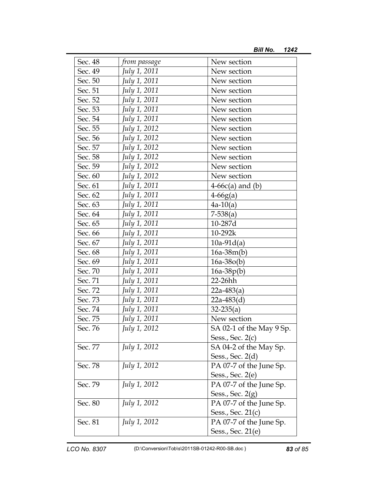| Sec. 48 | from passage | New section              |
|---------|--------------|--------------------------|
| Sec. 49 | July 1, 2011 | New section              |
| Sec. 50 | July 1, 2011 | New section              |
| Sec. 51 | July 1, 2011 | New section              |
| Sec. 52 | July 1, 2011 | New section              |
| Sec. 53 | July 1, 2011 | New section              |
| Sec. 54 | July 1, 2011 | New section              |
| Sec. 55 | July 1, 2012 | New section              |
| Sec. 56 | July 1, 2012 | New section              |
| Sec. 57 | July 1, 2012 | New section              |
| Sec. 58 | July 1, 2012 | New section              |
| Sec. 59 | July 1, 2012 | New section              |
| Sec. 60 | July 1, 2012 | New section              |
| Sec. 61 | July 1, 2011 | $4-66c(a)$ and (b)       |
| Sec. 62 | July 1, 2011 | $4-66g(a)$               |
| Sec. 63 | July 1, 2011 | $4a-10(a)$               |
| Sec. 64 | July 1, 2011 | $7-538(a)$               |
| Sec. 65 | July 1, 2011 | 10-287d                  |
| Sec. 66 | July 1, 2011 | 10-292k                  |
| Sec. 67 | July 1, 2011 | $10a-91d(a)$             |
| Sec. 68 | July 1, 2011 | $16a-38m(b)$             |
| Sec. 69 | July 1, 2011 | $16a-38o(b)$             |
| Sec. 70 | July 1, 2011 | $16a-38p(b)$             |
| Sec. 71 | July 1, 2011 | 22-26hh                  |
| Sec. 72 | July 1, 2011 | $22a-483(a)$             |
| Sec. 73 | July 1, 2011 | $22a-483(d)$             |
| Sec. 74 | July 1, 2011 | $32 - 235(a)$            |
| Sec. 75 | July 1, 2011 | New section              |
| Sec. 76 | July 1, 2012 | SA 02-1 of the May 9 Sp. |
|         |              | Sess., Sec. $2(c)$       |
| Sec. 77 | July 1, 2012 | SA 04-2 of the May Sp.   |
|         |              | Sess., Sec. 2(d)         |
| Sec. 78 | July 1, 2012 | PA 07-7 of the June Sp.  |
|         |              | Sess., Sec. $2(e)$       |
| Sec. 79 | July 1, 2012 | PA 07-7 of the June Sp.  |
|         |              | Sess., Sec. $2(g)$       |
| Sec. 80 | July 1, 2012 | PA 07-7 of the June Sp.  |
|         |              | Sess., Sec. $21(c)$      |
| Sec. 81 | July 1, 2012 | PA 07-7 of the June Sp.  |
|         |              | Sess., Sec. 21(e)        |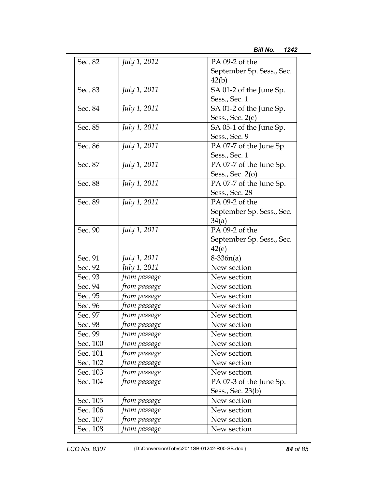| Sec. 82  | July 1, 2012        | PA 09-2 of the            |
|----------|---------------------|---------------------------|
|          |                     | September Sp. Sess., Sec. |
|          |                     | 42(b)                     |
| Sec. 83  | <i>July 1, 2011</i> | SA 01-2 of the June Sp.   |
|          |                     | Sess., Sec. 1             |
| Sec. 84  | July 1, 2011        | SA 01-2 of the June Sp.   |
|          |                     | Sess., Sec. 2(e)          |
| Sec. 85  | <i>July 1, 2011</i> | SA 05-1 of the June Sp.   |
|          |                     | Sess., Sec. 9             |
| Sec. 86  | July 1, 2011        | PA 07-7 of the June Sp.   |
|          |                     | Sess., Sec. 1             |
| Sec. 87  | <i>July 1, 2011</i> | PA 07-7 of the June Sp.   |
|          |                     | Sess., Sec. $2(o)$        |
| Sec. 88  | July 1, 2011        | PA 07-7 of the June Sp.   |
|          |                     | Sess., Sec. 28            |
| Sec. 89  | <i>July 1, 2011</i> | PA 09-2 of the            |
|          |                     | September Sp. Sess., Sec. |
|          |                     | 34(a)                     |
| Sec. 90  | July 1, 2011        | PA 09-2 of the            |
|          |                     | September Sp. Sess., Sec. |
|          |                     | 42(e)                     |
| Sec. 91  | July 1, 2011        | $8-336n(a)$               |
| Sec. 92  | July 1, 2011        | New section               |
| Sec. 93  | from passage        | New section               |
| Sec. 94  | from passage        | New section               |
| Sec. 95  | from passage        | New section               |
| Sec. 96  | from passage        | New section               |
| Sec. 97  | from passage        | New section               |
| Sec. 98  | from passage        | New section               |
| Sec. 99  | from passage        | New section               |
| Sec. 100 | from passage        | New section               |
| Sec. 101 | from passage        | New section               |
| Sec. 102 | from passage        | New section               |
| Sec. 103 | from passage        | New section               |
| Sec. 104 | from passage        | PA 07-3 of the June Sp.   |
|          |                     | Sess., Sec. 23(b)         |
| Sec. 105 | from passage        | New section               |
| Sec. 106 | from passage        | New section               |
| Sec. 107 | from passage        | New section               |
| Sec. 108 | from passage        | New section               |